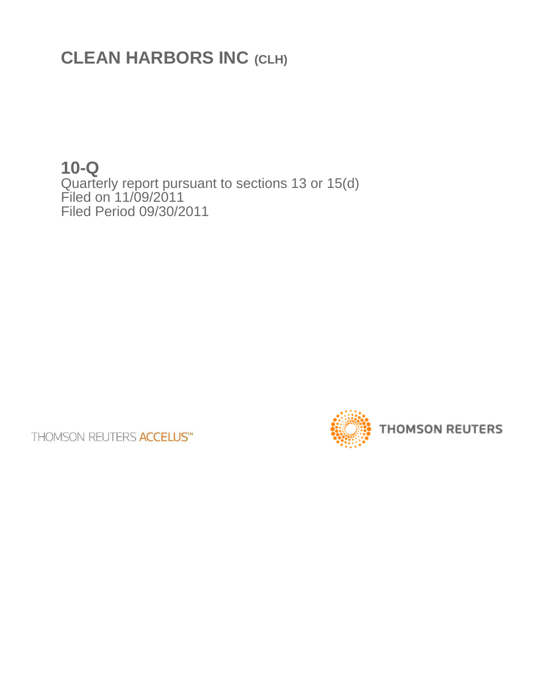# **CLEAN HARBORS INC (CLH)**

**10-Q** Quarterly report pursuant to sections 13 or 15(d) Filed on 11/09/2011 Filed Period 09/30/2011

**THOMSON REUTERS ACCELUS™** 

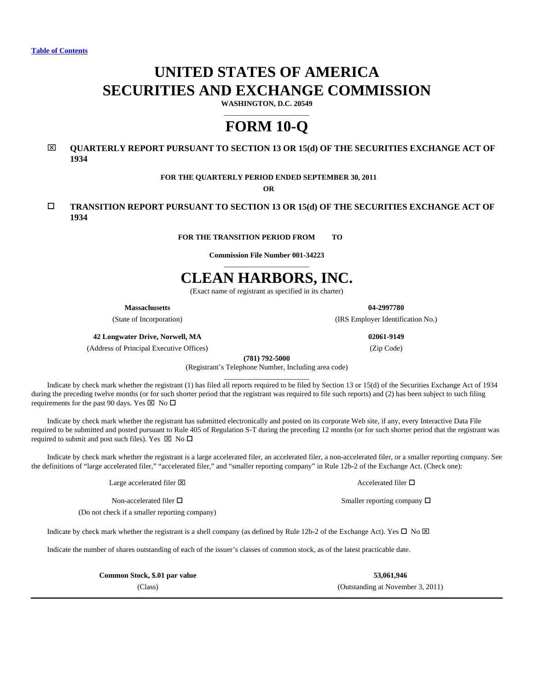# **UNITED STATES OF AMERICA SECURITIES AND EXCHANGE COMMISSION**

**WASHINGTON, D.C. 20549** \_\_\_\_\_\_\_\_\_\_\_\_\_\_\_\_\_\_\_\_\_\_\_

# **FORM 10-Q**

# x **QUARTERLY REPORT PURSUANT TO SECTION 13 OR 15(d) OF THE SECURITIES EXCHANGE ACT OF 1934**

**FOR THE QUARTERLY PERIOD ENDED SEPTEMBER 30, 2011**

**OR**

o **TRANSITION REPORT PURSUANT TO SECTION 13 OR 15(d) OF THE SECURITIES EXCHANGE ACT OF 1934**

**FOR THE TRANSITION PERIOD FROM TO** 

**Commission File Number 001-34223** \_\_\_\_\_\_\_\_\_\_\_\_\_\_\_\_\_\_\_\_\_\_\_

# **CLEAN HARBORS, INC.**

(Exact name of registrant as specified in its charter)

**Massachusetts 04-2997780**

**42 Longwater Drive, Norwell, MA 02061-9149**

(Address of Principal Executive Offices) (Zip Code)

**(781) 792-5000**

(Registrant's Telephone Number, Including area code) \_\_\_\_\_\_\_\_\_\_\_\_\_\_\_\_\_\_\_\_\_\_\_

Indicate by check mark whether the registrant (1) has filed all reports required to be filed by Section 13 or 15(d) of the Securities Exchange Act of 1934 during the preceding twelve months (or for such shorter period that the registrant was required to file such reports) and (2) has been subject to such filing requirements for the past 90 days. Yes  $\boxtimes$  No  $\square$ 

Indicate by check mark whether the registrant has submitted electronically and posted on its corporate Web site, if any, every Interactive Data File required to be submitted and posted pursuant to Rule 405 of Regulation S-T during the preceding 12 months (or for such shorter period that the registrant was required to submit and post such files). Yes  $\boxtimes$  No  $\square$ 

Indicate by check mark whether the registrant is a large accelerated filer, an accelerated filer, a non-accelerated filer, or a smaller reporting company. See the definitions of "large accelerated filer," "accelerated filer," and "smaller reporting company" in Rule 12b-2 of the Exchange Act. (Check one):

Large accelerated filer  $\boxtimes$ 

(Do not check if a smaller reporting company)

Indicate by check mark whether the registrant is a shell company (as defined by Rule 12b-2 of the Exchange Act). Yes  $\Box$  No  $\boxtimes$ 

Indicate the number of shares outstanding of each of the issuer's classes of common stock, as of the latest practicable date.

**Common Stock, \$.01 par value 53,061,946**

(Class) (Outstanding at November 3, 2011)

(State of Incorporation) (IRS Employer Identification No.)

Non-accelerated filer  $\square$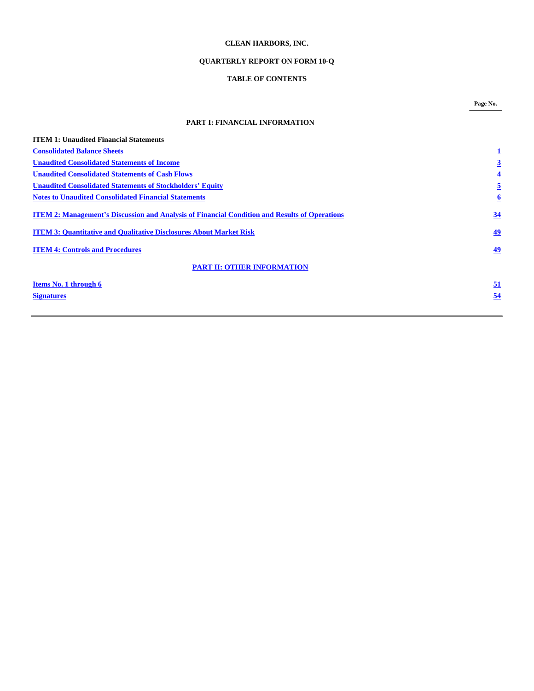# **CLEAN HARBORS, INC.**

# **QUARTERLY REPORT ON FORM 10-Q**

# **TABLE OF CONTENTS**

**Page No.**

## **PART I: FINANCIAL INFORMATION**

<span id="page-2-0"></span>

| <b>ITEM 1: Unaudited Financial Statements</b>                                                        |                         |
|------------------------------------------------------------------------------------------------------|-------------------------|
| <b>Consolidated Balance Sheets</b>                                                                   | 1                       |
| <b>Unaudited Consolidated Statements of Income</b>                                                   | $\overline{3}$          |
| <b>Unaudited Consolidated Statements of Cash Flows</b>                                               | $\overline{\mathbf{4}}$ |
| <b>Unaudited Consolidated Statements of Stockholders' Equity</b>                                     | 5                       |
| <b>Notes to Unaudited Consolidated Financial Statements</b>                                          | $\underline{6}$         |
| <b>ITEM 2: Management's Discussion and Analysis of Financial Condition and Results of Operations</b> | 34                      |
| <b>ITEM 3: Quantitative and Qualitative Disclosures About Market Risk</b>                            | 49                      |
| <b>ITEM 4: Controls and Procedures</b>                                                               | 49                      |
| <b>PART II: OTHER INFORMATION</b>                                                                    |                         |
| <b>Items No. 1 through 6</b>                                                                         | <u>51</u>               |
| <b>Signatures</b>                                                                                    | <u>54</u>               |
|                                                                                                      |                         |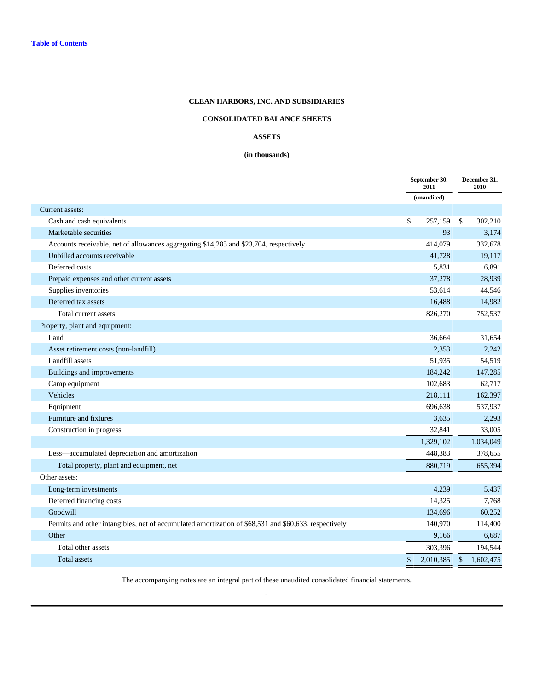## **CONSOLIDATED BALANCE SHEETS**

## **ASSETS**

## **(in thousands)**

<span id="page-3-0"></span>

|                                                                                                       | September 30,<br>2011 |             | December 31,<br>2010 |           |
|-------------------------------------------------------------------------------------------------------|-----------------------|-------------|----------------------|-----------|
|                                                                                                       |                       | (unaudited) |                      |           |
| Current assets:                                                                                       |                       |             |                      |           |
| Cash and cash equivalents                                                                             | \$                    | 257,159     | \$                   | 302,210   |
| Marketable securities                                                                                 |                       | 93          |                      | 3,174     |
| Accounts receivable, net of allowances aggregating \$14,285 and \$23,704, respectively                |                       | 414,079     |                      | 332,678   |
| Unbilled accounts receivable                                                                          |                       | 41,728      |                      | 19,117    |
| Deferred costs                                                                                        |                       | 5,831       |                      | 6,891     |
| Prepaid expenses and other current assets                                                             |                       | 37,278      |                      | 28,939    |
| Supplies inventories                                                                                  |                       | 53,614      |                      | 44,546    |
| Deferred tax assets                                                                                   |                       | 16,488      |                      | 14,982    |
| Total current assets                                                                                  |                       | 826,270     |                      | 752,537   |
| Property, plant and equipment:                                                                        |                       |             |                      |           |
| Land                                                                                                  |                       | 36.664      |                      | 31,654    |
| Asset retirement costs (non-landfill)                                                                 |                       | 2,353       |                      | 2,242     |
| Landfill assets                                                                                       |                       | 51,935      |                      | 54,519    |
| Buildings and improvements                                                                            |                       | 184,242     |                      | 147,285   |
| Camp equipment                                                                                        |                       | 102,683     |                      | 62,717    |
| Vehicles                                                                                              |                       | 218,111     |                      | 162,397   |
| Equipment                                                                                             |                       | 696.638     |                      | 537,937   |
| Furniture and fixtures                                                                                |                       | 3.635       |                      | 2,293     |
| Construction in progress                                                                              |                       | 32,841      |                      | 33,005    |
|                                                                                                       |                       | 1,329,102   |                      | 1,034,049 |
| Less-accumulated depreciation and amortization                                                        |                       | 448,383     |                      | 378,655   |
| Total property, plant and equipment, net                                                              |                       | 880,719     |                      | 655,394   |
| Other assets:                                                                                         |                       |             |                      |           |
| Long-term investments                                                                                 |                       | 4,239       |                      | 5,437     |
| Deferred financing costs                                                                              |                       | 14,325      |                      | 7,768     |
| Goodwill                                                                                              |                       | 134,696     |                      | 60,252    |
| Permits and other intangibles, net of accumulated amortization of \$68,531 and \$60,633, respectively |                       | 140,970     |                      | 114,400   |
| Other                                                                                                 |                       | 9,166       |                      | 6,687     |
| Total other assets                                                                                    |                       | 303,396     |                      | 194,544   |
| Total assets                                                                                          | \$                    | 2,010,385   | $\mathsf{\$}$        | 1,602,475 |

The accompanying notes are an integral part of these unaudited consolidated financial statements.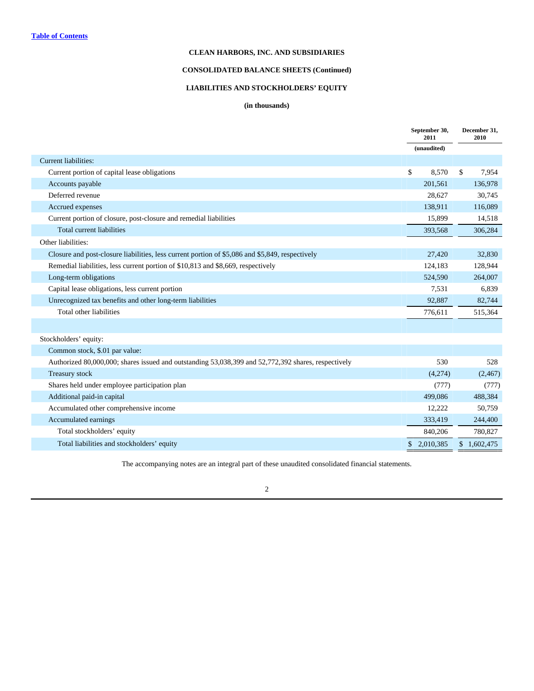## **CONSOLIDATED BALANCE SHEETS (Continued)**

# **LIABILITIES AND STOCKHOLDERS' EQUITY**

## **(in thousands)**

|                                                                                                     | September 30,<br>2011 | December 31,<br>2010 |
|-----------------------------------------------------------------------------------------------------|-----------------------|----------------------|
|                                                                                                     | (unaudited)           |                      |
| Current liabilities:                                                                                |                       |                      |
| Current portion of capital lease obligations                                                        | \$<br>8,570           | \$<br>7,954          |
| Accounts payable                                                                                    | 201,561               | 136,978              |
| Deferred revenue                                                                                    | 28,627                | 30,745               |
| Accrued expenses                                                                                    | 138,911               | 116,089              |
| Current portion of closure, post-closure and remedial liabilities                                   | 15,899                | 14,518               |
| Total current liabilities                                                                           | 393,568               | 306,284              |
| Other liabilities:                                                                                  |                       |                      |
| Closure and post-closure liabilities, less current portion of \$5,086 and \$5,849, respectively     | 27,420                | 32,830               |
| Remedial liabilities, less current portion of \$10,813 and \$8,669, respectively                    | 124,183               | 128,944              |
| Long-term obligations                                                                               | 524,590               | 264,007              |
| Capital lease obligations, less current portion                                                     | 7,531                 | 6,839                |
| Unrecognized tax benefits and other long-term liabilities                                           | 92,887                | 82,744               |
| Total other liabilities                                                                             | 776,611               | 515,364              |
|                                                                                                     |                       |                      |
| Stockholders' equity:                                                                               |                       |                      |
| Common stock, \$.01 par value:                                                                      |                       |                      |
| Authorized 80,000,000; shares issued and outstanding 53,038,399 and 52,772,392 shares, respectively | 530                   | 528                  |
| Treasury stock                                                                                      | (4,274)               | (2,467)              |
| Shares held under employee participation plan                                                       | (777)                 | (777)                |
| Additional paid-in capital                                                                          | 499,086               | 488,384              |
| Accumulated other comprehensive income                                                              | 12,222                | 50,759               |
| Accumulated earnings                                                                                | 333,419               | 244,400              |
| Total stockholders' equity                                                                          | 840,206               | 780,827              |
| Total liabilities and stockholders' equity                                                          | \$2,010,385           | \$1,602,475          |

The accompanying notes are an integral part of these unaudited consolidated financial statements.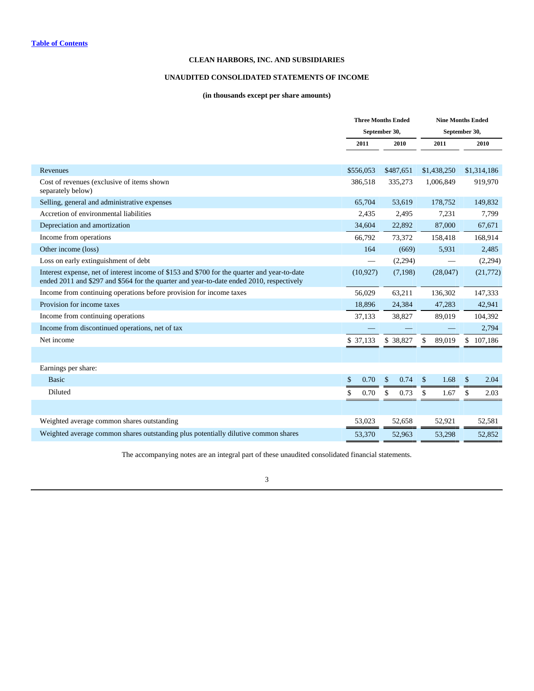# **UNAUDITED CONSOLIDATED STATEMENTS OF INCOME**

## **(in thousands except per share amounts)**

<span id="page-5-0"></span>

|                                                                                                                                                                                          |            | <b>Three Months Ended</b> | <b>Nine Months Ended</b>      |                      |  |  |  |
|------------------------------------------------------------------------------------------------------------------------------------------------------------------------------------------|------------|---------------------------|-------------------------------|----------------------|--|--|--|
|                                                                                                                                                                                          |            | September 30,             |                               | September 30,        |  |  |  |
|                                                                                                                                                                                          | 2011       | 2010                      | 2010                          |                      |  |  |  |
|                                                                                                                                                                                          |            |                           |                               |                      |  |  |  |
| Revenues                                                                                                                                                                                 | \$556,053  | \$487,651                 | \$1,438,250                   | \$1,314,186          |  |  |  |
| Cost of revenues (exclusive of items shown<br>separately below)                                                                                                                          | 386,518    | 335,273                   | 1,006,849                     | 919,970              |  |  |  |
| Selling, general and administrative expenses                                                                                                                                             | 65,704     | 53,619                    | 178,752                       | 149,832              |  |  |  |
| Accretion of environmental liabilities                                                                                                                                                   | 2,435      | 2,495                     | 7,231                         | 7,799                |  |  |  |
| Depreciation and amortization                                                                                                                                                            | 34,604     | 22,892                    | 87,000                        | 67,671               |  |  |  |
| Income from operations                                                                                                                                                                   | 66,792     | 73,372                    | 158,418                       | 168,914              |  |  |  |
| Other income (loss)                                                                                                                                                                      | 164        | (669)                     | 5,931                         | 2,485                |  |  |  |
| Loss on early extinguishment of debt                                                                                                                                                     |            | (2,294)                   | $\overbrace{\phantom{12333}}$ | (2,294)              |  |  |  |
| Interest expense, net of interest income of \$153 and \$700 for the quarter and year-to-date<br>ended 2011 and \$297 and \$564 for the quarter and year-to-date ended 2010, respectively | (10, 927)  | (7,198)                   | (28,047)                      | (21,772)             |  |  |  |
| Income from continuing operations before provision for income taxes                                                                                                                      | 56,029     | 63,211                    | 136,302                       | 147,333              |  |  |  |
| Provision for income taxes                                                                                                                                                               | 18,896     | 24,384                    | 47,283                        | 42,941               |  |  |  |
| Income from continuing operations                                                                                                                                                        | 37,133     | 38,827                    | 89,019                        | 104,392              |  |  |  |
| Income from discontinued operations, net of tax                                                                                                                                          |            |                           |                               | 2,794                |  |  |  |
| Net income                                                                                                                                                                               | \$ 37,133  | \$ 38,827                 | \$<br>89,019                  | \$107,186            |  |  |  |
|                                                                                                                                                                                          |            |                           |                               |                      |  |  |  |
| Earnings per share:                                                                                                                                                                      |            |                           |                               |                      |  |  |  |
| <b>Basic</b>                                                                                                                                                                             | \$<br>0.70 | $\mathbb{S}$<br>0.74      | 1.68<br>$\mathbb{S}$          | $\mathbb{S}$<br>2.04 |  |  |  |
| Diluted                                                                                                                                                                                  | \$<br>0.70 | \$<br>0.73                | \$<br>1.67                    | \$<br>2.03           |  |  |  |
|                                                                                                                                                                                          |            |                           |                               |                      |  |  |  |
| Weighted average common shares outstanding                                                                                                                                               | 53,023     | 52,658                    | 52,921                        | 52,581               |  |  |  |
| Weighted average common shares outstanding plus potentially dilutive common shares                                                                                                       | 53,370     | 52,963                    | 53,298                        | 52,852               |  |  |  |

The accompanying notes are an integral part of these unaudited consolidated financial statements.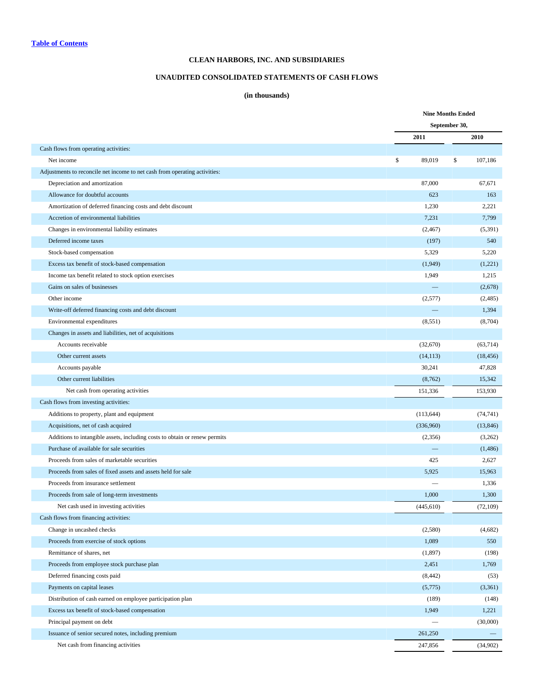# **UNAUDITED CONSOLIDATED STATEMENTS OF CASH FLOWS**

## **(in thousands)**

<span id="page-6-0"></span>

|                                                                            |    | <b>Nine Months Ended</b><br>September 30, |    |           |
|----------------------------------------------------------------------------|----|-------------------------------------------|----|-----------|
|                                                                            |    |                                           |    |           |
|                                                                            |    | 2011                                      |    | 2010      |
| Cash flows from operating activities:                                      |    |                                           |    |           |
| Net income                                                                 | \$ | 89,019                                    | \$ | 107,186   |
| Adjustments to reconcile net income to net cash from operating activities: |    |                                           |    |           |
| Depreciation and amortization                                              |    | 87,000                                    |    | 67,671    |
| Allowance for doubtful accounts                                            |    | 623                                       |    | 163       |
| Amortization of deferred financing costs and debt discount                 |    | 1,230                                     |    | 2,221     |
| Accretion of environmental liabilities                                     |    | 7,231                                     |    | 7,799     |
| Changes in environmental liability estimates                               |    | (2, 467)                                  |    | (5,391)   |
| Deferred income taxes                                                      |    | (197)                                     |    | 540       |
| Stock-based compensation                                                   |    | 5,329                                     |    | 5,220     |
| Excess tax benefit of stock-based compensation                             |    | (1,949)                                   |    | (1,221)   |
| Income tax benefit related to stock option exercises                       |    | 1,949                                     |    | 1,215     |
| Gains on sales of businesses                                               |    |                                           |    | (2,678)   |
| Other income                                                               |    | (2,577)                                   |    | (2,485)   |
| Write-off deferred financing costs and debt discount                       |    |                                           |    | 1,394     |
| Environmental expenditures                                                 |    | (8, 551)                                  |    | (8,704)   |
| Changes in assets and liabilities, net of acquisitions                     |    |                                           |    |           |
| Accounts receivable                                                        |    | (32,670)                                  |    | (63,714)  |
| Other current assets                                                       |    | (14, 113)                                 |    | (18, 456) |
| Accounts payable                                                           |    | 30,241                                    |    | 47,828    |
| Other current liabilities                                                  |    | (8,762)                                   |    | 15,342    |
| Net cash from operating activities                                         |    | 151,336                                   |    | 153,930   |
| Cash flows from investing activities:                                      |    |                                           |    |           |
| Additions to property, plant and equipment                                 |    | (113, 644)                                |    | (74, 741) |
| Acquisitions, net of cash acquired                                         |    | (336,960)                                 |    | (13, 846) |
| Additions to intangible assets, including costs to obtain or renew permits |    | (2,356)                                   |    | (3,262)   |
| Purchase of available for sale securities                                  |    |                                           |    | (1,486)   |
| Proceeds from sales of marketable securities                               |    | 425                                       |    | 2,627     |
| Proceeds from sales of fixed assets and assets held for sale               |    | 5,925                                     |    | 15,963    |
| Proceeds from insurance settlement                                         |    |                                           |    | 1,336     |
| Proceeds from sale of long-term investments                                |    | 1,000                                     |    | 1,300     |
| Net cash used in investing activities                                      |    | (445, 610)                                |    | (72, 109) |
| Cash flows from financing activities:                                      |    |                                           |    |           |
| Change in uncashed checks                                                  |    | (2,580)                                   |    | (4,682)   |
| Proceeds from exercise of stock options                                    |    | 1,089                                     |    | 550       |
| Remittance of shares, net                                                  |    | (1, 897)                                  |    | (198)     |
| Proceeds from employee stock purchase plan                                 |    | 2,451                                     |    | 1,769     |
| Deferred financing costs paid                                              |    | (8, 442)                                  |    | (53)      |
| Payments on capital leases                                                 |    | (5,775)                                   |    | (3,361)   |
| Distribution of cash earned on employee participation plan                 |    | (189)                                     |    | (148)     |
| Excess tax benefit of stock-based compensation                             |    | 1,949                                     |    | 1,221     |
| Principal payment on debt                                                  |    |                                           |    | (30,000)  |
| Issuance of senior secured notes, including premium                        |    | 261,250                                   |    |           |
| Net cash from financing activities                                         |    | 247,856                                   |    | (34,902)  |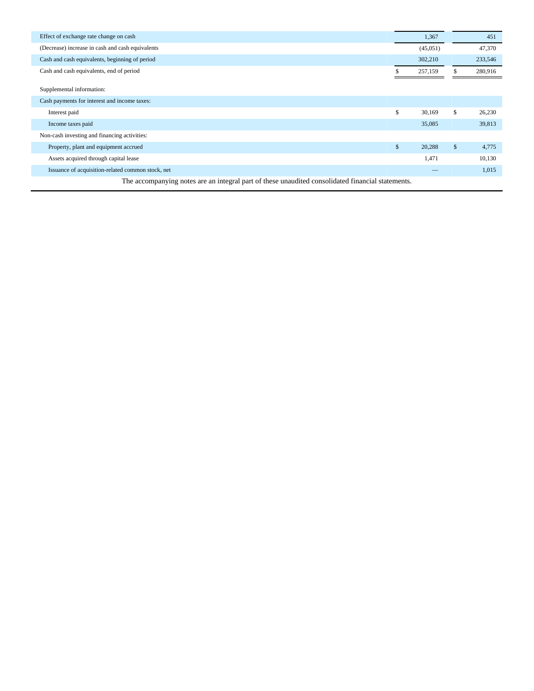| Effect of exchange rate change on cash                                                            | 1,367        |     | 451     |
|---------------------------------------------------------------------------------------------------|--------------|-----|---------|
| (Decrease) increase in cash and cash equivalents                                                  | (45,051)     |     | 47,370  |
| Cash and cash equivalents, beginning of period                                                    | 302,210      |     | 233,546 |
| Cash and cash equivalents, end of period                                                          | 257,159      | \$. | 280,916 |
|                                                                                                   |              |     |         |
| Supplemental information:                                                                         |              |     |         |
| Cash payments for interest and income taxes:                                                      |              |     |         |
| Interest paid                                                                                     | \$<br>30,169 | \$  | 26,230  |
| Income taxes paid                                                                                 | 35,085       |     | 39,813  |
| Non-cash investing and financing activities:                                                      |              |     |         |
| Property, plant and equipment accrued                                                             | \$<br>20,288 | \$  | 4,775   |
| Assets acquired through capital lease                                                             | 1,471        |     | 10,130  |
| Issuance of acquisition-related common stock, net                                                 |              |     | 1,015   |
| The accompanying notes are an integral part of these unaudited consolidated financial statements. |              |     |         |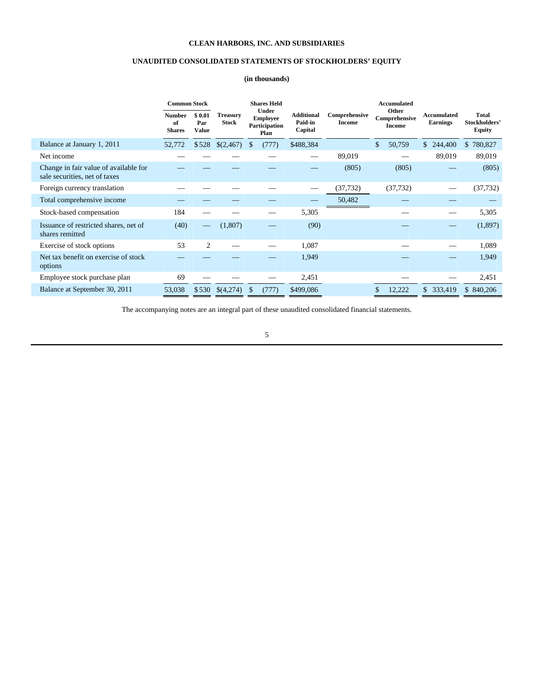# **UNAUDITED CONSOLIDATED STATEMENTS OF STOCKHOLDERS' EQUITY**

## **(in thousands)**

<span id="page-8-0"></span>

|                                                                        | <b>Common Stock</b>                  |                               |                                 |               | <b>Shares Held</b>                                       |                                         |                                | <b>Accumulated</b> |                                         |    |                                |                                                |
|------------------------------------------------------------------------|--------------------------------------|-------------------------------|---------------------------------|---------------|----------------------------------------------------------|-----------------------------------------|--------------------------------|--------------------|-----------------------------------------|----|--------------------------------|------------------------------------------------|
|                                                                        | <b>Number</b><br>of<br><b>Shares</b> | \$0.01<br>Par<br><b>Value</b> | <b>Treasury</b><br><b>Stock</b> |               | <b>Under</b><br><b>Employee</b><br>Participation<br>Plan | <b>Additional</b><br>Paid-in<br>Capital | Comprehensive<br><b>Income</b> |                    | Other<br>Comprehensive<br><b>Income</b> |    | Accumulated<br><b>Earnings</b> | <b>Total</b><br>Stockholders'<br><b>Equity</b> |
| Balance at January 1, 2011                                             | 52,772                               | \$528                         | \$(2,467)                       | <sup>\$</sup> | (777)                                                    | \$488,384                               |                                | $\mathbb{S}$       | 50,759                                  |    | \$244,400                      | 780,827<br>\$                                  |
| Net income                                                             |                                      |                               |                                 |               |                                                          |                                         | 89,019                         |                    |                                         |    | 89,019                         | 89,019                                         |
| Change in fair value of available for<br>sale securities, net of taxes |                                      |                               |                                 |               |                                                          |                                         | (805)                          |                    | (805)                                   |    |                                | (805)                                          |
| Foreign currency translation                                           |                                      |                               |                                 |               |                                                          |                                         | (37, 732)                      |                    | (37, 732)                               |    |                                | (37, 732)                                      |
| Total comprehensive income                                             |                                      |                               |                                 |               |                                                          |                                         | 50,482                         |                    |                                         |    |                                |                                                |
| Stock-based compensation                                               | 184                                  |                               |                                 |               |                                                          | 5,305                                   |                                |                    |                                         |    |                                | 5,305                                          |
| Issuance of restricted shares, net of<br>shares remitted               | (40)                                 |                               | (1,807)                         |               |                                                          | (90)                                    |                                |                    |                                         |    |                                | (1,897)                                        |
| Exercise of stock options                                              | 53                                   | 2                             |                                 |               |                                                          | 1,087                                   |                                |                    |                                         |    |                                | 1,089                                          |
| Net tax benefit on exercise of stock<br>options                        |                                      |                               |                                 |               |                                                          | 1,949                                   |                                |                    |                                         |    |                                | 1,949                                          |
| Employee stock purchase plan                                           | 69                                   |                               |                                 |               |                                                          | 2,451                                   |                                |                    |                                         |    |                                | 2,451                                          |
| Balance at September 30, 2011                                          | 53,038                               | \$530                         | \$(4,274)                       | \$.           | (777)                                                    | \$499,086                               |                                | \$                 | 12,222                                  | \$ | 333,419                        | \$840,206                                      |

The accompanying notes are an integral part of these unaudited consolidated financial statements.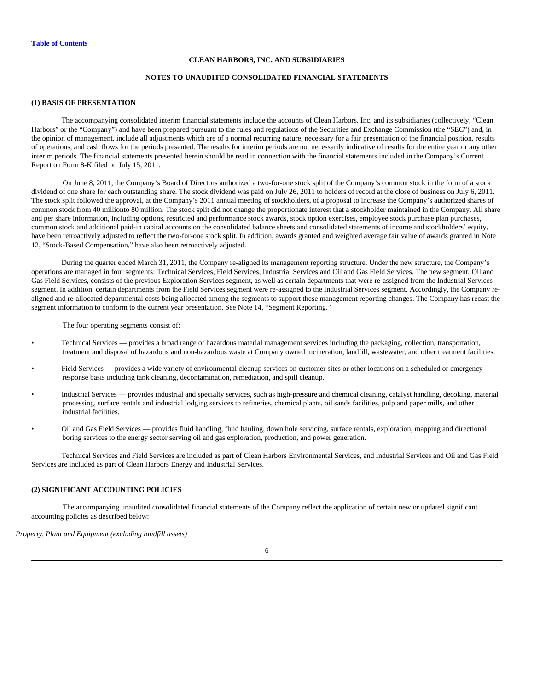## **NOTES TO UNAUDITED CONSOLIDATED FINANCIAL STATEMENTS**

## <span id="page-9-0"></span>**(1) BASIS OF PRESENTATION**

The accompanying consolidated interim financial statements include the accounts of Clean Harbors, Inc. and its subsidiaries (collectively, "Clean Harbors" or the "Company") and have been prepared pursuant to the rules and regulations of the Securities and Exchange Commission (the "SEC") and, in the opinion of management, include all adjustments which are of a normal recurring nature, necessary for a fair presentation of the financial position, results of operations, and cash flows for the periods presented. The results for interim periods are not necessarily indicative of results for the entire year or any other interim periods. The financial statements presented herein should be read in connection with the financial statements included in the Company's Current Report on Form 8-K filed on July 15, 2011.

On June 8, 2011, the Company's Board of Directors authorized a two-for-one stock split of the Company's common stock in the form of a stock dividend of one share for each outstanding share. The stock dividend was paid on July 26, 2011 to holders of record at the close of business on July 6, 2011. The stock split followed the approval, at the Company's 2011 annual meeting of stockholders, of a proposal to increase the Company's authorized shares of common stock from 40 millionto 80 million. The stock split did not change the proportionate interest that a stockholder maintained in the Company. All share and per share information, including options, restricted and performance stock awards, stock option exercises, employee stock purchase plan purchases, common stock and additional paid-in capital accounts on the consolidated balance sheets and consolidated statements of income and stockholders' equity, have been retroactively adjusted to reflect the two-for-one stock split. In addition, awards granted and weighted average fair value of awards granted in Note 12, "Stock-Based Compensation," have also been retroactively adjusted.

During the quarter ended March 31, 2011, the Company re-aligned its management reporting structure. Under the new structure, the Company's operations are managed in four segments: Technical Services, Field Services, Industrial Services and Oil and Gas Field Services. The new segment, Oil and Gas Field Services, consists of the previous Exploration Services segment, as well as certain departments that were re-assigned from the Industrial Services segment. In addition, certain departments from the Field Services segment were re-assigned to the Industrial Services segment. Accordingly, the Company realigned and re-allocated departmental costs being allocated among the segments to support these management reporting changes. The Company has recast the segment information to conform to the current year presentation. See Note 14, "Segment Reporting."

The four operating segments consist of:

- Technical Services provides a broad range of hazardous material management services including the packaging, collection, transportation, treatment and disposal of hazardous and non-hazardous waste at Company owned incineration, landfill, wastewater, and other treatment facilities.
- Field Services provides a wide variety of environmental cleanup services on customer sites or other locations on a scheduled or emergency response basis including tank cleaning, decontamination, remediation, and spill cleanup.
- Industrial Services provides industrial and specialty services, such as high-pressure and chemical cleaning, catalyst handling, decoking, material processing, surface rentals and industrial lodging services to refineries, chemical plants, oil sands facilities, pulp and paper mills, and other industrial facilities.
- Oil and Gas Field Services provides fluid handling, fluid hauling, down hole servicing, surface rentals, exploration, mapping and directional boring services to the energy sector serving oil and gas exploration, production, and power generation.

Technical Services and Field Services are included as part of Clean Harbors Environmental Services, and Industrial Services and Oil and Gas Field Services are included as part of Clean Harbors Energy and Industrial Services.

## **(2) SIGNIFICANT ACCOUNTING POLICIES**

The accompanying unaudited consolidated financial statements of the Company reflect the application of certain new or updated significant accounting policies as described below:

*Property, Plant and Equipment (excluding landfill assets)*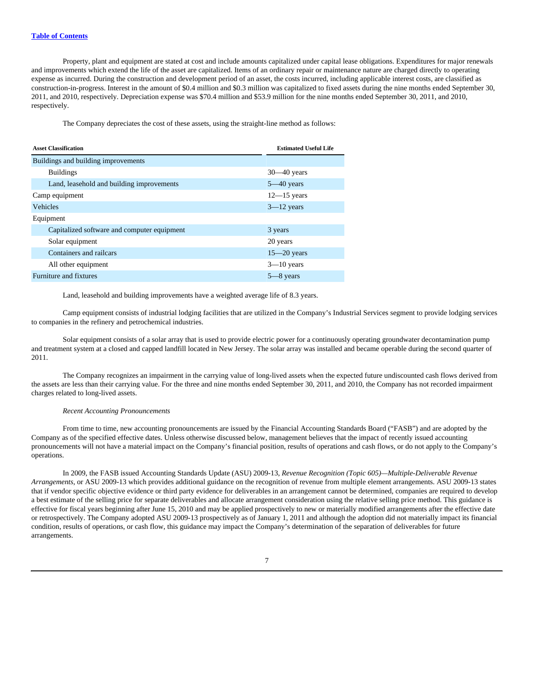Property, plant and equipment are stated at cost and include amounts capitalized under capital lease obligations. Expenditures for major renewals and improvements which extend the life of the asset are capitalized. Items of an ordinary repair or maintenance nature are charged directly to operating expense as incurred. During the construction and development period of an asset, the costs incurred, including applicable interest costs, are classified as construction-in-progress. Interest in the amount of \$0.4 million and \$0.3 million was capitalized to fixed assets during the nine months ended September 30, 2011, and 2010, respectively. Depreciation expense was \$70.4 million and \$53.9 million for the nine months ended September 30, 2011, and 2010, respectively.

The Company depreciates the cost of these assets, using the straight-line method as follows:

| <b>Asset Classification</b>                 | <b>Estimated Useful Life</b> |  |  |  |
|---------------------------------------------|------------------------------|--|--|--|
| Buildings and building improvements         |                              |  |  |  |
| <b>Buildings</b>                            | $30 - 40$ years              |  |  |  |
| Land, leasehold and building improvements   | $5 - 40$ years               |  |  |  |
| Camp equipment                              | $12 - 15$ years              |  |  |  |
| <b>Vehicles</b>                             | $3 - 12$ years               |  |  |  |
| Equipment                                   |                              |  |  |  |
| Capitalized software and computer equipment | 3 years                      |  |  |  |
| Solar equipment                             | 20 years                     |  |  |  |
| Containers and railcars                     | $15 - 20$ years              |  |  |  |
| All other equipment                         | $3 - 10$ years               |  |  |  |
| Furniture and fixtures                      | 5-8 years                    |  |  |  |

Land, leasehold and building improvements have a weighted average life of 8.3 years.

Camp equipment consists of industrial lodging facilities that are utilized in the Company's Industrial Services segment to provide lodging services to companies in the refinery and petrochemical industries.

Solar equipment consists of a solar array that is used to provide electric power for a continuously operating groundwater decontamination pump and treatment system at a closed and capped landfill located in New Jersey. The solar array was installed and became operable during the second quarter of 2011.

The Company recognizes an impairment in the carrying value of long-lived assets when the expected future undiscounted cash flows derived from the assets are less than their carrying value. For the three and nine months ended September 30, 2011, and 2010, the Company has not recorded impairment charges related to long-lived assets.

#### *Recent Accounting Pronouncements*

From time to time, new accounting pronouncements are issued by the Financial Accounting Standards Board ("FASB") and are adopted by the Company as of the specified effective dates. Unless otherwise discussed below, management believes that the impact of recently issued accounting pronouncements will not have a material impact on the Company's financial position, results of operations and cash flows, or do not apply to the Company's operations.

In 2009, the FASB issued Accounting Standards Update (ASU) 2009-13, *Revenue Recognition (Topic 605)—Multiple-Deliverable Revenue Arrangements,* or ASU 2009-13 which provides additional guidance on the recognition of revenue from multiple element arrangements. ASU 2009-13 states that if vendor specific objective evidence or third party evidence for deliverables in an arrangement cannot be determined, companies are required to develop a best estimate of the selling price for separate deliverables and allocate arrangement consideration using the relative selling price method. This guidance is effective for fiscal years beginning after June 15, 2010 and may be applied prospectively to new or materially modified arrangements after the effective date or retrospectively. The Company adopted ASU 2009-13 prospectively as of January 1, 2011 and although the adoption did not materially impact its financial condition, results of operations, or cash flow, this guidance may impact the Company's determination of the separation of deliverables for future arrangements.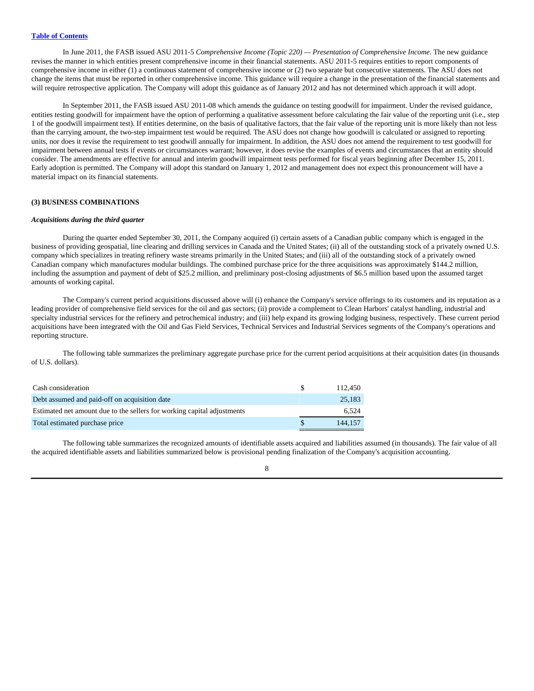In June 2011, the FASB issued ASU 2011-5 *Comprehensive Income (Topic 220) — Presentation of Comprehensive Income*. The new guidance revises the manner in which entities present comprehensive income in their financial statements. ASU 2011-5 requires entities to report components of comprehensive income in either (1) a continuous statement of comprehensive income or (2) two separate but consecutive statements. The ASU does not change the items that must be reported in other comprehensive income. This guidance will require a change in the presentation of the financial statements and will require retrospective application. The Company will adopt this guidance as of January 2012 and has not determined which approach it will adopt.

In September 2011, the FASB issued ASU 2011-08 which amends the guidance on testing goodwill for impairment. Under the revised guidance, entities testing goodwill for impairment have the option of performing a qualitative assessment before calculating the fair value of the reporting unit (i.e., step 1 of the goodwill impairment test). If entities determine, on the basis of qualitative factors, that the fair value of the reporting unit is more likely than not less than the carrying amount, the two-step impairment test would be required. The ASU does not change how goodwill is calculated or assigned to reporting units, nor does it revise the requirement to test goodwill annually for impairment. In addition, the ASU does not amend the requirement to test goodwill for impairment between annual tests if events or circumstances warrant; however, it does revise the examples of events and circumstances that an entity should consider. The amendments are effective for annual and interim goodwill impairment tests performed for fiscal years beginning after December 15, 2011. Early adoption is permitted. The Company will adopt this standard on January 1, 2012 and management does not expect this pronouncement will have a material impact on its financial statements.

## **(3) BUSINESS COMBINATIONS**

#### *Acquisitions during the third quarter*

During the quarter ended September 30, 2011, the Company acquired (i) certain assets of a Canadian public company which is engaged in the business of providing geospatial, line clearing and drilling services in Canada and the United States; (ii) all of the outstanding stock of a privately owned U.S. company which specializes in treating refinery waste streams primarily in the United States; and (iii) all of the outstanding stock of a privately owned Canadian company which manufactures modular buildings. The combined purchase price for the three acquisitions was approximately \$144.2 million, including the assumption and payment of debt of \$25.2 million, and preliminary post-closing adjustments of \$6.5 million based upon the assumed target amounts of working capital.

The Company's current period acquisitions discussed above will (i) enhance the Company's service offerings to its customers and its reputation as a leading provider of comprehensive field services for the oil and gas sectors; (ii) provide a complement to Clean Harbors' catalyst handling, industrial and specialty industrial services for the refinery and petrochemical industry; and (iii) help expand its growing lodging business, respectively. These current period acquisitions have been integrated with the Oil and Gas Field Services, Technical Services and Industrial Services segments of the Company's operations and reporting structure.

The following table summarizes the preliminary aggregate purchase price for the current period acquisitions at their acquisition dates (in thousands of U.S. dollars).

| Cash consideration                                                      | 112.450 |
|-------------------------------------------------------------------------|---------|
| Debt assumed and paid-off on acquisition date                           | 25,183  |
| Estimated net amount due to the sellers for working capital adjustments | 6.524   |
| Total estimated purchase price                                          | 144.157 |

The following table summarizes the recognized amounts of identifiable assets acquired and liabilities assumed (in thousands). The fair value of all the acquired identifiable assets and liabilities summarized below is provisional pending finalization of the Company's acquisition accounting.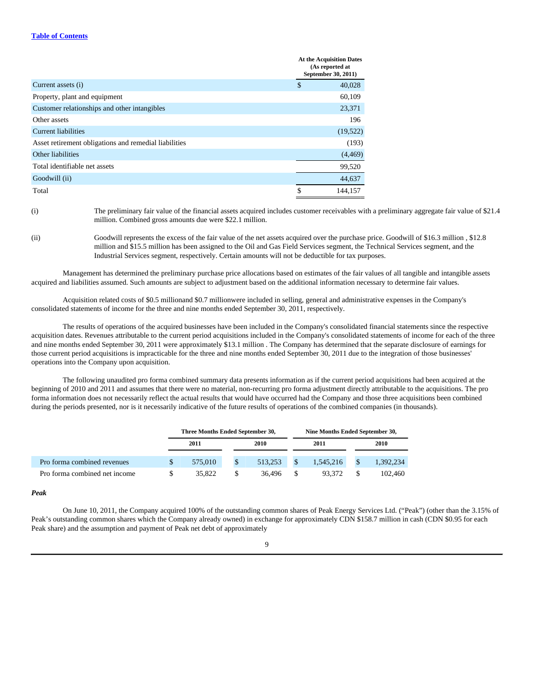|                                                       | <b>At the Acquisition Dates</b><br>(As reported at<br>September 30, 2011) |
|-------------------------------------------------------|---------------------------------------------------------------------------|
| Current assets (i)                                    | \$<br>40,028                                                              |
| Property, plant and equipment                         | 60,109                                                                    |
| Customer relationships and other intangibles          | 23,371                                                                    |
| Other assets                                          | 196                                                                       |
| Current liabilities                                   | (19, 522)                                                                 |
| Asset retirement obligations and remedial liabilities | (193)                                                                     |
| Other liabilities                                     | (4, 469)                                                                  |
| Total identifiable net assets                         | 99,520                                                                    |
| Goodwill (ii)                                         | 44,637                                                                    |
| Total                                                 | \$<br>144,157                                                             |

(i) The preliminary fair value of the financial assets acquired includes customer receivables with a preliminary aggregate fair value of \$21.4 million. Combined gross amounts due were \$22.1 million.

(ii) Goodwill represents the excess of the fair value of the net assets acquired over the purchase price. Goodwill of \$16.3 million , \$12.8 million and \$15.5 million has been assigned to the Oil and Gas Field Services segment, the Technical Services segment, and the Industrial Services segment, respectively. Certain amounts will not be deductible for tax purposes.

Management has determined the preliminary purchase price allocations based on estimates of the fair values of all tangible and intangible assets acquired and liabilities assumed. Such amounts are subject to adjustment based on the additional information necessary to determine fair values.

Acquisition related costs of \$0.5 millionand \$0.7 millionwere included in selling, general and administrative expenses in the Company's consolidated statements of income for the three and nine months ended September 30, 2011, respectively.

The results of operations of the acquired businesses have been included in the Company's consolidated financial statements since the respective acquisition dates. Revenues attributable to the current period acquisitions included in the Company's consolidated statements of income for each of the three and nine months ended September 30, 2011 were approximately \$13.1 million . The Company has determined that the separate disclosure of earnings for those current period acquisitions is impracticable for the three and nine months ended September 30, 2011 due to the integration of those businesses' operations into the Company upon acquisition.

The following unaudited pro forma combined summary data presents information as if the current period acquisitions had been acquired at the beginning of 2010 and 2011 and assumes that there were no material, non-recurring pro forma adjustment directly attributable to the acquisitions. The pro forma information does not necessarily reflect the actual results that would have occurred had the Company and those three acquisitions been combined during the periods presented, nor is it necessarily indicative of the future results of operations of the combined companies (in thousands).

|                               | Three Months Ended September 30, |      |         |          | Nine Months Ended September 30, |  |           |
|-------------------------------|----------------------------------|------|---------|----------|---------------------------------|--|-----------|
|                               | 2011                             | 2010 |         |          | 2011                            |  | 2010      |
|                               |                                  |      |         |          |                                 |  |           |
| Pro forma combined revenues   | 575,010                          |      | 513.253 | <b>S</b> | 1,545,216                       |  | 1,392,234 |
| Pro forma combined net income | 35.822                           |      | 36.496  |          | 93.372                          |  | 102,460   |

#### *Peak*

On June 10, 2011, the Company acquired 100% of the outstanding common shares of Peak Energy Services Ltd. ("Peak") (other than the 3.15% of Peak's outstanding common shares which the Company already owned) in exchange for approximately CDN \$158.7 million in cash (CDN \$0.95 for each Peak share) and the assumption and payment of Peak net debt of approximately

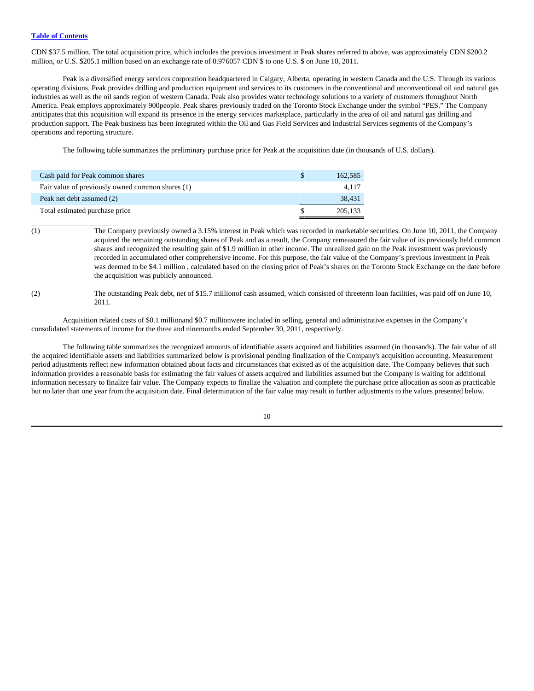\_\_\_\_\_\_\_\_\_\_\_\_\_\_\_\_\_\_\_\_\_\_\_

CDN \$37.5 million. The total acquisition price, which includes the previous investment in Peak shares referred to above, was approximately CDN \$200.2 million, or U.S. \$205.1 million based on an exchange rate of 0.976057 CDN \$ to one U.S. \$ on June 10, 2011.

Peak is a diversified energy services corporation headquartered in Calgary, Alberta, operating in western Canada and the U.S. Through its various operating divisions, Peak provides drilling and production equipment and services to its customers in the conventional and unconventional oil and natural gas industries as well as the oil sands region of western Canada. Peak also provides water technology solutions to a variety of customers throughout North America. Peak employs approximately 900people. Peak shares previously traded on the Toronto Stock Exchange under the symbol "PES." The Company anticipates that this acquisition will expand its presence in the energy services marketplace, particularly in the area of oil and natural gas drilling and production support. The Peak business has been integrated within the Oil and Gas Field Services and Industrial Services segments of the Company's operations and reporting structure.

The following table summarizes the preliminary purchase price for Peak at the acquisition date (in thousands of U.S. dollars).

| Cash paid for Peak common shares                 | 162.585 |
|--------------------------------------------------|---------|
| Fair value of previously owned common shares (1) | 4.117   |
| Peak net debt assumed (2)                        | 38.431  |
| Total estimated purchase price                   | 205,133 |

(1) The Company previously owned a 3.15% interest in Peak which was recorded in marketable securities. On June 10, 2011, the Company acquired the remaining outstanding shares of Peak and as a result, the Company remeasured the fair value of its previously held common shares and recognized the resulting gain of \$1.9 million in other income. The unrealized gain on the Peak investment was previously recorded in accumulated other comprehensive income. For this purpose, the fair value of the Company's previous investment in Peak was deemed to be \$4.1 million , calculated based on the closing price of Peak's shares on the Toronto Stock Exchange on the date before the acquisition was publicly announced.

(2) The outstanding Peak debt, net of \$15.7 millionof cash assumed, which consisted of threeterm loan facilities, was paid off on June 10, 2011.

Acquisition related costs of \$0.1 millionand \$0.7 millionwere included in selling, general and administrative expenses in the Company's consolidated statements of income for the three and ninemonths ended September 30, 2011, respectively.

The following table summarizes the recognized amounts of identifiable assets acquired and liabilities assumed (in thousands). The fair value of all the acquired identifiable assets and liabilities summarized below is provisional pending finalization of the Company's acquisition accounting. Measurement period adjustments reflect new information obtained about facts and circumstances that existed as of the acquisition date. The Company believes that such information provides a reasonable basis for estimating the fair values of assets acquired and liabilities assumed but the Company is waiting for additional information necessary to finalize fair value. The Company expects to finalize the valuation and complete the purchase price allocation as soon as practicable but no later than one year from the acquisition date. Final determination of the fair value may result in further adjustments to the values presented below.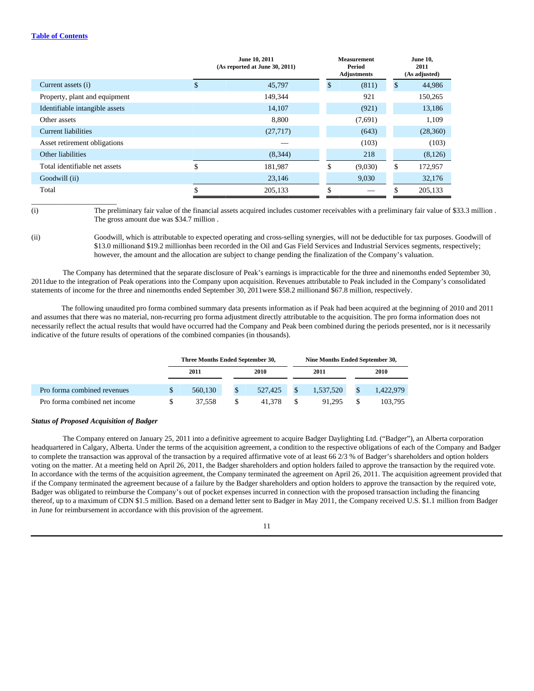|                                |    | June 10, 2011<br>(As reported at June 30, 2011) |                   | <b>Measurement</b><br>Period<br><b>Adjustments</b> |    | <b>June 10,</b><br>2011<br>(As adjusted) |
|--------------------------------|----|-------------------------------------------------|-------------------|----------------------------------------------------|----|------------------------------------------|
| Current assets (i)             | \$ | 45,797                                          | $\triangle$<br>J. | (811)                                              | \$ | 44,986                                   |
| Property, plant and equipment  |    | 149,344                                         |                   | 921                                                |    | 150,265                                  |
| Identifiable intangible assets |    | 14,107                                          |                   | (921)                                              |    | 13,186                                   |
| Other assets                   |    | 8.800                                           |                   | (7,691)                                            |    | 1,109                                    |
| Current liabilities            |    | (27,717)                                        |                   | (643)                                              |    | (28,360)                                 |
| Asset retirement obligations   |    |                                                 |                   | (103)                                              |    | (103)                                    |
| Other liabilities              |    | (8,344)                                         |                   | 218                                                |    | (8,126)                                  |
| Total identifiable net assets  | \$ | 181,987                                         | \$                | (9,030)                                            | \$ | 172,957                                  |
| Goodwill (ii)                  |    | 23,146                                          |                   | 9,030                                              |    | 32,176                                   |
| Total                          | Φ  | 205,133                                         | \$                |                                                    | ъ  | 205,133                                  |
|                                |    |                                                 |                   |                                                    |    |                                          |

(i) The preliminary fair value of the financial assets acquired includes customer receivables with a preliminary fair value of \$33.3 million . The gross amount due was \$34.7 million .

(ii) Goodwill, which is attributable to expected operating and cross-selling synergies, will not be deductible for tax purposes. Goodwill of \$13.0 millionand \$19.2 millionhas been recorded in the Oil and Gas Field Services and Industrial Services segments, respectively; however, the amount and the allocation are subject to change pending the finalization of the Company's valuation.

The Company has determined that the separate disclosure of Peak's earnings is impracticable for the three and ninemonths ended September 30, 2011due to the integration of Peak operations into the Company upon acquisition. Revenues attributable to Peak included in the Company's consolidated statements of income for the three and ninemonths ended September 30, 2011were \$58.2 millionand \$67.8 million, respectively.

The following unaudited pro forma combined summary data presents information as if Peak had been acquired at the beginning of 2010 and 2011 and assumes that there was no material, non-recurring pro forma adjustment directly attributable to the acquisition. The pro forma information does not necessarily reflect the actual results that would have occurred had the Company and Peak been combined during the periods presented, nor is it necessarily indicative of the future results of operations of the combined companies (in thousands).

|                               | Three Months Ended September 30, |         | Nine Months Ended September 30, |           |  |           |  |  |
|-------------------------------|----------------------------------|---------|---------------------------------|-----------|--|-----------|--|--|
|                               | 2011                             | 2010    |                                 | 2011      |  | 2010      |  |  |
| Pro forma combined revenues   | 560,130                          | 527,425 |                                 | 1,537,520 |  | 1,422,979 |  |  |
| Pro forma combined net income | 37.558                           | 41.378  |                                 | 91.295    |  | 103.795   |  |  |

## *Status of Proposed Acquisition of Badger*

The Company entered on January 25, 2011 into a definitive agreement to acquire Badger Daylighting Ltd. ("Badger"), an Alberta corporation headquartered in Calgary, Alberta. Under the terms of the acquisition agreement, a condition to the respective obligations of each of the Company and Badger to complete the transaction was approval of the transaction by a required affirmative vote of at least 66 2/3 % of Badger's shareholders and option holders voting on the matter. At a meeting held on April 26, 2011, the Badger shareholders and option holders failed to approve the transaction by the required vote. In accordance with the terms of the acquisition agreement, the Company terminated the agreement on April 26, 2011. The acquisition agreement provided that if the Company terminated the agreement because of a failure by the Badger shareholders and option holders to approve the transaction by the required vote, Badger was obligated to reimburse the Company's out of pocket expenses incurred in connection with the proposed transaction including the financing thereof, up to a maximum of CDN \$1.5 million. Based on a demand letter sent to Badger in May 2011, the Company received U.S. \$1.1 million from Badger in June for reimbursement in accordance with this provision of the agreement.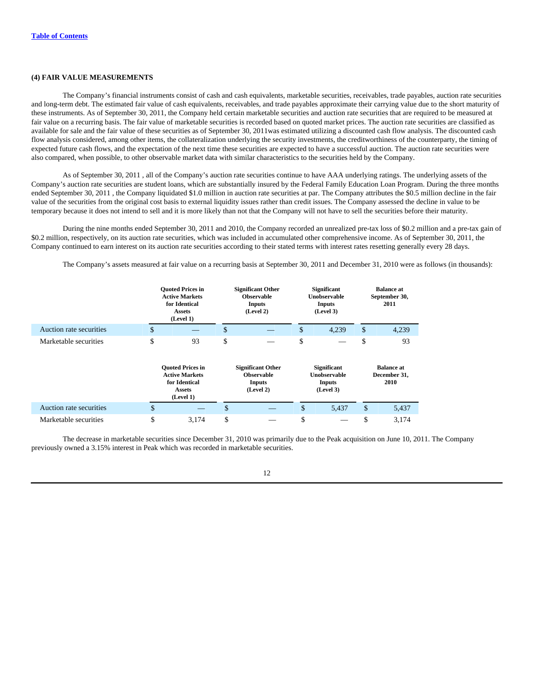## **(4) FAIR VALUE MEASUREMENTS**

The Company's financial instruments consist of cash and cash equivalents, marketable securities, receivables, trade payables, auction rate securities and long-term debt. The estimated fair value of cash equivalents, receivables, and trade payables approximate their carrying value due to the short maturity of these instruments. As of September 30, 2011, the Company held certain marketable securities and auction rate securities that are required to be measured at fair value on a recurring basis. The fair value of marketable securities is recorded based on quoted market prices. The auction rate securities are classified as available for sale and the fair value of these securities as of September 30, 2011was estimated utilizing a discounted cash flow analysis. The discounted cash flow analysis considered, among other items, the collateralization underlying the security investments, the creditworthiness of the counterparty, the timing of expected future cash flows, and the expectation of the next time these securities are expected to have a successful auction. The auction rate securities were also compared, when possible, to other observable market data with similar characteristics to the securities held by the Company.

As of September 30, 2011 , all of the Company's auction rate securities continue to have AAA underlying ratings. The underlying assets of the Company's auction rate securities are student loans, which are substantially insured by the Federal Family Education Loan Program. During the three months ended September 30, 2011 , the Company liquidated \$1.0 million in auction rate securities at par. The Company attributes the \$0.5 million decline in the fair value of the securities from the original cost basis to external liquidity issues rather than credit issues. The Company assessed the decline in value to be temporary because it does not intend to sell and it is more likely than not that the Company will not have to sell the securities before their maturity.

During the nine months ended September 30, 2011 and 2010, the Company recorded an unrealized pre-tax loss of \$0.2 million and a pre-tax gain of \$0.2 million, respectively, on its auction rate securities, which was included in accumulated other comprehensive income. As of September 30, 2011, the Company continued to earn interest on its auction rate securities according to their stated terms with interest rates resetting generally every 28 days.

The Company's assets measured at fair value on a recurring basis at September 30, 2011 and December 31, 2010 were as follows (in thousands):

|                         | <b>Ouoted Prices in</b><br><b>Active Markets</b><br>for Identical<br><b>Assets</b><br>(Level 1) |    | <b>Significant Other</b><br><b>Observable</b><br><b>Inputs</b><br>(Level 2) |    | <b>Significant</b><br><b>Unobservable</b><br><b>Inputs</b><br>(Level 3) | <b>Balance at</b><br>September 30,<br>2011 |  |  |
|-------------------------|-------------------------------------------------------------------------------------------------|----|-----------------------------------------------------------------------------|----|-------------------------------------------------------------------------|--------------------------------------------|--|--|
| Auction rate securities | \$                                                                                              | \$ |                                                                             | \$ | 4,239                                                                   | \$<br>4,239                                |  |  |
| Marketable securities   | \$<br>93                                                                                        |    | \$                                                                          |    |                                                                         | \$<br>93                                   |  |  |
|                         | <b>Ouoted Prices in</b><br><b>Active Markets</b><br>for Identical<br><b>Assets</b><br>(Level 1) |    | <b>Significant Other</b><br><b>Observable</b><br><b>Inputs</b><br>(Level 2) |    | <b>Significant</b><br><b>Unobservable</b><br><b>Inputs</b><br>(Level 3) | <b>Balance at</b><br>December 31,<br>2010  |  |  |
| Auction rate securities | \$                                                                                              | \$ |                                                                             | \$ | 5,437                                                                   | \$<br>5,437                                |  |  |
| Marketable securities   | \$<br>3.174                                                                                     | \$ |                                                                             | \$ |                                                                         | \$<br>3.174                                |  |  |

The decrease in marketable securities since December 31, 2010 was primarily due to the Peak acquisition on June 10, 2011. The Company previously owned a 3.15% interest in Peak which was recorded in marketable securities.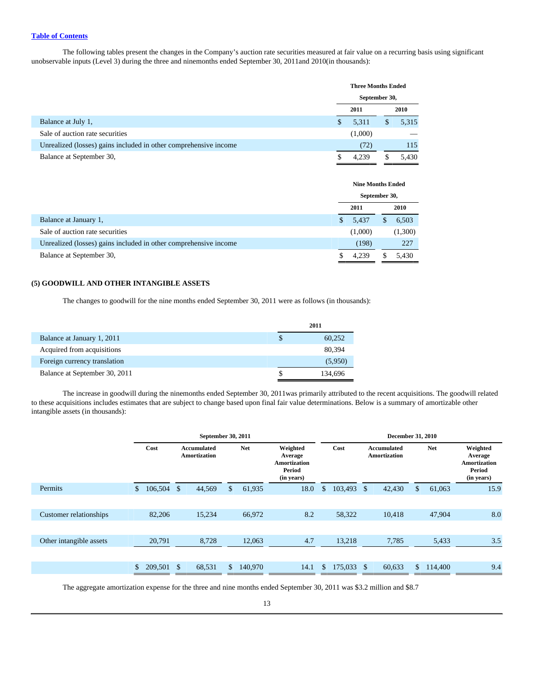The following tables present the changes in the Company's auction rate securities measured at fair value on a recurring basis using significant unobservable inputs (Level 3) during the three and ninemonths ended September 30, 2011and 2010(in thousands):

|                                                                  | <b>Three Months Ended</b> |               |   |       |
|------------------------------------------------------------------|---------------------------|---------------|---|-------|
|                                                                  |                           | September 30, |   |       |
|                                                                  |                           | 2011          |   | 2010  |
| Balance at July 1,                                               | S                         | 5,311         | S | 5,315 |
| Sale of auction rate securities                                  |                           | (1,000)       |   |       |
| Unrealized (losses) gains included in other comprehensive income |                           | (72)          |   | 115   |
| Balance at September 30,                                         |                           | 4.239         |   | 5.430 |

|                                                                  | <b>Nine Months Ended</b> |               |    |         |  |
|------------------------------------------------------------------|--------------------------|---------------|----|---------|--|
|                                                                  |                          | September 30, |    |         |  |
|                                                                  |                          | 2011          |    | 2010    |  |
| Balance at January 1,                                            | \$.                      | 5,437         | \$ | 6,503   |  |
| Sale of auction rate securities                                  |                          | (1,000)       |    | (1,300) |  |
| Unrealized (losses) gains included in other comprehensive income |                          | (198)         |    | 227     |  |
| Balance at September 30,                                         |                          | 4.239         |    | 5.430   |  |

## **(5) GOODWILL AND OTHER INTANGIBLE ASSETS**

The changes to goodwill for the nine months ended September 30, 2011 were as follows (in thousands):

|                               |   | 2011    |
|-------------------------------|---|---------|
| Balance at January 1, 2011    |   | 60,252  |
| Acquired from acquisitions    |   | 80.394  |
| Foreign currency translation  |   | (5,950) |
| Balance at September 30, 2011 | S | 134.696 |

The increase in goodwill during the ninemonths ended September 30, 2011was primarily attributed to the recent acquisitions. The goodwill related to these acquisitions includes estimates that are subject to change based upon final fair value determinations. Below is a summary of amortizable other intangible assets (in thousands):

|                         |                          | September 30, 2011                        |              | <b>December 31, 2010</b> |                                                                    |    |         |               |                                                   |    |         |            |                                                                    |
|-------------------------|--------------------------|-------------------------------------------|--------------|--------------------------|--------------------------------------------------------------------|----|---------|---------------|---------------------------------------------------|----|---------|------------|--------------------------------------------------------------------|
|                         | Cost                     | <b>Accumulated</b><br><b>Amortization</b> | <b>Net</b>   |                          | Weighted<br>Average<br><b>Amortization</b><br>Period<br>(in years) |    |         |               | Cost<br><b>Accumulated</b><br><b>Amortization</b> |    |         | <b>Net</b> | Weighted<br>Average<br><b>Amortization</b><br>Period<br>(in years) |
| Permits                 | 106,504<br>$\mathbb{S}$  | $\mathbb{S}$<br>44,569                    | $\mathbb{S}$ | 61,935                   | 18.0                                                               | \$ | 103,493 | $\mathbb{S}$  | 42,430                                            | \$ | 61,063  | 15.9       |                                                                    |
|                         |                          |                                           |              |                          |                                                                    |    |         |               |                                                   |    |         |            |                                                                    |
| Customer relationships  | 82,206                   | 15,234                                    |              | 66,972                   | 8.2                                                                |    | 58,322  |               | 10,418                                            |    | 47,904  | 8.0        |                                                                    |
|                         |                          |                                           |              |                          |                                                                    |    |         |               |                                                   |    |         |            |                                                                    |
| Other intangible assets | 20,791                   | 8,728                                     |              | 12,063                   | 4.7                                                                |    | 13,218  |               | 7,785                                             |    | 5,433   | 3.5        |                                                                    |
|                         |                          |                                           |              |                          |                                                                    |    |         |               |                                                   |    |         |            |                                                                    |
|                         | $\mathcal{S}$<br>209,501 | $\mathbf{\$}$<br>68,531                   | \$           | 140,970                  | 14.1                                                               | \$ | 175,033 | <sup>\$</sup> | 60,633                                            | \$ | 114,400 | 9.4        |                                                                    |

The aggregate amortization expense for the three and nine months ended September 30, 2011 was \$3.2 million and \$8.7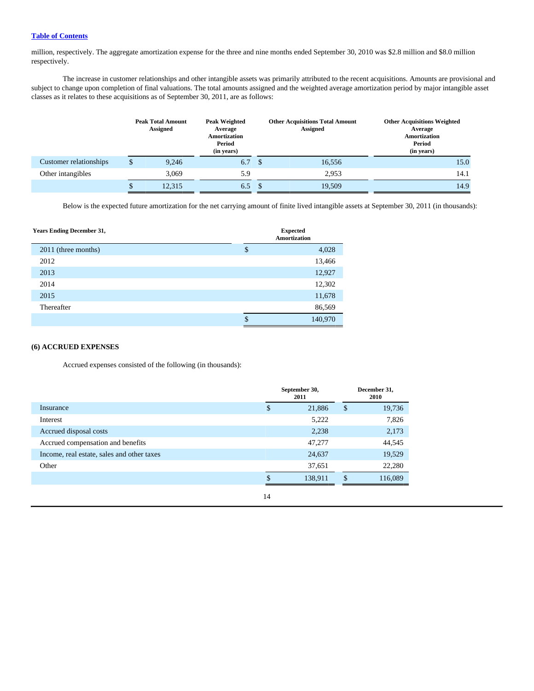million, respectively. The aggregate amortization expense for the three and nine months ended September 30, 2010 was \$2.8 million and \$8.0 million respectively.

The increase in customer relationships and other intangible assets was primarily attributed to the recent acquisitions. Amounts are provisional and subject to change upon completion of final valuations. The total amounts assigned and the weighted average amortization period by major intangible asset classes as it relates to these acquisitions as of September 30, 2011, are as follows:

|                        | <b>Peak Total Amount</b><br><b>Assigned</b> | <b>Peak Weighted</b><br>Average<br><b>Amortization</b><br>Period<br>(in years) |     |          | <b>Other Acquisitions Total Amount</b><br><b>Assigned</b> | <b>Other Acquisitions Weighted</b><br>Average<br>Amortization<br>Period<br>(in years) |
|------------------------|---------------------------------------------|--------------------------------------------------------------------------------|-----|----------|-----------------------------------------------------------|---------------------------------------------------------------------------------------|
| Customer relationships | 9.246                                       |                                                                                | 6.7 | - \$     | 16,556                                                    | 15.0                                                                                  |
| Other intangibles      | 3.069                                       |                                                                                | 5.9 |          | 2.953                                                     | 14.1                                                                                  |
|                        | 12,315                                      |                                                                                | 6.5 | <b>S</b> | 19,509                                                    | 14.9                                                                                  |

Below is the expected future amortization for the net carrying amount of finite lived intangible assets at September 30, 2011 (in thousands):

| <b>Years Ending December 31,</b> | <b>Expected</b><br><b>Amortization</b> |         |  |  |
|----------------------------------|----------------------------------------|---------|--|--|
| 2011 (three months)              | \$                                     | 4,028   |  |  |
| 2012                             |                                        | 13,466  |  |  |
| 2013                             |                                        | 12,927  |  |  |
| 2014                             |                                        | 12,302  |  |  |
| 2015                             |                                        | 11,678  |  |  |
| Thereafter                       |                                        | 86,569  |  |  |
|                                  | $\mathbb{S}$                           | 140,970 |  |  |

## **(6) ACCRUED EXPENSES**

Accrued expenses consisted of the following (in thousands):

|                                            |    | September 30,<br>2011 | December 31,<br>2010 |
|--------------------------------------------|----|-----------------------|----------------------|
| Insurance                                  | \$ | 21,886                | \$<br>19,736         |
| Interest                                   |    | 5,222                 | 7,826                |
| Accrued disposal costs                     |    | 2,238                 | 2,173                |
| Accrued compensation and benefits          |    | 47,277                | 44,545               |
| Income, real estate, sales and other taxes |    | 24,637                | 19,529               |
| Other                                      |    | 37,651                | 22,280               |
|                                            |    | 138,911               | \$<br>116,089        |
|                                            | 14 |                       |                      |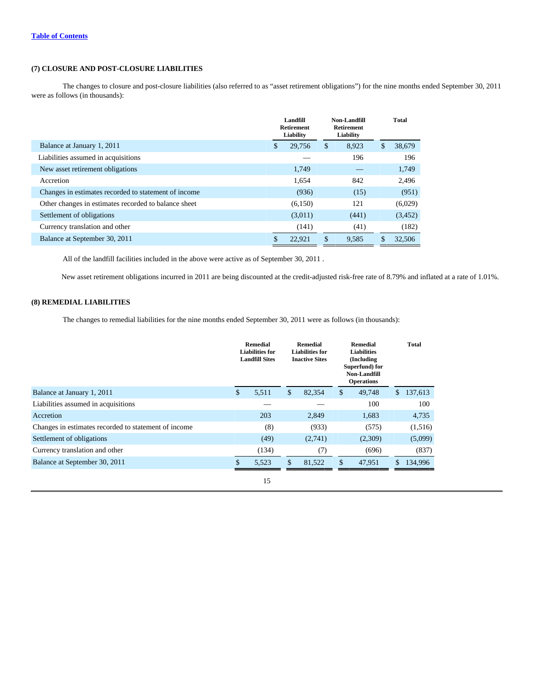## **(7) CLOSURE AND POST-CLOSURE LIABILITIES**

The changes to closure and post-closure liabilities (also referred to as "asset retirement obligations") for the nine months ended September 30, 2011 were as follows (in thousands):

|                                                      | Landfill<br><b>Retirement</b><br>Liability |         | Non-Landfill<br><b>Retirement</b><br>Liability |    | Total   |
|------------------------------------------------------|--------------------------------------------|---------|------------------------------------------------|----|---------|
| Balance at January 1, 2011                           | \$.                                        | 29.756  | \$<br>8.923                                    | \$ | 38,679  |
| Liabilities assumed in acquisitions                  |                                            |         | 196                                            |    | 196     |
| New asset retirement obligations                     |                                            | 1,749   |                                                |    | 1,749   |
| Accretion                                            |                                            | 1,654   | 842                                            |    | 2,496   |
| Changes in estimates recorded to statement of income |                                            | (936)   | (15)                                           |    | (951)   |
| Other changes in estimates recorded to balance sheet |                                            | (6,150) | 121                                            |    | (6,029) |
| Settlement of obligations                            |                                            | (3,011) | (441)                                          |    | (3,452) |
| Currency translation and other                       |                                            | (141)   | (41)                                           |    | (182)   |
| Balance at September 30, 2011                        |                                            | 22.921  | \$<br>9,585                                    |    | 32,506  |

All of the landfill facilities included in the above were active as of September 30, 2011 .

New asset retirement obligations incurred in 2011 are being discounted at the credit-adjusted risk-free rate of 8.79% and inflated at a rate of 1.01%.

# **(8) REMEDIAL LIABILITIES**

The changes to remedial liabilities for the nine months ended September 30, 2011 were as follows (in thousands):

|                                                      | Remedial<br><b>Liabilities for</b><br><b>Landfill Sites</b> | <b>Remedial</b><br><b>Liabilities for</b><br><b>Inactive Sites</b> |         | Remedial<br><b>Liabilities</b><br>(Including)<br>Superfund) for<br><b>Non-Landfill</b><br><b>Operations</b> |         | <b>Total</b>  |
|------------------------------------------------------|-------------------------------------------------------------|--------------------------------------------------------------------|---------|-------------------------------------------------------------------------------------------------------------|---------|---------------|
| Balance at January 1, 2011                           | \$<br>5,511                                                 | \$                                                                 | 82,354  | \$                                                                                                          | 49,748  | \$<br>137,613 |
| Liabilities assumed in acquisitions                  |                                                             |                                                                    |         |                                                                                                             | 100     | 100           |
| Accretion                                            | 203                                                         |                                                                    | 2,849   |                                                                                                             | 1,683   | 4,735         |
| Changes in estimates recorded to statement of income | (8)                                                         |                                                                    | (933)   |                                                                                                             | (575)   | (1,516)       |
| Settlement of obligations                            | (49)                                                        |                                                                    | (2,741) |                                                                                                             | (2,309) | (5,099)       |
| Currency translation and other                       | (134)                                                       |                                                                    | (7)     |                                                                                                             | (696)   | (837)         |
| Balance at September 30, 2011                        | \$<br>5,523                                                 | \$                                                                 | 81,522  | \$                                                                                                          | 47,951  | \$<br>134,996 |
|                                                      | 15                                                          |                                                                    |         |                                                                                                             |         |               |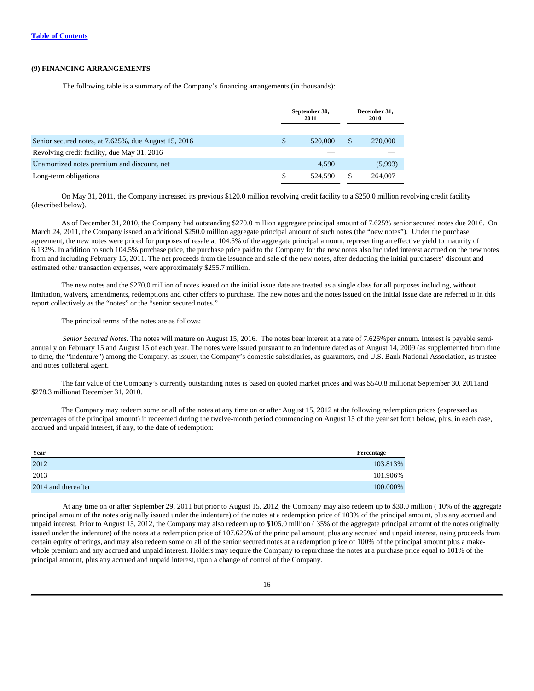## **(9) FINANCING ARRANGEMENTS**

The following table is a summary of the Company's financing arrangements (in thousands):

|                                                      |    | September 30,<br>2011 | December 31,<br>2010 |
|------------------------------------------------------|----|-----------------------|----------------------|
|                                                      |    |                       |                      |
| Senior secured notes, at 7.625%, due August 15, 2016 | \$ | 520,000               | \$<br>270,000        |
| Revolving credit facility, due May 31, 2016          |    |                       |                      |
| Unamortized notes premium and discount, net          |    | 4,590                 | (5,993)              |
| Long-term obligations                                | S. | 524.590               | \$<br>264,007        |

On May 31, 2011, the Company increased its previous \$120.0 million revolving credit facility to a \$250.0 million revolving credit facility (described below).

As of December 31, 2010, the Company had outstanding \$270.0 million aggregate principal amount of 7.625% senior secured notes due 2016. On March 24, 2011, the Company issued an additional \$250.0 million aggregate principal amount of such notes (the "new notes"). Under the purchase agreement, the new notes were priced for purposes of resale at 104.5% of the aggregate principal amount, representing an effective yield to maturity of 6.132%. In addition to such 104.5% purchase price, the purchase price paid to the Company for the new notes also included interest accrued on the new notes from and including February 15, 2011. The net proceeds from the issuance and sale of the new notes, after deducting the initial purchasers' discount and estimated other transaction expenses, were approximately \$255.7 million.

The new notes and the \$270.0 million of notes issued on the initial issue date are treated as a single class for all purposes including, without limitation, waivers, amendments, redemptions and other offers to purchase. The new notes and the notes issued on the initial issue date are referred to in this report collectively as the "notes" or the "senior secured notes."

The principal terms of the notes are as follows:

*Senior Secured Notes.* The notes will mature on August 15, 2016. The notes bear interest at a rate of 7.625% per annum. Interest is payable semiannually on February 15 and August 15 of each year. The notes were issued pursuant to an indenture dated as of August 14, 2009 (as supplemented from time to time, the "indenture") among the Company, as issuer, the Company's domestic subsidiaries, as guarantors, and U.S. Bank National Association, as trustee and notes collateral agent.

The fair value of the Company's currently outstanding notes is based on quoted market prices and was \$540.8 millionat September 30, 2011and \$278.3 millionat December 31, 2010.

The Company may redeem some or all of the notes at any time on or after August 15, 2012 at the following redemption prices (expressed as percentages of the principal amount) if redeemed during the twelve-month period commencing on August 15 of the year set forth below, plus, in each case, accrued and unpaid interest, if any, to the date of redemption:

| Year                | Percentage |
|---------------------|------------|
| 2012                | 103.813%   |
| 2013                | 101.906%   |
| 2014 and thereafter | 100.000%   |

At any time on or after September 29, 2011 but prior to August 15, 2012, the Company may also redeem up to \$30.0 million ( 10% of the aggregate principal amount of the notes originally issued under the indenture) of the notes at a redemption price of 103% of the principal amount, plus any accrued and unpaid interest. Prior to August 15, 2012, the Company may also redeem up to \$105.0 million ( 35% of the aggregate principal amount of the notes originally issued under the indenture) of the notes at a redemption price of 107.625% of the principal amount, plus any accrued and unpaid interest, using proceeds from certain equity offerings, and may also redeem some or all of the senior secured notes at a redemption price of 100% of the principal amount plus a makewhole premium and any accrued and unpaid interest. Holders may require the Company to repurchase the notes at a purchase price equal to 101% of the principal amount, plus any accrued and unpaid interest, upon a change of control of the Company.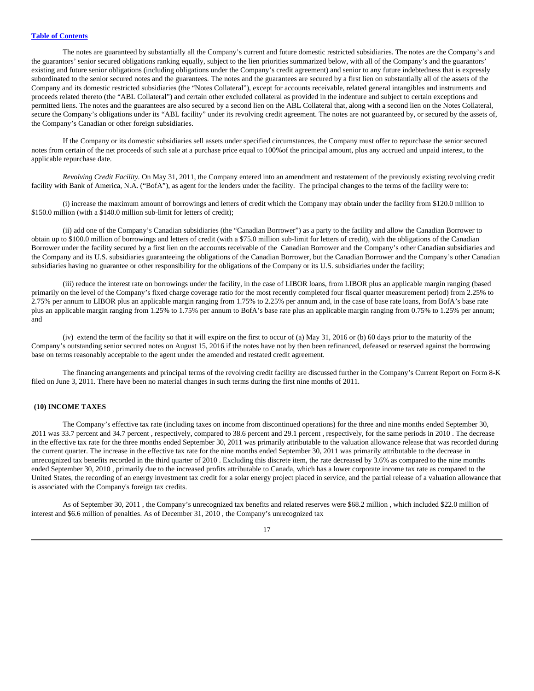The notes are guaranteed by substantially all the Company's current and future domestic restricted subsidiaries. The notes are the Company's and the guarantors' senior secured obligations ranking equally, subject to the lien priorities summarized below, with all of the Company's and the guarantors' existing and future senior obligations (including obligations under the Company's credit agreement) and senior to any future indebtedness that is expressly subordinated to the senior secured notes and the guarantees. The notes and the guarantees are secured by a first lien on substantially all of the assets of the Company and its domestic restricted subsidiaries (the "Notes Collateral"), except for accounts receivable, related general intangibles and instruments and proceeds related thereto (the "ABL Collateral") and certain other excluded collateral as provided in the indenture and subject to certain exceptions and permitted liens. The notes and the guarantees are also secured by a second lien on the ABL Collateral that, along with a second lien on the Notes Collateral, secure the Company's obligations under its "ABL facility" under its revolving credit agreement. The notes are not guaranteed by, or secured by the assets of, the Company's Canadian or other foreign subsidiaries.

If the Company or its domestic subsidiaries sell assets under specified circumstances, the Company must offer to repurchase the senior secured notes from certain of the net proceeds of such sale at a purchase price equal to 100%of the principal amount, plus any accrued and unpaid interest, to the applicable repurchase date.

*Revolving Credit Facility.* On May 31, 2011, the Company entered into an amendment and restatement of the previously existing revolving credit facility with Bank of America, N.A. ("BofA"), as agent for the lenders under the facility. The principal changes to the terms of the facility were to:

(i) increase the maximum amount of borrowings and letters of credit which the Company may obtain under the facility from \$120.0 million to \$150.0 million (with a \$140.0 million sub-limit for letters of credit);

(ii) add one of the Company's Canadian subsidiaries (the "Canadian Borrower") as a party to the facility and allow the Canadian Borrower to obtain up to \$100.0 million of borrowings and letters of credit (with a \$75.0 million sub-limit for letters of credit), with the obligations of the Canadian Borrower under the facility secured by a first lien on the accounts receivable of the Canadian Borrower and the Company's other Canadian subsidiaries and the Company and its U.S. subsidiaries guaranteeing the obligations of the Canadian Borrower, but the Canadian Borrower and the Company's other Canadian subsidiaries having no guarantee or other responsibility for the obligations of the Company or its U.S. subsidiaries under the facility;

(iii) reduce the interest rate on borrowings under the facility, in the case of LIBOR loans, from LIBOR plus an applicable margin ranging (based primarily on the level of the Company's fixed charge coverage ratio for the most recently completed four fiscal quarter measurement period) from 2.25% to 2.75% per annum to LIBOR plus an applicable margin ranging from 1.75% to 2.25% per annum and, in the case of base rate loans, from BofA's base rate plus an applicable margin ranging from 1.25% to 1.75% per annum to BofA's base rate plus an applicable margin ranging from 0.75% to 1.25% per annum; and

(iv) extend the term of the facility so that it will expire on the first to occur of (a) May 31, 2016 or (b) 60 days prior to the maturity of the Company's outstanding senior secured notes on August 15, 2016 if the notes have not by then been refinanced, defeased or reserved against the borrowing base on terms reasonably acceptable to the agent under the amended and restated credit agreement.

The financing arrangements and principal terms of the revolving credit facility are discussed further in the Company's Current Report on Form 8-K filed on June 3, 2011. There have been no material changes in such terms during the first nine months of 2011.

## **(10) INCOME TAXES**

The Company's effective tax rate (including taxes on income from discontinued operations) for the three and nine months ended September 30, 2011 was 33.7 percent and 34.7 percent , respectively, compared to 38.6 percent and 29.1 percent , respectively, for the same periods in 2010 . The decrease in the effective tax rate for the three months ended September 30, 2011 was primarily attributable to the valuation allowance release that was recorded during the current quarter. The increase in the effective tax rate for the nine months ended September 30, 2011 was primarily attributable to the decrease in unrecognized tax benefits recorded in the third quarter of 2010 . Excluding this discrete item, the rate decreased by 3.6% as compared to the nine months ended September 30, 2010 , primarily due to the increased profits attributable to Canada, which has a lower corporate income tax rate as compared to the United States, the recording of an energy investment tax credit for a solar energy project placed in service, and the partial release of a valuation allowance that is associated with the Company's foreign tax credits.

As of September 30, 2011 , the Company's unrecognized tax benefits and related reserves were \$68.2 million , which included \$22.0 million of interest and \$6.6 million of penalties. As of December 31, 2010 , the Company's unrecognized tax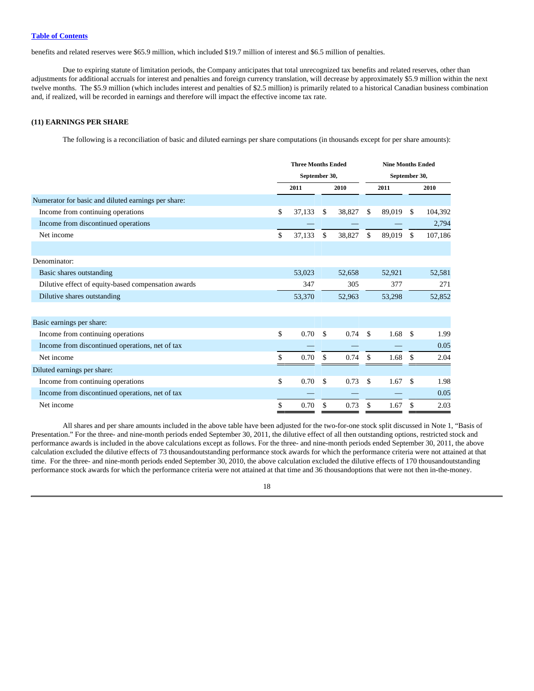benefits and related reserves were \$65.9 million, which included \$19.7 million of interest and \$6.5 million of penalties.

Due to expiring statute of limitation periods, the Company anticipates that total unrecognized tax benefits and related reserves, other than adjustments for additional accruals for interest and penalties and foreign currency translation, will decrease by approximately \$5.9 million within the next twelve months. The \$5.9 million (which includes interest and penalties of \$2.5 million) is primarily related to a historical Canadian business combination and, if realized, will be recorded in earnings and therefore will impact the effective income tax rate.

## **(11) EARNINGS PER SHARE**

The following is a reconciliation of basic and diluted earnings per share computations (in thousands except for per share amounts):

|                                                     | <b>Three Months Ended</b> |               |        | <b>Nine Months Ended</b> |               |              |         |  |
|-----------------------------------------------------|---------------------------|---------------|--------|--------------------------|---------------|--------------|---------|--|
|                                                     | September 30,             |               |        |                          | September 30, |              |         |  |
|                                                     | 2011                      | 2010          |        | 2011                     |               |              | 2010    |  |
| Numerator for basic and diluted earnings per share: |                           |               |        |                          |               |              |         |  |
| Income from continuing operations                   | \$<br>37,133              | \$            | 38,827 | \$                       | 89,019        | \$           | 104,392 |  |
| Income from discontinued operations                 |                           |               |        |                          |               |              | 2,794   |  |
| Net income                                          | \$<br>37,133              | \$            | 38.827 | \$                       | 89,019        | $\mathbb{S}$ | 107,186 |  |
|                                                     |                           |               |        |                          |               |              |         |  |
| Denominator:                                        |                           |               |        |                          |               |              |         |  |
| Basic shares outstanding                            | 53,023                    |               | 52,658 |                          | 52,921        |              | 52,581  |  |
| Dilutive effect of equity-based compensation awards | 347                       |               | 305    |                          | 377           |              | 271     |  |
| Dilutive shares outstanding                         | 53,370                    |               | 52,963 |                          | 53,298        |              | 52,852  |  |
|                                                     |                           |               |        |                          |               |              |         |  |
| Basic earnings per share:                           |                           |               |        |                          |               |              |         |  |
| Income from continuing operations                   | \$<br>0.70                | <sup>\$</sup> | 0.74   | \$                       | 1.68          | -\$          | 1.99    |  |
| Income from discontinued operations, net of tax     |                           |               |        |                          |               |              | 0.05    |  |
| Net income                                          | \$<br>0.70                | $\mathbb{S}$  | 0.74   | $\mathbb{S}$             | 1.68          | \$           | 2.04    |  |
| Diluted earnings per share:                         |                           |               |        |                          |               |              |         |  |
| Income from continuing operations                   | \$<br>0.70                | \$            | 0.73   | \$                       | 1.67          | $\mathbf{s}$ | 1.98    |  |
| Income from discontinued operations, net of tax     |                           |               |        |                          |               |              | 0.05    |  |
| Net income                                          | \$<br>0.70                | \$            | 0.73   | \$                       | 1.67          | \$           | 2.03    |  |

All shares and per share amounts included in the above table have been adjusted for the two-for-one stock split discussed in Note 1, "Basis of Presentation." For the three- and nine-month periods ended September 30, 2011, the dilutive effect of all then outstanding options, restricted stock and performance awards is included in the above calculations except as follows. For the three- and nine-month periods ended September 30, 2011, the above calculation excluded the dilutive effects of 73 thousandoutstanding performance stock awards for which the performance criteria were not attained at that time. For the three- and nine-month periods ended September 30, 2010, the above calculation excluded the dilutive effects of 170 thousandoutstanding performance stock awards for which the performance criteria were not attained at that time and 36 thousandoptions that were not then in-the-money.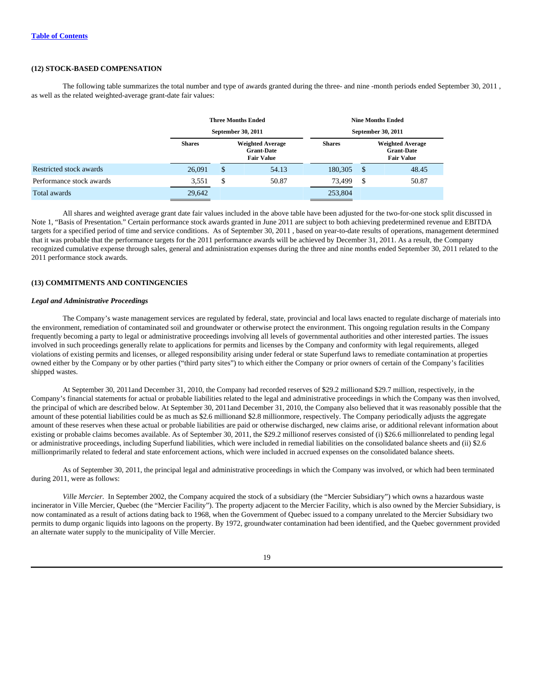#### **(12) STOCK-BASED COMPENSATION**

The following table summarizes the total number and type of awards granted during the three- and nine -month periods ended September 30, 2011 , as well as the related weighted-average grant-date fair values:

|                          |               |                        | <b>Three Months Ended</b>                                         |               | <b>Nine Months Ended</b> |                                                                   |  |  |  |  |  |
|--------------------------|---------------|------------------------|-------------------------------------------------------------------|---------------|--------------------------|-------------------------------------------------------------------|--|--|--|--|--|
|                          |               |                        | September 30, 2011                                                |               |                          | September 30, 2011                                                |  |  |  |  |  |
|                          | <b>Shares</b> |                        | <b>Weighted Average</b><br><b>Grant-Date</b><br><b>Fair Value</b> | <b>Shares</b> |                          | <b>Weighted Average</b><br><b>Grant-Date</b><br><b>Fair Value</b> |  |  |  |  |  |
| Restricted stock awards  | 26,091        | $\mathbf{\mathcal{S}}$ | 54.13                                                             | 180,305       | \$                       | 48.45                                                             |  |  |  |  |  |
| Performance stock awards | 3,551         | \$                     | 50.87                                                             | 73.499        | \$                       | 50.87                                                             |  |  |  |  |  |
| Total awards             | 29,642        |                        |                                                                   | 253,804       |                          |                                                                   |  |  |  |  |  |

All shares and weighted average grant date fair values included in the above table have been adjusted for the two-for-one stock split discussed in Note 1, "Basis of Presentation." Certain performance stock awards granted in June 2011 are subject to both achieving predetermined revenue and EBITDA targets for a specified period of time and service conditions. As of September 30, 2011 , based on year-to-date results of operations, management determined that it was probable that the performance targets for the 2011 performance awards will be achieved by December 31, 2011. As a result, the Company recognized cumulative expense through sales, general and administration expenses during the three and nine months ended September 30, 2011 related to the 2011 performance stock awards.

#### **(13) COMMITMENTS AND CONTINGENCIES**

#### *Legal and Administrative Proceedings*

The Company's waste management services are regulated by federal, state, provincial and local laws enacted to regulate discharge of materials into the environment, remediation of contaminated soil and groundwater or otherwise protect the environment. This ongoing regulation results in the Company frequently becoming a party to legal or administrative proceedings involving all levels of governmental authorities and other interested parties. The issues involved in such proceedings generally relate to applications for permits and licenses by the Company and conformity with legal requirements, alleged violations of existing permits and licenses, or alleged responsibility arising under federal or state Superfund laws to remediate contamination at properties owned either by the Company or by other parties ("third party sites") to which either the Company or prior owners of certain of the Company's facilities shipped wastes.

At September 30, 2011and December 31, 2010, the Company had recorded reserves of \$29.2 millionand \$29.7 million, respectively, in the Company's financial statements for actual or probable liabilities related to the legal and administrative proceedings in which the Company was then involved, the principal of which are described below. At September 30, 2011and December 31, 2010, the Company also believed that it was reasonably possible that the amount of these potential liabilities could be as much as \$2.6 millionand \$2.8 millionmore, respectively. The Company periodically adjusts the aggregate amount of these reserves when these actual or probable liabilities are paid or otherwise discharged, new claims arise, or additional relevant information about existing or probable claims becomes available. As of September 30, 2011, the \$29.2 millionof reserves consisted of (i) \$26.6 millionrelated to pending legal or administrative proceedings, including Superfund liabilities, which were included in remedial liabilities on the consolidated balance sheets and (ii) \$2.6 millionprimarily related to federal and state enforcement actions, which were included in accrued expenses on the consolidated balance sheets.

As of September 30, 2011, the principal legal and administrative proceedings in which the Company was involved, or which had been terminated during 2011, were as follows:

*Ville Mercier.* In September 2002, the Company acquired the stock of a subsidiary (the "Mercier Subsidiary") which owns a hazardous waste incinerator in Ville Mercier, Quebec (the "Mercier Facility"). The property adjacent to the Mercier Facility, which is also owned by the Mercier Subsidiary, is now contaminated as a result of actions dating back to 1968, when the Government of Quebec issued to a company unrelated to the Mercier Subsidiary two permits to dump organic liquids into lagoons on the property. By 1972, groundwater contamination had been identified, and the Quebec government provided an alternate water supply to the municipality of Ville Mercier.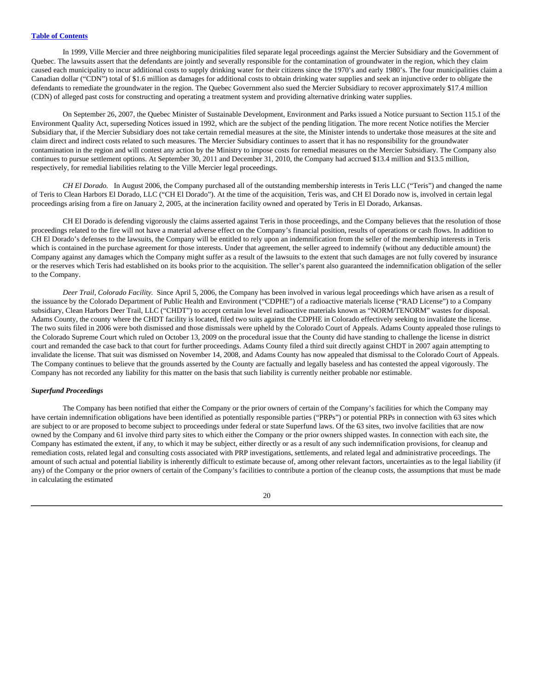In 1999, Ville Mercier and three neighboring municipalities filed separate legal proceedings against the Mercier Subsidiary and the Government of Quebec. The lawsuits assert that the defendants are jointly and severally responsible for the contamination of groundwater in the region, which they claim caused each municipality to incur additional costs to supply drinking water for their citizens since the 1970's and early 1980's. The four municipalities claim a Canadian dollar ("CDN") total of \$1.6 million as damages for additional costs to obtain drinking water supplies and seek an injunctive order to obligate the defendants to remediate the groundwater in the region. The Quebec Government also sued the Mercier Subsidiary to recover approximately \$17.4 million (CDN) of alleged past costs for constructing and operating a treatment system and providing alternative drinking water supplies.

On September 26, 2007, the Quebec Minister of Sustainable Development, Environment and Parks issued a Notice pursuant to Section 115.1 of the Environment Quality Act, superseding Notices issued in 1992, which are the subject of the pending litigation. The more recent Notice notifies the Mercier Subsidiary that, if the Mercier Subsidiary does not take certain remedial measures at the site, the Minister intends to undertake those measures at the site and claim direct and indirect costs related to such measures. The Mercier Subsidiary continues to assert that it has no responsibility for the groundwater contamination in the region and will contest any action by the Ministry to impose costs for remedial measures on the Mercier Subsidiary. The Company also continues to pursue settlement options. At September 30, 2011 and December 31, 2010, the Company had accrued \$13.4 million and \$13.5 million, respectively, for remedial liabilities relating to the Ville Mercier legal proceedings.

*CH El Dorado.* In August 2006, the Company purchased all of the outstanding membership interests in Teris LLC ("Teris") and changed the name of Teris to Clean Harbors El Dorado, LLC ("CH El Dorado"). At the time of the acquisition, Teris was, and CH El Dorado now is, involved in certain legal proceedings arising from a fire on January 2, 2005, at the incineration facility owned and operated by Teris in El Dorado, Arkansas.

CH El Dorado is defending vigorously the claims asserted against Teris in those proceedings, and the Company believes that the resolution of those proceedings related to the fire will not have a material adverse effect on the Company's financial position, results of operations or cash flows. In addition to CH El Dorado's defenses to the lawsuits, the Company will be entitled to rely upon an indemnification from the seller of the membership interests in Teris which is contained in the purchase agreement for those interests. Under that agreement, the seller agreed to indemnify (without any deductible amount) the Company against any damages which the Company might suffer as a result of the lawsuits to the extent that such damages are not fully covered by insurance or the reserves which Teris had established on its books prior to the acquisition. The seller's parent also guaranteed the indemnification obligation of the seller to the Company.

*Deer Trail, Colorado Facility.* Since April 5, 2006, the Company has been involved in various legal proceedings which have arisen as a result of the issuance by the Colorado Department of Public Health and Environment ("CDPHE") of a radioactive materials license ("RAD License") to a Company subsidiary, Clean Harbors Deer Trail, LLC ("CHDT") to accept certain low level radioactive materials known as "NORM/TENORM" wastes for disposal. Adams County, the county where the CHDT facility is located, filed two suits against the CDPHE in Colorado effectively seeking to invalidate the license. The two suits filed in 2006 were both dismissed and those dismissals were upheld by the Colorado Court of Appeals. Adams County appealed those rulings to the Colorado Supreme Court which ruled on October 13, 2009 on the procedural issue that the County did have standing to challenge the license in district court and remanded the case back to that court for further proceedings. Adams County filed a third suit directly against CHDT in 2007 again attempting to invalidate the license. That suit was dismissed on November 14, 2008, and Adams County has now appealed that dismissal to the Colorado Court of Appeals. The Company continues to believe that the grounds asserted by the County are factually and legally baseless and has contested the appeal vigorously. The Company has not recorded any liability for this matter on the basis that such liability is currently neither probable nor estimable.

#### *Superfund Proceedings*

The Company has been notified that either the Company or the prior owners of certain of the Company's facilities for which the Company may have certain indemnification obligations have been identified as potentially responsible parties ("PRPs") or potential PRPs in connection with 63 sites which are subject to or are proposed to become subject to proceedings under federal or state Superfund laws. Of the 63 sites, two involve facilities that are now owned by the Company and 61 involve third party sites to which either the Company or the prior owners shipped wastes. In connection with each site, the Company has estimated the extent, if any, to which it may be subject, either directly or as a result of any such indemnification provisions, for cleanup and remediation costs, related legal and consulting costs associated with PRP investigations, settlements, and related legal and administrative proceedings. The amount of such actual and potential liability is inherently difficult to estimate because of, among other relevant factors, uncertainties as to the legal liability (if any) of the Company or the prior owners of certain of the Company's facilities to contribute a portion of the cleanup costs, the assumptions that must be made in calculating the estimated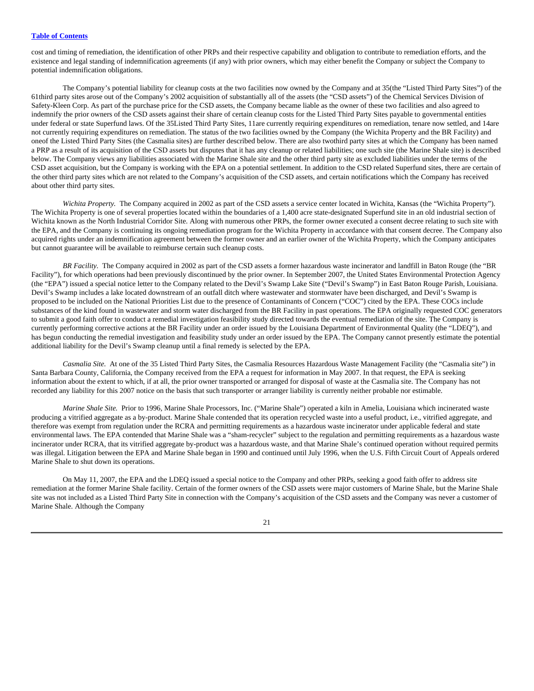cost and timing of remediation, the identification of other PRPs and their respective capability and obligation to contribute to remediation efforts, and the existence and legal standing of indemnification agreements (if any) with prior owners, which may either benefit the Company or subject the Company to potential indemnification obligations.

The Company's potential liability for cleanup costs at the two facilities now owned by the Company and at 35(the "Listed Third Party Sites") of the 61third party sites arose out of the Company's 2002 acquisition of substantially all of the assets (the "CSD assets") of the Chemical Services Division of Safety-Kleen Corp. As part of the purchase price for the CSD assets, the Company became liable as the owner of these two facilities and also agreed to indemnify the prior owners of the CSD assets against their share of certain cleanup costs for the Listed Third Party Sites payable to governmental entities under federal or state Superfund laws. Of the 35Listed Third Party Sites, 11are currently requiring expenditures on remediation, tenare now settled, and 14are not currently requiring expenditures on remediation. The status of the two facilities owned by the Company (the Wichita Property and the BR Facility) and oneof the Listed Third Party Sites (the Casmalia sites) are further described below. There are also twothird party sites at which the Company has been named a PRP as a result of its acquisition of the CSD assets but disputes that it has any cleanup or related liabilities; one such site (the Marine Shale site) is described below. The Company views any liabilities associated with the Marine Shale site and the other third party site as excluded liabilities under the terms of the CSD asset acquisition, but the Company is working with the EPA on a potential settlement. In addition to the CSD related Superfund sites, there are certain of the other third party sites which are not related to the Company's acquisition of the CSD assets, and certain notifications which the Company has received about other third party sites.

*Wichita Property.* The Company acquired in 2002 as part of the CSD assets a service center located in Wichita, Kansas (the "Wichita Property"). The Wichita Property is one of several properties located within the boundaries of a 1,400 acre state-designated Superfund site in an old industrial section of Wichita known as the North Industrial Corridor Site. Along with numerous other PRPs, the former owner executed a consent decree relating to such site with the EPA, and the Company is continuing its ongoing remediation program for the Wichita Property in accordance with that consent decree. The Company also acquired rights under an indemnification agreement between the former owner and an earlier owner of the Wichita Property, which the Company anticipates but cannot guarantee will be available to reimburse certain such cleanup costs.

*BR Facility.* The Company acquired in 2002 as part of the CSD assets a former hazardous waste incinerator and landfill in Baton Rouge (the "BR Facility"), for which operations had been previously discontinued by the prior owner. In September 2007, the United States Environmental Protection Agency (the "EPA") issued a special notice letter to the Company related to the Devil's Swamp Lake Site ("Devil's Swamp") in East Baton Rouge Parish, Louisiana. Devil's Swamp includes a lake located downstream of an outfall ditch where wastewater and stormwater have been discharged, and Devil's Swamp is proposed to be included on the National Priorities List due to the presence of Contaminants of Concern ("COC") cited by the EPA. These COCs include substances of the kind found in wastewater and storm water discharged from the BR Facility in past operations. The EPA originally requested COC generators to submit a good faith offer to conduct a remedial investigation feasibility study directed towards the eventual remediation of the site. The Company is currently performing corrective actions at the BR Facility under an order issued by the Louisiana Department of Environmental Quality (the "LDEQ"), and has begun conducting the remedial investigation and feasibility study under an order issued by the EPA. The Company cannot presently estimate the potential additional liability for the Devil's Swamp cleanup until a final remedy is selected by the EPA.

*Casmalia Site.* At one of the 35 Listed Third Party Sites, the Casmalia Resources Hazardous Waste Management Facility (the "Casmalia site") in Santa Barbara County, California, the Company received from the EPA a request for information in May 2007. In that request, the EPA is seeking information about the extent to which, if at all, the prior owner transported or arranged for disposal of waste at the Casmalia site. The Company has not recorded any liability for this 2007 notice on the basis that such transporter or arranger liability is currently neither probable nor estimable.

*Marine Shale Site.* Prior to 1996, Marine Shale Processors, Inc. ("Marine Shale") operated a kiln in Amelia, Louisiana which incinerated waste producing a vitrified aggregate as a by-product. Marine Shale contended that its operation recycled waste into a useful product, i.e., vitrified aggregate, and therefore was exempt from regulation under the RCRA and permitting requirements as a hazardous waste incinerator under applicable federal and state environmental laws. The EPA contended that Marine Shale was a "sham-recycler" subject to the regulation and permitting requirements as a hazardous waste incinerator under RCRA, that its vitrified aggregate by-product was a hazardous waste, and that Marine Shale's continued operation without required permits was illegal. Litigation between the EPA and Marine Shale began in 1990 and continued until July 1996, when the U.S. Fifth Circuit Court of Appeals ordered Marine Shale to shut down its operations.

On May 11, 2007, the EPA and the LDEQ issued a special notice to the Company and other PRPs, seeking a good faith offer to address site remediation at the former Marine Shale facility. Certain of the former owners of the CSD assets were major customers of Marine Shale, but the Marine Shale site was not included as a Listed Third Party Site in connection with the Company's acquisition of the CSD assets and the Company was never a customer of Marine Shale. Although the Company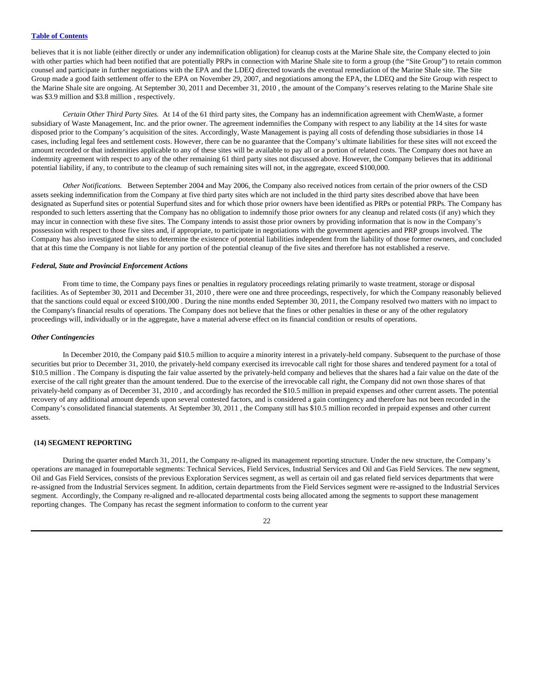believes that it is not liable (either directly or under any indemnification obligation) for cleanup costs at the Marine Shale site, the Company elected to join with other parties which had been notified that are potentially PRPs in connection with Marine Shale site to form a group (the "Site Group") to retain common counsel and participate in further negotiations with the EPA and the LDEQ directed towards the eventual remediation of the Marine Shale site. The Site Group made a good faith settlement offer to the EPA on November 29, 2007, and negotiations among the EPA, the LDEQ and the Site Group with respect to the Marine Shale site are ongoing. At September 30, 2011 and December 31, 2010 , the amount of the Company's reserves relating to the Marine Shale site was \$3.9 million and \$3.8 million , respectively.

*Certain Other Third Party Sites.* At 14 of the 61 third party sites, the Company has an indemnification agreement with ChemWaste, a former subsidiary of Waste Management, Inc. and the prior owner. The agreement indemnifies the Company with respect to any liability at the 14 sites for waste disposed prior to the Company's acquisition of the sites. Accordingly, Waste Management is paying all costs of defending those subsidiaries in those 14 cases, including legal fees and settlement costs. However, there can be no guarantee that the Company's ultimate liabilities for these sites will not exceed the amount recorded or that indemnities applicable to any of these sites will be available to pay all or a portion of related costs. The Company does not have an indemnity agreement with respect to any of the other remaining 61 third party sites not discussed above. However, the Company believes that its additional potential liability, if any, to contribute to the cleanup of such remaining sites will not, in the aggregate, exceed \$100,000.

*Other Notifications.* Between September 2004 and May 2006, the Company also received notices from certain of the prior owners of the CSD assets seeking indemnification from the Company at five third party sites which are not included in the third party sites described above that have been designated as Superfund sites or potential Superfund sites and for which those prior owners have been identified as PRPs or potential PRPs. The Company has responded to such letters asserting that the Company has no obligation to indemnify those prior owners for any cleanup and related costs (if any) which they may incur in connection with these five sites. The Company intends to assist those prior owners by providing information that is now in the Company's possession with respect to those five sites and, if appropriate, to participate in negotiations with the government agencies and PRP groups involved. The Company has also investigated the sites to determine the existence of potential liabilities independent from the liability of those former owners, and concluded that at this time the Company is not liable for any portion of the potential cleanup of the five sites and therefore has not established a reserve.

## *Federal, State and Provincial Enforcement Actions*

From time to time, the Company pays fines or penalties in regulatory proceedings relating primarily to waste treatment, storage or disposal facilities. As of September 30, 2011 and December 31, 2010 , there were one and three proceedings, respectively, for which the Company reasonably believed that the sanctions could equal or exceed \$100,000 . During the nine months ended September 30, 2011, the Company resolved two matters with no impact to the Company's financial results of operations. The Company does not believe that the fines or other penalties in these or any of the other regulatory proceedings will, individually or in the aggregate, have a material adverse effect on its financial condition or results of operations.

## *Other Contingencies*

In December 2010, the Company paid \$10.5 million to acquire a minority interest in a privately-held company. Subsequent to the purchase of those securities but prior to December 31, 2010, the privately-held company exercised its irrevocable call right for those shares and tendered payment for a total of \$10.5 million . The Company is disputing the fair value asserted by the privately-held company and believes that the shares had a fair value on the date of the exercise of the call right greater than the amount tendered. Due to the exercise of the irrevocable call right, the Company did not own those shares of that privately-held company as of December 31, 2010 , and accordingly has recorded the \$10.5 million in prepaid expenses and other current assets. The potential recovery of any additional amount depends upon several contested factors, and is considered a gain contingency and therefore has not been recorded in the Company's consolidated financial statements. At September 30, 2011 , the Company still has \$10.5 million recorded in prepaid expenses and other current assets.

## **(14) SEGMENT REPORTING**

During the quarter ended March 31, 2011, the Company re-aligned its management reporting structure. Under the new structure, the Company's operations are managed in fourreportable segments: Technical Services, Field Services, Industrial Services and Oil and Gas Field Services. The new segment, Oil and Gas Field Services, consists of the previous Exploration Services segment, as well as certain oil and gas related field services departments that were re-assigned from the Industrial Services segment. In addition, certain departments from the Field Services segment were re-assigned to the Industrial Services segment. Accordingly, the Company re-aligned and re-allocated departmental costs being allocated among the segments to support these management reporting changes. The Company has recast the segment information to conform to the current year

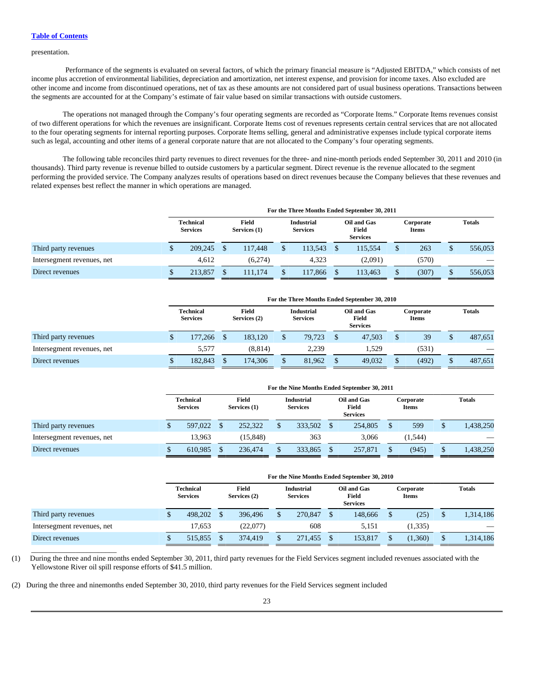\_\_\_\_\_\_\_\_\_\_\_\_\_\_\_\_\_\_\_\_\_\_\_

## presentation.

Performance of the segments is evaluated on several factors, of which the primary financial measure is "Adjusted EBITDA," which consists of net income plus accretion of environmental liabilities, depreciation and amortization, net interest expense, and provision for income taxes. Also excluded are other income and income from discontinued operations, net of tax as these amounts are not considered part of usual business operations. Transactions between the segments are accounted for at the Company's estimate of fair value based on similar transactions with outside customers.

The operations not managed through the Company's four operating segments are recorded as "Corporate Items." Corporate Items revenues consist of two different operations for which the revenues are insignificant. Corporate Items cost of revenues represents certain central services that are not allocated to the four operating segments for internal reporting purposes. Corporate Items selling, general and administrative expenses include typical corporate items such as legal, accounting and other items of a general corporate nature that are not allocated to the Company's four operating segments.

The following table reconciles third party revenues to direct revenues for the three- and nine-month periods ended September 30, 2011 and 2010 (in thousands). Third party revenue is revenue billed to outside customers by a particular segment. Direct revenue is the revenue allocated to the segment performing the provided service. The Company analyzes results of operations based on direct revenues because the Company believes that these revenues and related expenses best reflect the manner in which operations are managed.

|                            | For the Three Months Ended September 30, 2011 |  |                       |  |                                      |  |                                         |  |                           |    |               |
|----------------------------|-----------------------------------------------|--|-----------------------|--|--------------------------------------|--|-----------------------------------------|--|---------------------------|----|---------------|
|                            | <b>Technical</b><br><b>Services</b>           |  | Field<br>Services (1) |  | <b>Industrial</b><br><b>Services</b> |  | Oil and Gas<br>Field<br><b>Services</b> |  | Corporate<br><b>Items</b> |    | <b>Totals</b> |
| Third party revenues       | 209,245                                       |  | 117.448               |  | 113.543                              |  | 115.554                                 |  | 263                       |    | 556,053       |
| Intersegment revenues, net | 4.612                                         |  | (6.274)               |  | 4.323                                |  | (2,091)                                 |  | (570)                     |    |               |
| Direct revenues            | 213.857                                       |  | 111.174               |  | 117,866                              |  | 113.463                                 |  | (307)                     | ۰D | 556,053       |

|                            |                                     | For the Three Months Ended September 30, 2010 |                       |         |                                      |        |  |                                         |  |                           |  |                          |
|----------------------------|-------------------------------------|-----------------------------------------------|-----------------------|---------|--------------------------------------|--------|--|-----------------------------------------|--|---------------------------|--|--------------------------|
|                            | <b>Technical</b><br><b>Services</b> |                                               | Field<br>Services (2) |         | <b>Industrial</b><br><b>Services</b> |        |  | Oil and Gas<br>Field<br><b>Services</b> |  | Corporate<br><b>Items</b> |  | <b>Totals</b>            |
| Third party revenues       |                                     | 177,266                                       | \$                    | 183.120 |                                      | 79,723 |  | 47.503                                  |  | 39                        |  | 487,651                  |
| Intersegment revenues, net |                                     | 5.577                                         |                       | (8.814) |                                      | 2.239  |  | 1,529                                   |  | (531)                     |  | $\overline{\phantom{a}}$ |
| Direct revenues            |                                     | 182.843                                       |                       | 174.306 |                                      | 81,962 |  | 49,032                                  |  | (492)                     |  | 487,651                  |

|                            |                                     |                       |                                                                                 |    | For the Nine Months Ended September 30, 2011 |                    |               |
|----------------------------|-------------------------------------|-----------------------|---------------------------------------------------------------------------------|----|----------------------------------------------|--------------------|---------------|
|                            | <b>Technical</b><br><b>Services</b> | Field<br>Services (1) | <b>Industrial</b><br>Oil and Gas<br>Field<br><b>Services</b><br><b>Services</b> |    |                                              | Corporate<br>Items | <b>Totals</b> |
| Third party revenues       | 597,022                             | 252,322               | \$<br>333,502                                                                   | \$ | 254,805                                      | 599                | 1,438,250     |
| Intersegment revenues, net | 13.963                              | (15.848)              | 363                                                                             |    | 3.066                                        | (1.544)            |               |
| Direct revenues            | 610.985                             | 236,474               | 333,865                                                                         |    | 257,871                                      | (945)              | 1,438,250     |

|                            |                                     |                       |                                      | For the Nine Months Ended September 30, 2010 |                           |               |                          |
|----------------------------|-------------------------------------|-----------------------|--------------------------------------|----------------------------------------------|---------------------------|---------------|--------------------------|
|                            | <b>Technical</b><br><b>Services</b> | Field<br>Services (2) | <b>Industrial</b><br><b>Services</b> | Oil and Gas<br>Field<br><b>Services</b>      | Corporate<br><b>Items</b> |               | <b>Totals</b>            |
| Third party revenues       | 498,202                             | 396,496               | \$<br>270,847                        | 148,666                                      | (25)                      | <sup>\$</sup> | 1,314,186                |
| Intersegment revenues, net | 17.653                              | (22.077)              | 608                                  | 5.151                                        | (1, 335)                  |               | $\overline{\phantom{a}}$ |
| Direct revenues            | 515.855                             | 374,419               | \$<br>271.455                        | 153.817                                      | (1, 360)                  | \$            | 1,314,186                |

(1) During the three and nine months ended September 30, 2011, third party revenues for the Field Services segment included revenues associated with the Yellowstone River oil spill response efforts of \$41.5 million.

(2) During the three and ninemonths ended September 30, 2010, third party revenues for the Field Services segment included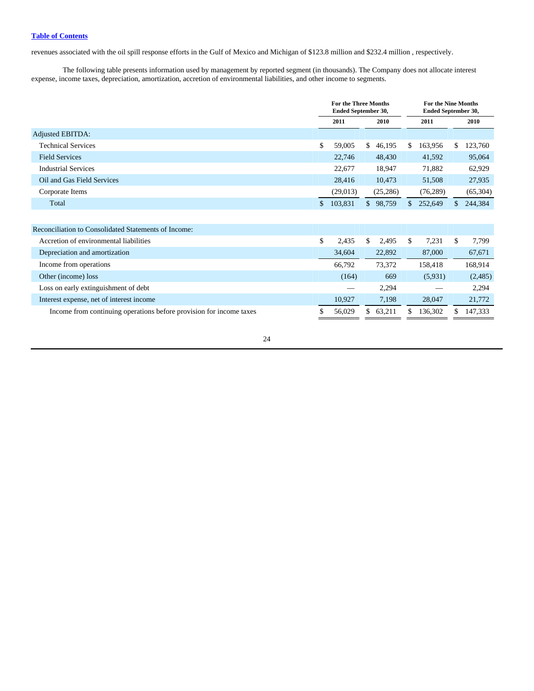revenues associated with the oil spill response efforts in the Gulf of Mexico and Michigan of \$123.8 million and \$232.4 million , respectively.

The following table presents information used by management by reported segment (in thousands). The Company does not allocate interest expense, income taxes, depreciation, amortization, accretion of environmental liabilities, and other income to segments.

|                            |              | <b>For the Three Months</b><br>Ended September 30, |    |           | <b>For the Nine Months</b><br><b>Ended September 30,</b> |    |           |
|----------------------------|--------------|----------------------------------------------------|----|-----------|----------------------------------------------------------|----|-----------|
|                            | 2011<br>2010 |                                                    |    |           | 2011                                                     |    | 2010      |
| Adjusted EBITDA:           |              |                                                    |    |           |                                                          |    |           |
| <b>Technical Services</b>  | \$           | 59,005                                             | \$ | 46,195    | \$<br>163,956                                            | S. | 123,760   |
| <b>Field Services</b>      |              | 22,746                                             |    | 48,430    | 41,592                                                   |    | 95,064    |
| <b>Industrial Services</b> |              | 22,677                                             |    | 18,947    | 71,882                                                   |    | 62,929    |
| Oil and Gas Field Services |              | 28.416                                             |    | 10,473    | 51,508                                                   |    | 27,935    |
| Corporate Items            |              | (29, 013)                                          |    | (25, 286) | (76, 289)                                                |    | (65, 304) |
| Total                      | \$           | 103,831                                            | \$ | 98,759    | \$<br>252,649                                            | S. | 244,384   |

| Reconciliation to Consolidated Statements of Income:                |        |        |    |         |         |
|---------------------------------------------------------------------|--------|--------|----|---------|---------|
| Accretion of environmental liabilities                              | 2.435  | 2.495  |    | 7.231   | 7.799   |
| Depreciation and amortization                                       | 34,604 | 22,892 |    | 87,000  | 67,671  |
| Income from operations                                              | 66.792 | 73.372 |    | 158.418 | 168,914 |
| Other (income) loss                                                 | (164)  | 669    |    | (5,931) | (2,485) |
| Loss on early extinguishment of debt                                |        | 2.294  |    |         | 2.294   |
| Interest expense, net of interest income                            | 10.927 | 7.198  |    | 28,047  | 21,772  |
| Income from continuing operations before provision for income taxes | 56,029 | 63.211 | S. | 136.302 | 147.333 |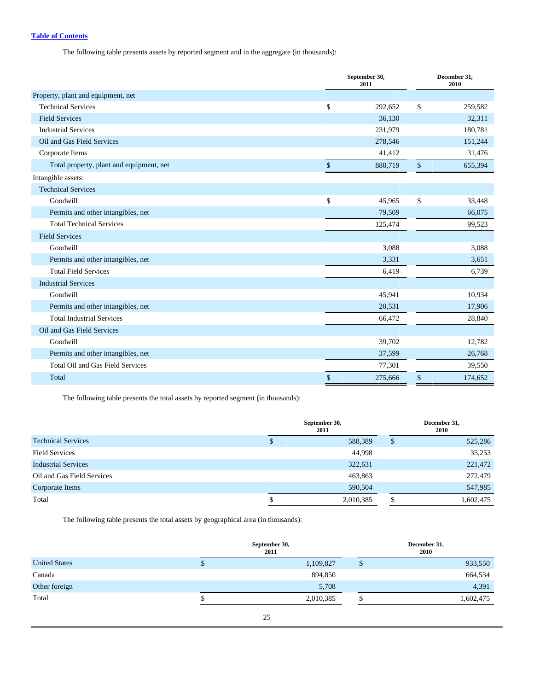The following table presents assets by reported segment and in the aggregate (in thousands):

|                                          | September 30,<br>2011 |                    | December 31,<br>2010 |
|------------------------------------------|-----------------------|--------------------|----------------------|
| Property, plant and equipment, net       |                       |                    |                      |
| <b>Technical Services</b>                | \$<br>292,652         | $\mathbb{S}$       | 259,582              |
| <b>Field Services</b>                    | 36,130                |                    | 32,311               |
| <b>Industrial Services</b>               | 231,979               |                    | 180,781              |
| Oil and Gas Field Services               | 278,546               |                    | 151,244              |
| Corporate Items                          | 41,412                |                    | 31,476               |
| Total property, plant and equipment, net | \$<br>880,719         | $\$$               | 655,394              |
| Intangible assets:                       |                       |                    |                      |
| <b>Technical Services</b>                |                       |                    |                      |
| Goodwill                                 | \$<br>45,965          | $\mathbf{\hat{S}}$ | 33,448               |
| Permits and other intangibles, net       | 79,509                |                    | 66,075               |
| <b>Total Technical Services</b>          | 125,474               |                    | 99,523               |
| <b>Field Services</b>                    |                       |                    |                      |
| Goodwill                                 | 3,088                 |                    | 3,088                |
| Permits and other intangibles, net       | 3,331                 |                    | 3,651                |
| <b>Total Field Services</b>              | 6,419                 |                    | 6,739                |
| <b>Industrial Services</b>               |                       |                    |                      |
| Goodwill                                 | 45,941                |                    | 10,934               |
| Permits and other intangibles, net       | 20,531                |                    | 17,906               |
| <b>Total Industrial Services</b>         | 66,472                |                    | 28,840               |
| Oil and Gas Field Services               |                       |                    |                      |
| Goodwill                                 | 39,702                |                    | 12,782               |
| Permits and other intangibles, net       | 37,599                |                    | 26,768               |
| Total Oil and Gas Field Services         | 77,301                |                    | 39,550               |
| Total                                    | \$<br>275,666         | \$                 | 174,652              |

The following table presents the total assets by reported segment (in thousands):

|                            | September 30,<br>2011 |           |    | December 31,<br>2010 |
|----------------------------|-----------------------|-----------|----|----------------------|
| <b>Technical Services</b>  | Φ                     | 588,389   | \$ | 525,286              |
| <b>Field Services</b>      |                       | 44,998    |    | 35,253               |
| <b>Industrial Services</b> |                       | 322,631   |    | 221,472              |
| Oil and Gas Field Services |                       | 463,863   |    | 272,479              |
| Corporate Items            |                       | 590,504   |    | 547,985              |
| Total                      | ٠D                    | 2,010,385 | S  | 1,602,475            |

The following table presents the total assets by geographical area (in thousands):

|                      |               | September 30,<br>2011 |        | December 31,<br>2010 |
|----------------------|---------------|-----------------------|--------|----------------------|
| <b>United States</b> | <sup>\$</sup> | 1,109,827             | \$     | 933,550              |
| Canada               |               | 894,850               |        | 664,534              |
| Other foreign        |               | 5,708                 |        | 4,391                |
| Total                |               | 2,010,385             | ¢<br>ъ | 1,602,475            |
|                      |               | - -                   |        |                      |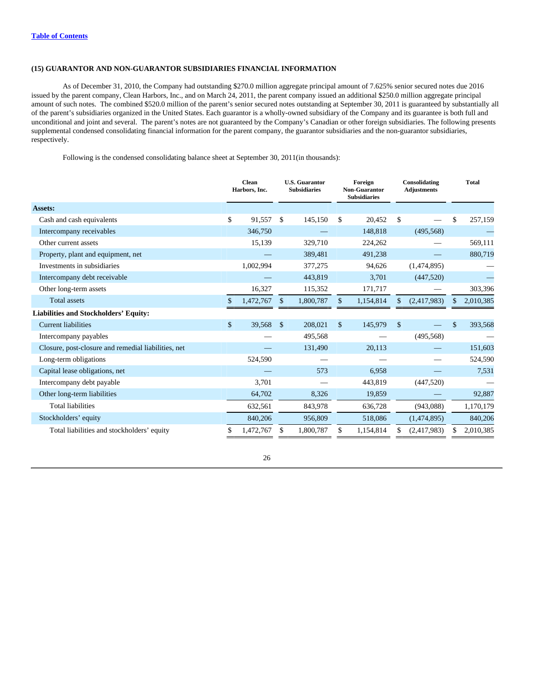## **(15) GUARANTOR AND NON-GUARANTOR SUBSIDIARIES FINANCIAL INFORMATION**

As of December 31, 2010, the Company had outstanding \$270.0 million aggregate principal amount of 7.625% senior secured notes due 2016 issued by the parent company, Clean Harbors, Inc., and on March 24, 2011, the parent company issued an additional \$250.0 million aggregate principal amount of such notes. The combined \$520.0 million of the parent's senior secured notes outstanding at September 30, 2011 is guaranteed by substantially all of the parent's subsidiaries organized in the United States. Each guarantor is a wholly-owned subsidiary of the Company and its guarantee is both full and unconditional and joint and several. The parent's notes are not guaranteed by the Company's Canadian or other foreign subsidiaries. The following presents supplemental condensed consolidating financial information for the parent company, the guarantor subsidiaries and the non-guarantor subsidiaries, respectively.

Following is the condensed consolidating balance sheet at September 30, 2011(in thousands):

|                                                     |               | <b>Clean</b><br>Harbors, Inc. |               | <b>U.S. Guarantor</b><br><b>Subsidiaries</b> | Foreign<br><b>Non-Guarantor</b><br><b>Subsidiaries</b> |           | Consolidating<br><b>Adjustments</b> |             | <b>Total</b>  |           |
|-----------------------------------------------------|---------------|-------------------------------|---------------|----------------------------------------------|--------------------------------------------------------|-----------|-------------------------------------|-------------|---------------|-----------|
| Assets:                                             |               |                               |               |                                              |                                                        |           |                                     |             |               |           |
| Cash and cash equivalents                           | \$            | 91,557                        | \$            | 145,150                                      | \$                                                     | 20,452    | \$                                  |             | \$            | 257,159   |
| Intercompany receivables                            |               | 346,750                       |               |                                              |                                                        | 148,818   |                                     | (495, 568)  |               |           |
| Other current assets                                |               | 15,139                        |               | 329,710                                      |                                                        | 224,262   |                                     |             |               | 569,111   |
| Property, plant and equipment, net                  |               |                               |               | 389,481                                      |                                                        | 491,238   |                                     |             |               | 880,719   |
| Investments in subsidiaries                         |               | 1,002,994                     |               | 377,275                                      |                                                        | 94,626    |                                     | (1,474,895) |               |           |
| Intercompany debt receivable                        |               |                               |               | 443,819                                      |                                                        | 3,701     |                                     | (447,520)   |               |           |
| Other long-term assets                              |               | 16,327                        |               | 115,352                                      |                                                        | 171,717   |                                     |             |               | 303,396   |
| <b>Total</b> assets                                 | <sup>\$</sup> | 1,472,767                     | <sup>\$</sup> | 1,800,787                                    | $\mathbb{S}$                                           | 1,154,814 | \$                                  | (2,417,983) | <sup>\$</sup> | 2,010,385 |
| Liabilities and Stockholders' Equity:               |               |                               |               |                                              |                                                        |           |                                     |             |               |           |
| <b>Current liabilities</b>                          | $\mathbb{S}$  | 39,568                        | $\mathcal{S}$ | 208,021                                      | $\mathbb{S}$                                           | 145,979   | $\mathbb{S}$                        |             | $\mathsf{\$}$ | 393,568   |
| Intercompany payables                               |               |                               |               | 495,568                                      |                                                        |           |                                     | (495, 568)  |               |           |
| Closure, post-closure and remedial liabilities, net |               |                               |               | 131,490                                      |                                                        | 20,113    |                                     |             |               | 151,603   |
| Long-term obligations                               |               | 524,590                       |               |                                              |                                                        |           |                                     |             |               | 524,590   |
| Capital lease obligations, net                      |               |                               |               | 573                                          |                                                        | 6,958     |                                     |             |               | 7,531     |
| Intercompany debt payable                           |               | 3,701                         |               |                                              |                                                        | 443,819   |                                     | (447,520)   |               |           |
| Other long-term liabilities                         |               | 64,702                        |               | 8,326                                        |                                                        | 19,859    |                                     |             |               | 92,887    |
| <b>Total liabilities</b>                            |               | 632,561                       |               | 843,978                                      |                                                        | 636,728   |                                     | (943,088)   |               | 1,170,179 |
| Stockholders' equity                                |               | 840,206                       |               | 956,809                                      |                                                        | 518,086   |                                     | (1,474,895) |               | 840,206   |
| Total liabilities and stockholders' equity          |               | 1,472,767                     | \$            | 1,800,787                                    | \$                                                     | 1,154,814 |                                     | (2,417,983) | \$            | 2,010,385 |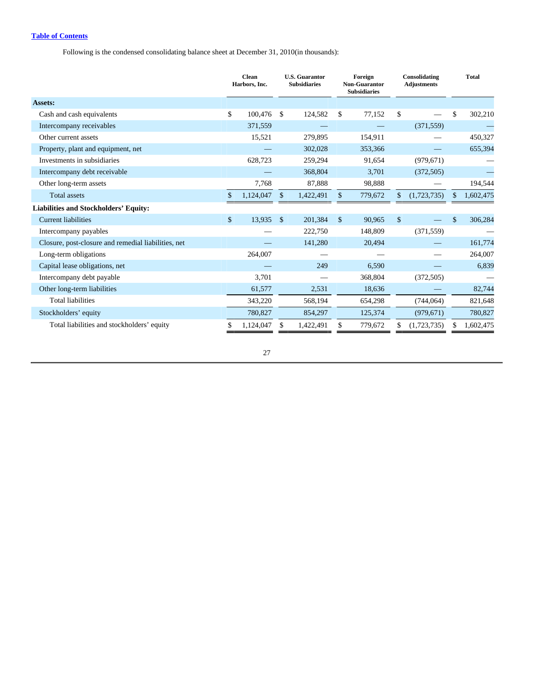Following is the condensed consolidating balance sheet at December 31, 2010(in thousands):

|                                                     |              | <b>Clean</b><br>Harbors, Inc. |               | <b>U.S. Guarantor</b><br><b>Subsidiaries</b> | Foreign<br><b>Non-Guarantor</b><br><b>Subsidiaries</b> |         | Consolidating<br><b>Adjustments</b> |             |               | <b>Total</b> |
|-----------------------------------------------------|--------------|-------------------------------|---------------|----------------------------------------------|--------------------------------------------------------|---------|-------------------------------------|-------------|---------------|--------------|
| Assets:                                             |              |                               |               |                                              |                                                        |         |                                     |             |               |              |
| Cash and cash equivalents                           | \$           | 100,476                       | <sup>\$</sup> | 124,582                                      | \$.                                                    | 77,152  | \$                                  |             | \$            | 302,210      |
| Intercompany receivables                            |              | 371,559                       |               |                                              |                                                        |         |                                     | (371, 559)  |               |              |
| Other current assets                                |              | 15,521                        |               | 279,895                                      |                                                        | 154,911 |                                     |             |               | 450,327      |
| Property, plant and equipment, net                  |              |                               |               | 302,028                                      |                                                        | 353,366 |                                     |             |               | 655,394      |
| Investments in subsidiaries                         |              | 628,723                       |               | 259,294                                      |                                                        | 91,654  |                                     | (979, 671)  |               |              |
| Intercompany debt receivable                        |              |                               |               | 368,804                                      |                                                        | 3,701   |                                     | (372, 505)  |               |              |
| Other long-term assets                              |              | 7,768                         |               | 87,888                                       |                                                        | 98,888  |                                     |             |               | 194,544      |
| Total assets                                        | S.           | 1,124,047                     | $\mathbb{S}$  | 1,422,491                                    | $\mathbb{S}$                                           | 779,672 | \$                                  | (1,723,735) | <sup>S</sup>  | 1,602,475    |
| Liabilities and Stockholders' Equity:               |              |                               |               |                                              |                                                        |         |                                     |             |               |              |
| <b>Current liabilities</b>                          | $\mathbb{S}$ | 13,935                        | -S            | 201,384                                      | $\mathcal{S}$                                          | 90,965  | $\mathbb{S}$                        |             | $\mathcal{S}$ | 306,284      |
| Intercompany payables                               |              |                               |               | 222,750                                      |                                                        | 148,809 |                                     | (371, 559)  |               |              |
| Closure, post-closure and remedial liabilities, net |              |                               |               | 141,280                                      |                                                        | 20,494  |                                     |             |               | 161,774      |
| Long-term obligations                               |              | 264,007                       |               |                                              |                                                        |         |                                     |             |               | 264,007      |
| Capital lease obligations, net                      |              |                               |               | 249                                          |                                                        | 6,590   |                                     |             |               | 6,839        |
| Intercompany debt payable                           |              | 3,701                         |               |                                              |                                                        | 368,804 |                                     | (372, 505)  |               |              |
| Other long-term liabilities                         |              | 61,577                        |               | 2,531                                        |                                                        | 18,636  |                                     |             |               | 82,744       |
| <b>Total liabilities</b>                            |              | 343,220                       |               | 568,194                                      |                                                        | 654,298 |                                     | (744, 064)  |               | 821,648      |
| Stockholders' equity                                |              | 780,827                       |               | 854,297                                      |                                                        | 125,374 |                                     | (979, 671)  |               | 780,827      |
| Total liabilities and stockholders' equity          | \$           | 1,124,047                     | \$            | 1,422,491                                    | \$                                                     | 779,672 |                                     | (1,723,735) | \$.           | 1,602,475    |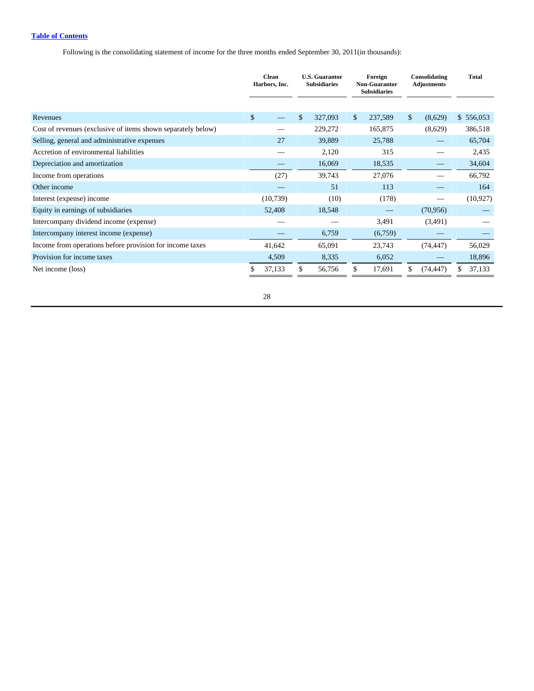Following is the consolidating statement of income for the three months ended September 30, 2011(in thousands):

|                                                              | <b>Clean</b><br><b>U.S. Guarantor</b><br><b>Subsidiaries</b><br>Harbors, Inc. |               | Foreign<br><b>Non-Guarantor</b><br><b>Subsidiaries</b> | Consolidating<br><b>Adjustments</b> | <b>Total</b> |
|--------------------------------------------------------------|-------------------------------------------------------------------------------|---------------|--------------------------------------------------------|-------------------------------------|--------------|
|                                                              |                                                                               |               |                                                        |                                     |              |
| Revenues                                                     | $\mathbf{\$}$                                                                 | \$<br>327,093 | $\mathbb{S}$<br>237,589                                | \$<br>(8,629)                       | \$556,053    |
| Cost of revenues (exclusive of items shown separately below) |                                                                               | 229,272       | 165,875                                                | (8,629)                             | 386,518      |
| Selling, general and administrative expenses                 | 27                                                                            | 39,889        | 25,788                                                 |                                     | 65,704       |
| Accretion of environmental liabilities                       |                                                                               | 2,120         | 315                                                    |                                     | 2,435        |
| Depreciation and amortization                                |                                                                               | 16,069        | 18,535                                                 |                                     | 34,604       |
| Income from operations                                       | (27)                                                                          | 39,743        | 27,076                                                 |                                     | 66,792       |
| Other income                                                 |                                                                               | 51            | 113                                                    |                                     | 164          |
| Interest (expense) income                                    | (10,739)                                                                      | (10)          | (178)                                                  |                                     | (10, 927)    |
| Equity in earnings of subsidiaries                           | 52,408                                                                        | 18,548        |                                                        | (70, 956)                           |              |
| Intercompany dividend income (expense)                       |                                                                               |               | 3,491                                                  | (3,491)                             |              |
| Intercompany interest income (expense)                       |                                                                               | 6,759         | (6,759)                                                |                                     |              |
| Income from operations before provision for income taxes     | 41,642                                                                        | 65,091        | 23,743                                                 | (74, 447)                           | 56,029       |
| Provision for income taxes                                   | 4,509                                                                         | 8,335         | 6,052                                                  |                                     | 18,896       |
| Net income (loss)                                            | 37,133                                                                        | \$<br>56,756  | \$<br>17,691                                           | (74, 447)<br>S.                     | 37,133       |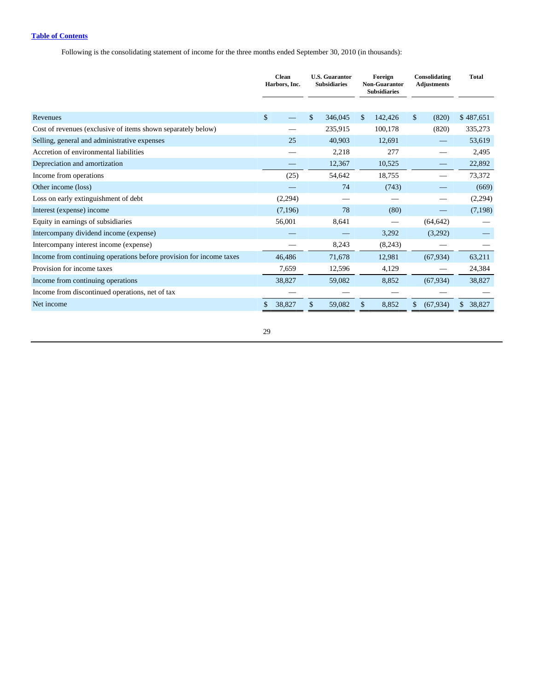Following is the consolidating statement of income for the three months ended September 30, 2010 (in thousands):

|                                                                     | <b>Clean</b><br>Harbors, Inc. | <b>U.S. Guarantor</b><br><b>Subsidiaries</b> | Foreign<br><b>Non-Guarantor</b><br><b>Subsidiaries</b> | Consolidating<br><b>Adjustments</b> | <b>Total</b> |
|---------------------------------------------------------------------|-------------------------------|----------------------------------------------|--------------------------------------------------------|-------------------------------------|--------------|
|                                                                     |                               |                                              |                                                        |                                     |              |
| Revenues                                                            | $\mathbf{\$}$                 | \$<br>346,045                                | \$<br>142,426                                          | $\mathbb{S}$<br>(820)               | \$487,651    |
| Cost of revenues (exclusive of items shown separately below)        |                               | 235,915                                      | 100,178                                                | (820)                               | 335,273      |
| Selling, general and administrative expenses                        | 25                            | 40,903                                       | 12,691                                                 |                                     | 53,619       |
| Accretion of environmental liabilities                              |                               | 2,218                                        | 277                                                    |                                     | 2,495        |
| Depreciation and amortization                                       |                               | 12,367                                       | 10,525                                                 |                                     | 22,892       |
| Income from operations                                              | (25)                          | 54,642                                       | 18,755                                                 |                                     | 73,372       |
| Other income (loss)                                                 |                               | 74                                           | (743)                                                  |                                     | (669)        |
| Loss on early extinguishment of debt                                | (2,294)                       |                                              |                                                        |                                     | (2,294)      |
| Interest (expense) income                                           | (7,196)                       | 78                                           | (80)                                                   |                                     | (7,198)      |
| Equity in earnings of subsidiaries                                  | 56,001                        | 8,641                                        |                                                        | (64, 642)                           |              |
| Intercompany dividend income (expense)                              |                               |                                              | 3,292                                                  | (3,292)                             |              |
| Intercompany interest income (expense)                              |                               | 8,243                                        | (8,243)                                                |                                     |              |
| Income from continuing operations before provision for income taxes | 46,486                        | 71,678                                       | 12,981                                                 | (67, 934)                           | 63,211       |
| Provision for income taxes                                          | 7,659                         | 12,596                                       | 4,129                                                  |                                     | 24,384       |
| Income from continuing operations                                   | 38,827                        | 59,082                                       | 8,852                                                  | (67, 934)                           | 38,827       |
| Income from discontinued operations, net of tax                     |                               |                                              |                                                        |                                     |              |
| Net income                                                          | 38,827                        | 59,082<br>\$                                 | \$<br>8,852                                            | (67, 934)                           | 38,827       |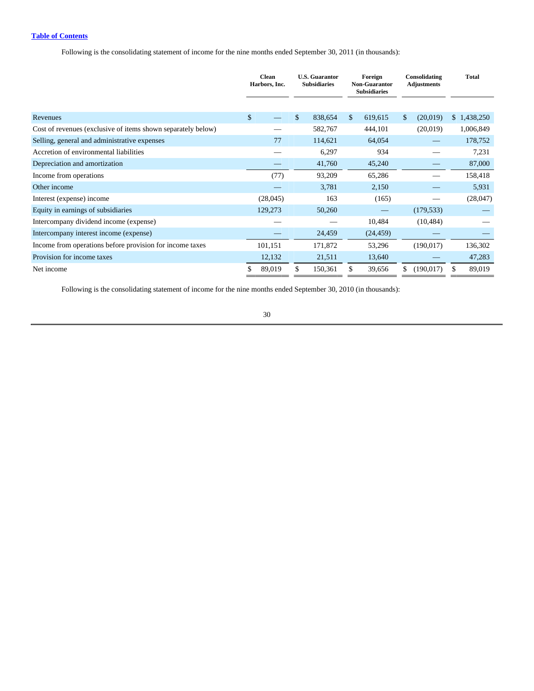Following is the consolidating statement of income for the nine months ended September 30, 2011 (in thousands):

|                                                              | <b>Clean</b><br>Harbors, Inc. |      | <b>U.S. Guarantor</b><br><b>Subsidiaries</b> |         | Foreign<br><b>Non-Guarantor</b><br><b>Subsidiaries</b> |           | Consolidating<br><b>Adjustments</b> |            | <b>Total</b> |
|--------------------------------------------------------------|-------------------------------|------|----------------------------------------------|---------|--------------------------------------------------------|-----------|-------------------------------------|------------|--------------|
|                                                              |                               |      |                                              |         |                                                        |           |                                     |            |              |
| Revenues                                                     | \$                            |      | \$                                           | 838,654 | $\mathbb{S}$                                           | 619,615   | \$                                  | (20,019)   | \$1,438,250  |
| Cost of revenues (exclusive of items shown separately below) |                               |      |                                              | 582,767 |                                                        | 444,101   |                                     | (20,019)   | 1,006,849    |
| Selling, general and administrative expenses                 |                               | 77   |                                              | 114,621 |                                                        | 64,054    |                                     |            | 178,752      |
| Accretion of environmental liabilities                       |                               |      |                                              | 6,297   |                                                        | 934       |                                     |            | 7,231        |
| Depreciation and amortization                                |                               |      |                                              | 41,760  |                                                        | 45,240    |                                     |            | 87,000       |
| Income from operations                                       |                               | (77) |                                              | 93,209  |                                                        | 65,286    |                                     |            | 158,418      |
| Other income                                                 |                               |      |                                              | 3,781   |                                                        | 2,150     |                                     |            | 5,931        |
| Interest (expense) income                                    | (28, 045)                     |      |                                              | 163     |                                                        | (165)     |                                     |            | (28,047)     |
| Equity in earnings of subsidiaries                           | 129,273                       |      |                                              | 50,260  |                                                        |           |                                     | (179, 533) |              |
| Intercompany dividend income (expense)                       |                               |      |                                              |         |                                                        | 10,484    |                                     | (10, 484)  |              |
| Intercompany interest income (expense)                       |                               |      |                                              | 24,459  |                                                        | (24, 459) |                                     |            |              |
| Income from operations before provision for income taxes     | 101,151                       |      |                                              | 171,872 |                                                        | 53,296    |                                     | (190, 017) | 136,302      |
| Provision for income taxes                                   | 12,132                        |      |                                              | 21,511  |                                                        | 13,640    |                                     |            | 47,283       |
| Net income                                                   | 89,019<br>\$                  |      |                                              | 150,361 |                                                        | 39,656    | \$                                  | (190, 017) | 89,019       |

Following is the consolidating statement of income for the nine months ended September 30, 2010 (in thousands):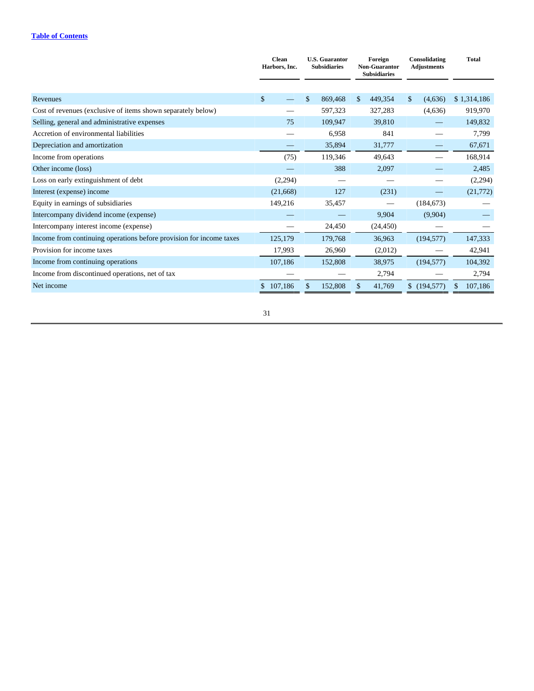|                                                                     | Clean<br>Harbors, Inc. |    | <b>U.S. Guarantor</b><br><b>Subsidiaries</b> |              | Foreign<br><b>Non-Guarantor</b><br><b>Subsidiaries</b> | Consolidating<br><b>Adjustments</b> | <b>Total</b> |
|---------------------------------------------------------------------|------------------------|----|----------------------------------------------|--------------|--------------------------------------------------------|-------------------------------------|--------------|
| Revenues                                                            | \$                     | \$ | 869,468                                      | $\mathbb{S}$ | 449,354                                                | (4,636)<br>\$                       | \$1,314,186  |
| Cost of revenues (exclusive of items shown separately below)        |                        |    | 597,323                                      |              | 327,283                                                | (4,636)                             | 919,970      |
| Selling, general and administrative expenses                        | 75                     |    | 109,947                                      |              | 39,810                                                 |                                     | 149,832      |
| Accretion of environmental liabilities                              |                        |    | 6,958                                        |              | 841                                                    |                                     | 7,799        |
| Depreciation and amortization                                       |                        |    | 35,894                                       |              | 31,777                                                 |                                     | 67,671       |
| Income from operations                                              | (75)                   |    | 119,346                                      |              | 49,643                                                 |                                     | 168,914      |
| Other income (loss)                                                 |                        |    | 388                                          |              | 2,097                                                  |                                     | 2,485        |
| Loss on early extinguishment of debt                                | (2,294)                |    |                                              |              |                                                        |                                     | (2,294)      |
| Interest (expense) income                                           | (21,668)               |    | 127                                          |              | (231)                                                  |                                     | (21,772)     |
| Equity in earnings of subsidiaries                                  | 149,216                |    | 35,457                                       |              |                                                        | (184, 673)                          |              |
| Intercompany dividend income (expense)                              |                        |    |                                              |              | 9,904                                                  | (9,904)                             |              |
| Intercompany interest income (expense)                              |                        |    | 24,450                                       |              | (24, 450)                                              |                                     |              |
| Income from continuing operations before provision for income taxes | 125,179                |    | 179,768                                      |              | 36,963                                                 | (194, 577)                          | 147,333      |
| Provision for income taxes                                          | 17,993                 |    | 26,960                                       |              | (2,012)                                                |                                     | 42,941       |
| Income from continuing operations                                   | 107,186                |    | 152,808                                      |              | 38,975                                                 | (194, 577)                          | 104,392      |
| Income from discontinued operations, net of tax                     |                        |    |                                              |              | 2,794                                                  |                                     | 2,794        |
| Net income                                                          | 107,186<br>S.          | S  | 152,808                                      |              | 41,769                                                 | \$(194, 577)                        | 107,186      |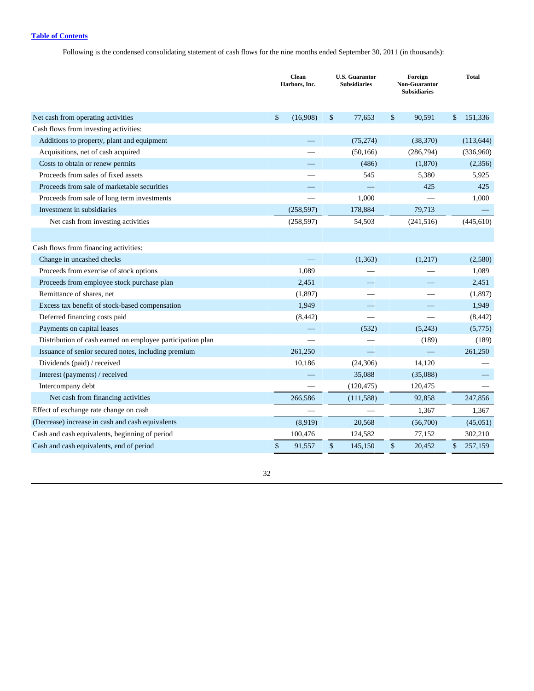Following is the condensed consolidating statement of cash flows for the nine months ended September 30, 2011 (in thousands):

|                                                            | Clean<br>Harbors, Inc.    | <b>U.S. Guarantor</b><br><b>Subsidiaries</b> | Foreign<br>Non-Guarantor<br><b>Subsidiaries</b> | <b>Total</b>            |
|------------------------------------------------------------|---------------------------|----------------------------------------------|-------------------------------------------------|-------------------------|
| Net cash from operating activities                         | $\mathbf{\$}$<br>(16,908) | \$<br>77.653                                 | $\mathbb{S}$<br>90,591                          | $\mathbb{S}$<br>151,336 |
| Cash flows from investing activities:                      |                           |                                              |                                                 |                         |
| Additions to property, plant and equipment                 |                           | (75, 274)                                    | (38, 370)                                       | (113, 644)              |
| Acquisitions, net of cash acquired                         |                           | (50, 166)                                    | (286,794)                                       | (336,960)               |
| Costs to obtain or renew permits                           |                           | (486)                                        | (1,870)                                         | (2,356)                 |
| Proceeds from sales of fixed assets                        |                           | 545                                          | 5,380                                           | 5,925                   |
| Proceeds from sale of marketable securities                |                           |                                              | 425                                             | 425                     |
| Proceeds from sale of long term investments                |                           | 1,000                                        |                                                 | 1,000                   |
| Investment in subsidiaries                                 | (258, 597)                | 178,884                                      | 79,713                                          |                         |
| Net cash from investing activities                         | (258, 597)                | 54,503                                       | (241, 516)                                      | (445, 610)              |
|                                                            |                           |                                              |                                                 |                         |
| Cash flows from financing activities:                      |                           |                                              |                                                 |                         |
| Change in uncashed checks                                  |                           | (1, 363)                                     | (1,217)                                         | (2,580)                 |
| Proceeds from exercise of stock options                    | 1,089                     |                                              |                                                 | 1,089                   |
| Proceeds from employee stock purchase plan                 | 2,451                     |                                              |                                                 | 2,451                   |
| Remittance of shares, net                                  | (1, 897)                  |                                              |                                                 | (1,897)                 |
| Excess tax benefit of stock-based compensation             | 1,949                     |                                              |                                                 | 1,949                   |
| Deferred financing costs paid                              | (8, 442)                  |                                              |                                                 | (8, 442)                |
| Payments on capital leases                                 |                           | (532)                                        | (5,243)                                         | (5,775)                 |
| Distribution of cash earned on employee participation plan |                           |                                              | (189)                                           | (189)                   |
| Issuance of senior secured notes, including premium        | 261,250                   |                                              |                                                 | 261,250                 |
| Dividends (paid) / received                                | 10,186                    | (24, 306)                                    | 14,120                                          |                         |
| Interest (payments) / received                             |                           | 35,088                                       | (35,088)                                        |                         |
| Intercompany debt                                          |                           | (120, 475)                                   | 120,475                                         |                         |
| Net cash from financing activities                         | 266,586                   | (111, 588)                                   | 92,858                                          | 247,856                 |
| Effect of exchange rate change on cash                     |                           |                                              | 1,367                                           | 1,367                   |
| (Decrease) increase in cash and cash equivalents           | (8,919)                   | 20,568                                       | (56,700)                                        | (45,051)                |
| Cash and cash equivalents, beginning of period             | 100,476                   | 124,582                                      | 77,152                                          | 302,210                 |
| Cash and cash equivalents, end of period                   | \$<br>91,557              | \$<br>145,150                                | $\boldsymbol{\mathsf{S}}$<br>20,452             | \$<br>257,159           |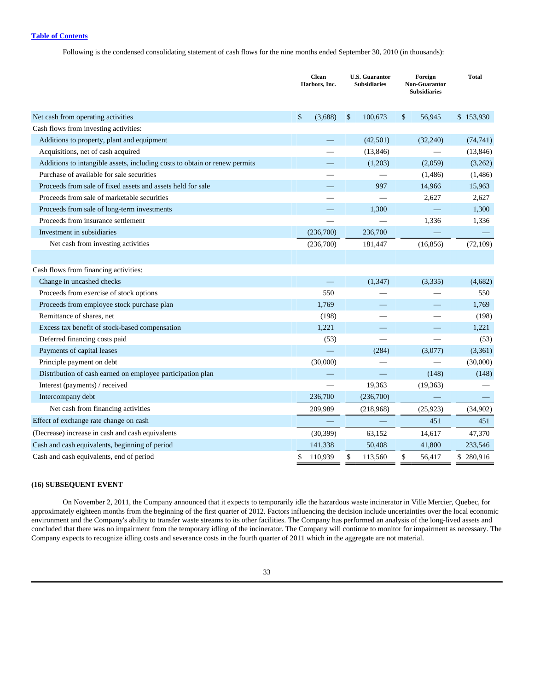Following is the condensed consolidating statement of cash flows for the nine months ended September 30, 2010 (in thousands):

|                                                                            | <b>Clean</b><br>Harbors, Inc. | <b>U.S. Guarantor</b><br><b>Subsidiaries</b> | Foreign<br>Non-Guarantor<br><b>Subsidiaries</b> | <b>Total</b> |
|----------------------------------------------------------------------------|-------------------------------|----------------------------------------------|-------------------------------------------------|--------------|
| Net cash from operating activities                                         | \$<br>(3,688)                 | \$<br>100.673                                | \$<br>56,945                                    | \$153,930    |
| Cash flows from investing activities:                                      |                               |                                              |                                                 |              |
| Additions to property, plant and equipment                                 |                               | (42,501)                                     | (32,240)                                        | (74, 741)    |
| Acquisitions, net of cash acquired                                         |                               | (13, 846)                                    |                                                 | (13, 846)    |
| Additions to intangible assets, including costs to obtain or renew permits |                               | (1,203)                                      | (2,059)                                         | (3,262)      |
| Purchase of available for sale securities                                  |                               |                                              | (1, 486)                                        | (1, 486)     |
| Proceeds from sale of fixed assets and assets held for sale                |                               | 997                                          | 14,966                                          | 15,963       |
| Proceeds from sale of marketable securities                                |                               |                                              | 2,627                                           | 2,627        |
| Proceeds from sale of long-term investments                                |                               | 1,300                                        |                                                 | 1,300        |
| Proceeds from insurance settlement                                         |                               |                                              | 1,336                                           | 1,336        |
| Investment in subsidiaries                                                 | (236,700)                     | 236,700                                      |                                                 |              |
| Net cash from investing activities                                         | (236,700)                     | 181,447                                      | (16, 856)                                       | (72, 109)    |
|                                                                            |                               |                                              |                                                 |              |
| Cash flows from financing activities:                                      |                               |                                              |                                                 |              |
| Change in uncashed checks                                                  |                               | (1, 347)                                     | (3,335)                                         | (4,682)      |
| Proceeds from exercise of stock options                                    | 550                           |                                              |                                                 | 550          |
| Proceeds from employee stock purchase plan                                 | 1,769                         |                                              |                                                 | 1,769        |
| Remittance of shares, net                                                  | (198)                         |                                              |                                                 | (198)        |
| Excess tax benefit of stock-based compensation                             | 1,221                         |                                              |                                                 | 1,221        |
| Deferred financing costs paid                                              | (53)                          |                                              |                                                 | (53)         |
| Payments of capital leases                                                 |                               | (284)                                        | (3,077)                                         | (3,361)      |
| Principle payment on debt                                                  | (30,000)                      |                                              |                                                 | (30,000)     |
| Distribution of cash earned on employee participation plan                 |                               |                                              | (148)                                           | (148)        |
| Interest (payments) / received                                             |                               | 19,363                                       | (19, 363)                                       |              |
| Intercompany debt                                                          | 236,700                       | (236,700)                                    |                                                 |              |
| Net cash from financing activities                                         | 209,989                       | (218,968)                                    | (25, 923)                                       | (34,902)     |
| Effect of exchange rate change on cash                                     |                               |                                              | 451                                             | 451          |
| (Decrease) increase in cash and cash equivalents                           | (30, 399)                     | 63,152                                       | 14,617                                          | 47,370       |
| Cash and cash equivalents, beginning of period                             | 141,338                       | 50,408                                       | 41,800                                          | 233,546      |
| Cash and cash equivalents, end of period                                   | 110,939<br>\$                 | \$<br>113,560                                | \$<br>56,417                                    | \$280,916    |

## **(16) SUBSEQUENT EVENT**

On November 2, 2011, the Company announced that it expects to temporarily idle the hazardous waste incinerator in Ville Mercier, Quebec, for approximately eighteen months from the beginning of the first quarter of 2012. Factors influencing the decision include uncertainties over the local economic environment and the Company's ability to transfer waste streams to its other facilities. The Company has performed an analysis of the long-lived assets and concluded that there was no impairment from the temporary idling of the incinerator. The Company will continue to monitor for impairment as necessary. The Company expects to recognize idling costs and severance costs in the fourth quarter of 2011 which in the aggregate are not material.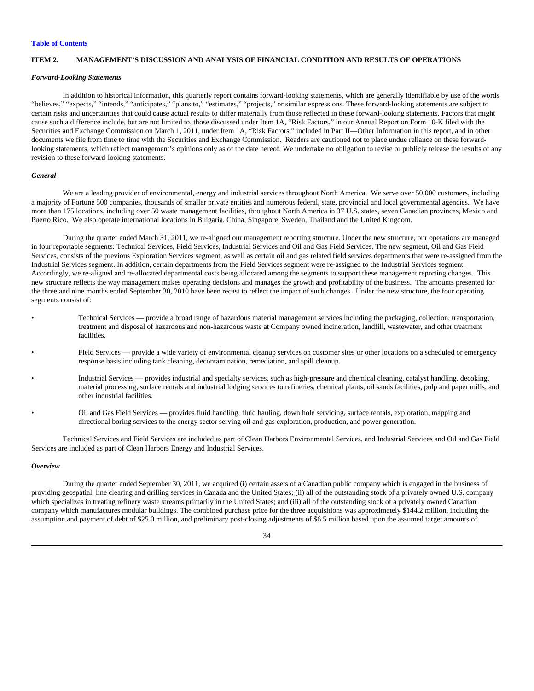## <span id="page-37-0"></span>**ITEM 2. MANAGEMENT'S DISCUSSION AND ANALYSIS OF FINANCIAL CONDITION AND RESULTS OF OPERATIONS**

#### *Forward-Looking Statements*

In addition to historical information, this quarterly report contains forward-looking statements, which are generally identifiable by use of the words "believes," "expects," "intends," "anticipates," "plans to," "estimates," "projects," or similar expressions. These forward-looking statements are subject to certain risks and uncertainties that could cause actual results to differ materially from those reflected in these forward-looking statements. Factors that might cause such a difference include, but are not limited to, those discussed under Item 1A, "Risk Factors," in our Annual Report on Form 10-K filed with the Securities and Exchange Commission on March 1, 2011, under Item 1A, "Risk Factors," included in Part II—Other Information in this report, and in other documents we file from time to time with the Securities and Exchange Commission. Readers are cautioned not to place undue reliance on these forwardlooking statements, which reflect management's opinions only as of the date hereof. We undertake no obligation to revise or publicly release the results of any revision to these forward-looking statements.

#### *General*

We are a leading provider of environmental, energy and industrial services throughout North America. We serve over 50,000 customers, including a majority of Fortune 500 companies, thousands of smaller private entities and numerous federal, state, provincial and local governmental agencies. We have more than 175 locations, including over 50 waste management facilities, throughout North America in 37 U.S. states, seven Canadian provinces, Mexico and Puerto Rico. We also operate international locations in Bulgaria, China, Singapore, Sweden, Thailand and the United Kingdom.

During the quarter ended March 31, 2011, we re-aligned our management reporting structure. Under the new structure, our operations are managed in four reportable segments: Technical Services, Field Services, Industrial Services and Oil and Gas Field Services. The new segment, Oil and Gas Field Services, consists of the previous Exploration Services segment, as well as certain oil and gas related field services departments that were re-assigned from the Industrial Services segment. In addition, certain departments from the Field Services segment were re-assigned to the Industrial Services segment. Accordingly, we re-aligned and re-allocated departmental costs being allocated among the segments to support these management reporting changes. This new structure reflects the way management makes operating decisions and manages the growth and profitability of the business. The amounts presented for the three and nine months ended September 30, 2010 have been recast to reflect the impact of such changes. Under the new structure, the four operating segments consist of:

- Technical Services provide a broad range of hazardous material management services including the packaging, collection, transportation, treatment and disposal of hazardous and non-hazardous waste at Company owned incineration, landfill, wastewater, and other treatment facilities.
- Field Services provide a wide variety of environmental cleanup services on customer sites or other locations on a scheduled or emergency response basis including tank cleaning, decontamination, remediation, and spill cleanup.
- Industrial Services provides industrial and specialty services, such as high-pressure and chemical cleaning, catalyst handling, decoking, material processing, surface rentals and industrial lodging services to refineries, chemical plants, oil sands facilities, pulp and paper mills, and other industrial facilities.
- Oil and Gas Field Services provides fluid handling, fluid hauling, down hole servicing, surface rentals, exploration, mapping and directional boring services to the energy sector serving oil and gas exploration, production, and power generation.

Technical Services and Field Services are included as part of Clean Harbors Environmental Services, and Industrial Services and Oil and Gas Field Services are included as part of Clean Harbors Energy and Industrial Services.

#### *Overview*

During the quarter ended September 30, 2011, we acquired (i) certain assets of a Canadian public company which is engaged in the business of providing geospatial, line clearing and drilling services in Canada and the United States; (ii) all of the outstanding stock of a privately owned U.S. company which specializes in treating refinery waste streams primarily in the United States; and (iii) all of the outstanding stock of a privately owned Canadian company which manufactures modular buildings. The combined purchase price for the three acquisitions was approximately \$144.2 million, including the assumption and payment of debt of \$25.0 million, and preliminary post-closing adjustments of \$6.5 million based upon the assumed target amounts of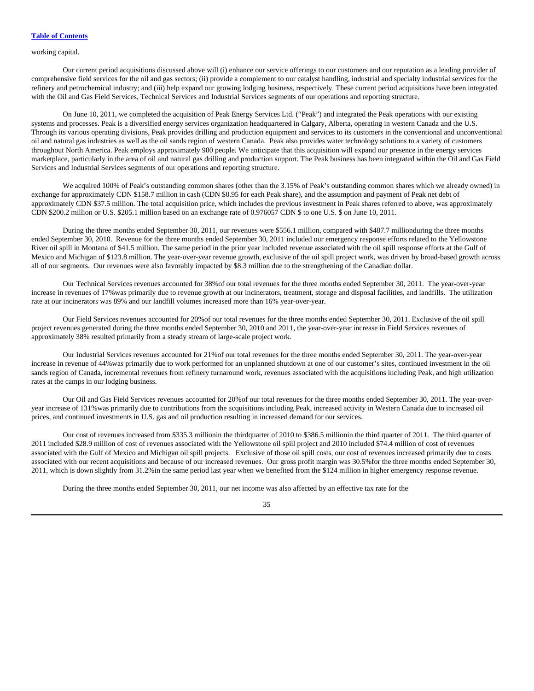working capital.

Our current period acquisitions discussed above will (i) enhance our service offerings to our customers and our reputation as a leading provider of comprehensive field services for the oil and gas sectors; (ii) provide a complement to our catalyst handling, industrial and specialty industrial services for the refinery and petrochemical industry; and (iii) help expand our growing lodging business, respectively. These current period acquisitions have been integrated with the Oil and Gas Field Services, Technical Services and Industrial Services segments of our operations and reporting structure.

On June 10, 2011, we completed the acquisition of Peak Energy Services Ltd. ("Peak") and integrated the Peak operations with our existing systems and processes. Peak is a diversified energy services organization headquartered in Calgary, Alberta, operating in western Canada and the U.S. Through its various operating divisions, Peak provides drilling and production equipment and services to its customers in the conventional and unconventional oil and natural gas industries as well as the oil sands region of western Canada. Peak also provides water technology solutions to a variety of customers throughout North America. Peak employs approximately 900 people. We anticipate that this acquisition will expand our presence in the energy services marketplace, particularly in the area of oil and natural gas drilling and production support. The Peak business has been integrated within the Oil and Gas Field Services and Industrial Services segments of our operations and reporting structure.

We acquired 100% of Peak's outstanding common shares (other than the 3.15% of Peak's outstanding common shares which we already owned) in exchange for approximately CDN \$158.7 million in cash (CDN \$0.95 for each Peak share), and the assumption and payment of Peak net debt of approximately CDN \$37.5 million. The total acquisition price, which includes the previous investment in Peak shares referred to above, was approximately CDN \$200.2 million or U.S. \$205.1 million based on an exchange rate of 0.976057 CDN \$ to one U.S. \$ on June 10, 2011.

During the three months ended September 30, 2011, our revenues were \$556.1 million, compared with \$487.7 millionduring the three months ended September 30, 2010. Revenue for the three months ended September 30, 2011 included our emergency response efforts related to the Yellowstone River oil spill in Montana of \$41.5 million. The same period in the prior year included revenue associated with the oil spill response efforts at the Gulf of Mexico and Michigan of \$123.8 million. The year-over-year revenue growth, exclusive of the oil spill project work, was driven by broad-based growth across all of our segments. Our revenues were also favorably impacted by \$8.3 million due to the strengthening of the Canadian dollar.

Our Technical Services revenues accounted for 38%of our total revenues for the three months ended September 30, 2011. The year-over-year increase in revenues of 17%was primarily due to revenue growth at our incinerators, treatment, storage and disposal facilities, and landfills. The utilization rate at our incinerators was 89% and our landfill volumes increased more than 16% year-over-year.

Our Field Services revenues accounted for 20%of our total revenues for the three months ended September 30, 2011. Exclusive of the oil spill project revenues generated during the three months ended September 30, 2010 and 2011, the year-over-year increase in Field Services revenues of approximately 38% resulted primarily from a steady stream of large-scale project work.

Our Industrial Services revenues accounted for 21%of our total revenues for the three months ended September 30, 2011. The year-over-year increase in revenue of 44%was primarily due to work performed for an unplanned shutdown at one of our customer's sites, continued investment in the oil sands region of Canada, incremental revenues from refinery turnaround work, revenues associated with the acquisitions including Peak, and high utilization rates at the camps in our lodging business.

Our Oil and Gas Field Services revenues accounted for 20%of our total revenues for the three months ended September 30, 2011. The year-overyear increase of 131%was primarily due to contributions from the acquisitions including Peak, increased activity in Western Canada due to increased oil prices, and continued investments in U.S. gas and oil production resulting in increased demand for our services.

Our cost of revenues increased from \$335.3 millionin the thirdquarter of 2010 to \$386.5 millionin the third quarter of 2011. The third quarter of 2011 included \$28.9 million of cost of revenues associated with the Yellowstone oil spill project and 2010 included \$74.4 million of cost of revenues associated with the Gulf of Mexico and Michigan oil spill projects. Exclusive of those oil spill costs, our cost of revenues increased primarily due to costs associated with our recent acquisitions and because of our increased revenues. Our gross profit margin was 30.5%for the three months ended September 30, 2011, which is down slightly from 31.2%in the same period last year when we benefited from the \$124 million in higher emergency response revenue.

During the three months ended September 30, 2011, our net income was also affected by an effective tax rate for the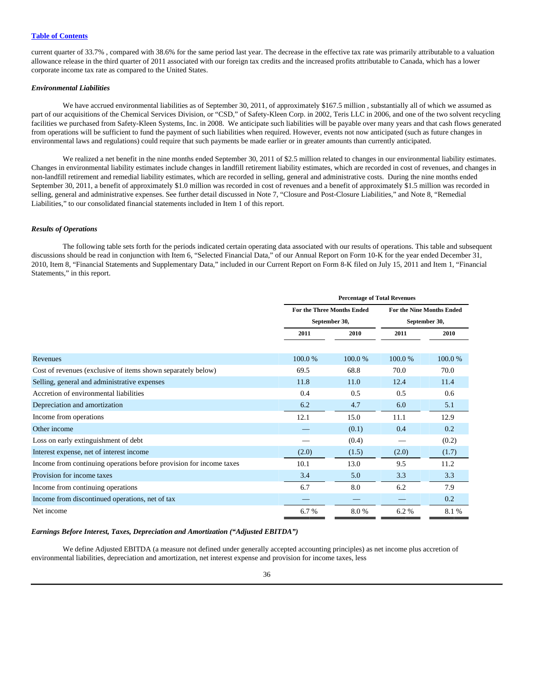current quarter of 33.7% , compared with 38.6% for the same period last year. The decrease in the effective tax rate was primarily attributable to a valuation allowance release in the third quarter of 2011 associated with our foreign tax credits and the increased profits attributable to Canada, which has a lower corporate income tax rate as compared to the United States.

## *Environmental Liabilities*

We have accrued environmental liabilities as of September 30, 2011, of approximately \$167.5 million , substantially all of which we assumed as part of our acquisitions of the Chemical Services Division, or "CSD," of Safety-Kleen Corp. in 2002, Teris LLC in 2006, and one of the two solvent recycling facilities we purchased from Safety-Kleen Systems, Inc. in 2008. We anticipate such liabilities will be payable over many years and that cash flows generated from operations will be sufficient to fund the payment of such liabilities when required. However, events not now anticipated (such as future changes in environmental laws and regulations) could require that such payments be made earlier or in greater amounts than currently anticipated.

We realized a net benefit in the nine months ended September 30, 2011 of \$2.5 million related to changes in our environmental liability estimates. Changes in environmental liability estimates include changes in landfill retirement liability estimates, which are recorded in cost of revenues, and changes in non-landfill retirement and remedial liability estimates, which are recorded in selling, general and administrative costs. During the nine months ended September 30, 2011, a benefit of approximately \$1.0 million was recorded in cost of revenues and a benefit of approximately \$1.5 million was recorded in selling, general and administrative expenses. See further detail discussed in Note 7, "Closure and Post-Closure Liabilities," and Note 8, "Remedial Liabilities," to our consolidated financial statements included in Item 1 of this report.

#### *Results of Operations*

The following table sets forth for the periods indicated certain operating data associated with our results of operations. This table and subsequent discussions should be read in conjunction with Item 6, "Selected Financial Data," of our Annual Report on Form 10-K for the year ended December 31, 2010, Item 8, "Financial Statements and Supplementary Data," included in our Current Report on Form 8-K filed on July 15, 2011 and Item 1, "Financial Statements," in this report.

|                                                                     |                                   | <b>Percentage of Total Revenues</b> |         |                                  |  |  |  |  |  |  |
|---------------------------------------------------------------------|-----------------------------------|-------------------------------------|---------|----------------------------------|--|--|--|--|--|--|
|                                                                     | <b>For the Three Months Ended</b> |                                     |         | <b>For the Nine Months Ended</b> |  |  |  |  |  |  |
|                                                                     | September 30,                     |                                     |         | September 30,                    |  |  |  |  |  |  |
|                                                                     | 2011                              | 2010                                | 2011    | 2010                             |  |  |  |  |  |  |
|                                                                     |                                   |                                     |         |                                  |  |  |  |  |  |  |
| Revenues                                                            | 100.0%                            | 100.0 %                             | 100.0 % | 100.0 %                          |  |  |  |  |  |  |
| Cost of revenues (exclusive of items shown separately below)        | 69.5                              | 68.8                                | 70.0    | 70.0                             |  |  |  |  |  |  |
| Selling, general and administrative expenses                        | 11.8                              | 11.0                                | 12.4    | 11.4                             |  |  |  |  |  |  |
| Accretion of environmental liabilities                              | 0.4                               | 0.5                                 | 0.5     | 0.6                              |  |  |  |  |  |  |
| Depreciation and amortization                                       | 6.2                               | 4.7                                 | 6.0     | 5.1                              |  |  |  |  |  |  |
| Income from operations                                              | 12.1                              | 15.0                                | 11.1    | 12.9                             |  |  |  |  |  |  |
| Other income                                                        |                                   | (0.1)                               | 0.4     | 0.2                              |  |  |  |  |  |  |
| Loss on early extinguishment of debt                                |                                   | (0.4)                               |         | (0.2)                            |  |  |  |  |  |  |
| Interest expense, net of interest income                            | (2.0)                             | (1.5)                               | (2.0)   | (1.7)                            |  |  |  |  |  |  |
| Income from continuing operations before provision for income taxes | 10.1                              | 13.0                                | 9.5     | 11.2                             |  |  |  |  |  |  |
| Provision for income taxes                                          | 3.4                               | 5.0                                 | 3.3     | 3.3                              |  |  |  |  |  |  |
| Income from continuing operations                                   | 6.7                               | 8.0                                 | 6.2     | 7.9                              |  |  |  |  |  |  |
| Income from discontinued operations, net of tax                     |                                   |                                     |         | 0.2                              |  |  |  |  |  |  |
| Net income                                                          | 6.7%                              | 8.0%                                | 6.2%    | 8.1%                             |  |  |  |  |  |  |

## *Earnings Before Interest, Taxes, Depreciation and Amortization ("Adjusted EBITDA")*

We define Adjusted EBITDA (a measure not defined under generally accepted accounting principles) as net income plus accretion of environmental liabilities, depreciation and amortization, net interest expense and provision for income taxes, less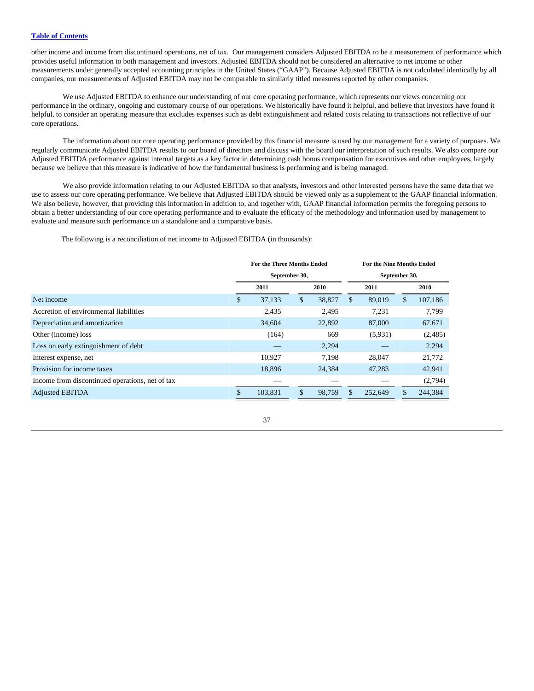other income and income from discontinued operations, net of tax. Our management considers Adjusted EBITDA to be a measurement of performance which provides useful information to both management and investors. Adjusted EBITDA should not be considered an alternative to net income or other measurements under generally accepted accounting principles in the United States ("GAAP"). Because Adjusted EBITDA is not calculated identically by all companies, our measurements of Adjusted EBITDA may not be comparable to similarly titled measures reported by other companies.

We use Adjusted EBITDA to enhance our understanding of our core operating performance, which represents our views concerning our performance in the ordinary, ongoing and customary course of our operations. We historically have found it helpful, and believe that investors have found it helpful, to consider an operating measure that excludes expenses such as debt extinguishment and related costs relating to transactions not reflective of our core operations.

The information about our core operating performance provided by this financial measure is used by our management for a variety of purposes. We regularly communicate Adjusted EBITDA results to our board of directors and discuss with the board our interpretation of such results. We also compare our Adjusted EBITDA performance against internal targets as a key factor in determining cash bonus compensation for executives and other employees, largely because we believe that this measure is indicative of how the fundamental business is performing and is being managed.

We also provide information relating to our Adjusted EBITDA so that analysts, investors and other interested persons have the same data that we use to assess our core operating performance. We believe that Adjusted EBITDA should be viewed only as a supplement to the GAAP financial information. We also believe, however, that providing this information in addition to, and together with, GAAP financial information permits the foregoing persons to obtain a better understanding of our core operating performance and to evaluate the efficacy of the methodology and information used by management to evaluate and measure such performance on a standalone and a comparative basis.

The following is a reconciliation of net income to Adjusted EBITDA (in thousands):

|                                                 | <b>For the Three Months Ended</b><br>September 30, |         |    |        | <b>For the Nine Months Ended</b> |         |               |         |
|-------------------------------------------------|----------------------------------------------------|---------|----|--------|----------------------------------|---------|---------------|---------|
|                                                 |                                                    |         |    |        |                                  |         | September 30, |         |
|                                                 | 2011                                               |         |    | 2010   |                                  | 2011    |               | 2010    |
| Net income                                      | \$                                                 | 37,133  | \$ | 38,827 | \$.                              | 89,019  | \$            | 107,186 |
| Accretion of environmental liabilities          |                                                    | 2,435   |    | 2,495  |                                  | 7,231   |               | 7,799   |
| Depreciation and amortization                   |                                                    | 34,604  |    | 22,892 |                                  | 87,000  |               | 67,671  |
| Other (income) loss                             |                                                    | (164)   |    | 669    |                                  | (5,931) |               | (2,485) |
| Loss on early extinguishment of debt            |                                                    |         |    | 2,294  |                                  |         |               | 2,294   |
| Interest expense, net                           |                                                    | 10.927  |    | 7.198  |                                  | 28,047  |               | 21,772  |
| Provision for income taxes                      |                                                    | 18,896  |    | 24,384 |                                  | 47,283  |               | 42,941  |
| Income from discontinued operations, net of tax |                                                    |         |    |        |                                  |         |               | (2,794) |
| <b>Adjusted EBITDA</b>                          |                                                    | 103,831 | \$ | 98.759 | \$                               | 252,649 | S.            | 244,384 |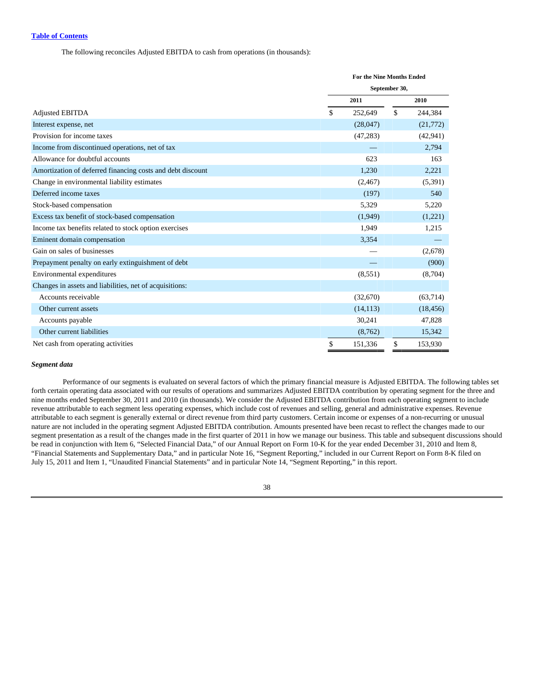The following reconciles Adjusted EBITDA to cash from operations (in thousands):

|                                                            | <b>For the Nine Months Ended</b> |               |           |  |  |
|------------------------------------------------------------|----------------------------------|---------------|-----------|--|--|
|                                                            |                                  | September 30, |           |  |  |
|                                                            | 2011                             |               | 2010      |  |  |
| <b>Adjusted EBITDA</b>                                     | \$<br>252,649                    | \$            | 244,384   |  |  |
| Interest expense, net                                      | (28,047)                         |               | (21,772)  |  |  |
| Provision for income taxes                                 | (47, 283)                        |               | (42, 941) |  |  |
| Income from discontinued operations, net of tax            |                                  |               | 2,794     |  |  |
| Allowance for doubtful accounts                            | 623                              |               | 163       |  |  |
| Amortization of deferred financing costs and debt discount | 1,230                            |               | 2,221     |  |  |
| Change in environmental liability estimates                | (2,467)                          |               | (5,391)   |  |  |
| Deferred income taxes                                      | (197)                            |               | 540       |  |  |
| Stock-based compensation                                   | 5,329                            |               | 5,220     |  |  |
| Excess tax benefit of stock-based compensation             | (1,949)                          |               | (1,221)   |  |  |
| Income tax benefits related to stock option exercises      | 1,949                            |               | 1,215     |  |  |
| Eminent domain compensation                                | 3,354                            |               |           |  |  |
| Gain on sales of businesses                                |                                  |               | (2,678)   |  |  |
| Prepayment penalty on early extinguishment of debt         |                                  |               | (900)     |  |  |
| Environmental expenditures                                 | (8,551)                          |               | (8,704)   |  |  |
| Changes in assets and liabilities, net of acquisitions:    |                                  |               |           |  |  |
| Accounts receivable                                        | (32,670)                         |               | (63,714)  |  |  |
| Other current assets                                       | (14, 113)                        |               | (18, 456) |  |  |
| Accounts payable                                           | 30,241                           |               | 47,828    |  |  |
| Other current liabilities                                  | (8,762)                          |               | 15,342    |  |  |
| Net cash from operating activities                         | \$<br>151,336                    | \$            | 153,930   |  |  |

## *Segment data*

Performance of our segments is evaluated on several factors of which the primary financial measure is Adjusted EBITDA. The following tables set forth certain operating data associated with our results of operations and summarizes Adjusted EBITDA contribution by operating segment for the three and nine months ended September 30, 2011 and 2010 (in thousands). We consider the Adjusted EBITDA contribution from each operating segment to include revenue attributable to each segment less operating expenses, which include cost of revenues and selling, general and administrative expenses. Revenue attributable to each segment is generally external or direct revenue from third party customers. Certain income or expenses of a non-recurring or unusual nature are not included in the operating segment Adjusted EBITDA contribution. Amounts presented have been recast to reflect the changes made to our segment presentation as a result of the changes made in the first quarter of 2011 in how we manage our business. This table and subsequent discussions should be read in conjunction with Item 6, "Selected Financial Data," of our Annual Report on Form 10-K for the year ended December 31, 2010 and Item 8, "Financial Statements and Supplementary Data," and in particular Note 16, "Segment Reporting," included in our Current Report on Form 8-K filed on July 15, 2011 and Item 1, "Unaudited Financial Statements" and in particular Note 14, "Segment Reporting," in this report.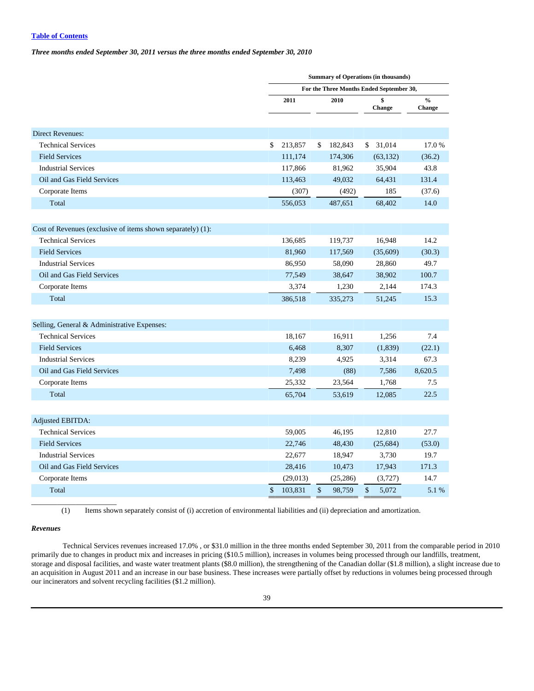*Three months ended September 30, 2011 versus the three months ended September 30, 2010*

|                                                             | <b>Summary of Operations (in thousands)</b> |              |           |              |                         |  |  |  |
|-------------------------------------------------------------|---------------------------------------------|--------------|-----------|--------------|-------------------------|--|--|--|
|                                                             | For the Three Months Ended September 30,    |              |           |              |                         |  |  |  |
|                                                             |                                             | 2011<br>2010 |           |              | $\frac{0}{0}$<br>Change |  |  |  |
|                                                             |                                             |              |           |              |                         |  |  |  |
| <b>Direct Revenues:</b>                                     |                                             |              |           |              |                         |  |  |  |
| <b>Technical Services</b>                                   | 213,857<br>\$                               | \$           | 182,843   | 31,014<br>\$ | 17.0%                   |  |  |  |
| <b>Field Services</b>                                       | 111,174                                     |              | 174,306   | (63, 132)    | (36.2)                  |  |  |  |
| <b>Industrial Services</b>                                  | 117,866                                     |              | 81,962    | 35,904       | 43.8                    |  |  |  |
| Oil and Gas Field Services                                  | 113,463                                     |              | 49,032    | 64,431       | 131.4                   |  |  |  |
| Corporate Items                                             |                                             | (307)        | (492)     | 185          | (37.6)                  |  |  |  |
| Total                                                       | 556,053                                     |              | 487,651   | 68,402       | 14.0                    |  |  |  |
|                                                             |                                             |              |           |              |                         |  |  |  |
| Cost of Revenues (exclusive of items shown separately) (1): |                                             |              |           |              |                         |  |  |  |
| <b>Technical Services</b>                                   | 136,685                                     |              | 119,737   | 16,948       | 14.2                    |  |  |  |
| <b>Field Services</b>                                       |                                             | 81,960       | 117,569   | (35,609)     | (30.3)                  |  |  |  |
| <b>Industrial Services</b>                                  |                                             | 86,950       | 58,090    | 28,860       | 49.7                    |  |  |  |
| Oil and Gas Field Services                                  |                                             | 77,549       | 38,647    | 38,902       | 100.7                   |  |  |  |
| Corporate Items                                             |                                             | 3,374        | 1,230     | 2,144        | 174.3                   |  |  |  |
| Total                                                       | 386,518                                     |              | 335,273   | 51,245       | 15.3                    |  |  |  |
|                                                             |                                             |              |           |              |                         |  |  |  |
| Selling, General & Administrative Expenses:                 |                                             |              |           |              |                         |  |  |  |
| <b>Technical Services</b>                                   |                                             | 18,167       | 16,911    | 1,256        | 7.4                     |  |  |  |
| <b>Field Services</b>                                       |                                             | 6,468        | 8,307     | (1, 839)     | (22.1)                  |  |  |  |
| <b>Industrial Services</b>                                  |                                             | 8,239        | 4,925     | 3,314        | 67.3                    |  |  |  |
| Oil and Gas Field Services                                  |                                             | 7,498        | (88)      | 7,586        | 8,620.5                 |  |  |  |
| Corporate Items                                             |                                             | 25,332       | 23,564    | 1,768        | 7.5                     |  |  |  |
| Total                                                       |                                             | 65,704       | 53,619    | 12,085       | 22.5                    |  |  |  |
|                                                             |                                             |              |           |              |                         |  |  |  |
| Adjusted EBITDA:                                            |                                             |              |           |              |                         |  |  |  |
| <b>Technical Services</b>                                   |                                             | 59,005       | 46,195    | 12,810       | 27.7                    |  |  |  |
| <b>Field Services</b>                                       |                                             | 22,746       | 48,430    | (25, 684)    | (53.0)                  |  |  |  |
| <b>Industrial Services</b>                                  |                                             | 22,677       | 18,947    | 3,730        | 19.7                    |  |  |  |
| Oil and Gas Field Services                                  |                                             | 28,416       | 10,473    | 17,943       | 171.3                   |  |  |  |
| Corporate Items                                             |                                             | (29,013)     | (25, 286) | (3,727)      | 14.7                    |  |  |  |
| Total                                                       | \$<br>103,831                               | \$           | 98,759    | \$<br>5,072  | 5.1 %                   |  |  |  |
|                                                             |                                             |              |           |              |                         |  |  |  |

(1) Items shown separately consist of (i) accretion of environmental liabilities and (ii) depreciation and amortization.

## *Revenues*

Technical Services revenues increased 17.0% , or \$31.0 million in the three months ended September 30, 2011 from the comparable period in 2010 primarily due to changes in product mix and increases in pricing (\$10.5 million), increases in volumes being processed through our landfills, treatment, storage and disposal facilities, and waste water treatment plants (\$8.0 million), the strengthening of the Canadian dollar (\$1.8 million), a slight increase due to an acquisition in August 2011 and an increase in our base business. These increases were partially offset by reductions in volumes being processed through our incinerators and solvent recycling facilities (\$1.2 million).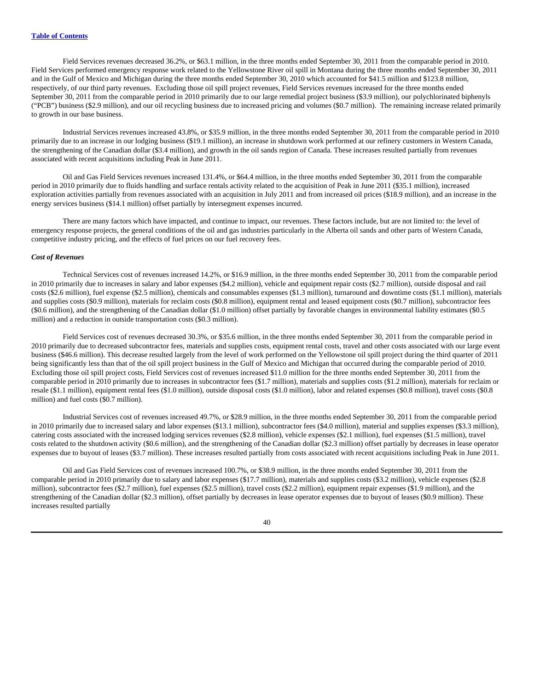Field Services revenues decreased 36.2%, or \$63.1 million, in the three months ended September 30, 2011 from the comparable period in 2010. Field Services performed emergency response work related to the Yellowstone River oil spill in Montana during the three months ended September 30, 2011 and in the Gulf of Mexico and Michigan during the three months ended September 30, 2010 which accounted for \$41.5 million and \$123.8 million, respectively, of our third party revenues. Excluding those oil spill project revenues, Field Services revenues increased for the three months ended September 30, 2011 from the comparable period in 2010 primarily due to our large remedial project business (\$3.9 million), our polychlorinated biphenyls ("PCB") business (\$2.9 million), and our oil recycling business due to increased pricing and volumes (\$0.7 million). The remaining increase related primarily to growth in our base business.

Industrial Services revenues increased 43.8%, or \$35.9 million, in the three months ended September 30, 2011 from the comparable period in 2010 primarily due to an increase in our lodging business (\$19.1 million), an increase in shutdown work performed at our refinery customers in Western Canada, the strengthening of the Canadian dollar (\$3.4 million), and growth in the oil sands region of Canada. These increases resulted partially from revenues associated with recent acquisitions including Peak in June 2011.

Oil and Gas Field Services revenues increased 131.4%, or \$64.4 million, in the three months ended September 30, 2011 from the comparable period in 2010 primarily due to fluids handling and surface rentals activity related to the acquisition of Peak in June 2011 (\$35.1 million), increased exploration activities partially from revenues associated with an acquisition in July 2011 and from increased oil prices (\$18.9 million), and an increase in the energy services business (\$14.1 million) offset partially by intersegment expenses incurred.

There are many factors which have impacted, and continue to impact, our revenues. These factors include, but are not limited to: the level of emergency response projects, the general conditions of the oil and gas industries particularly in the Alberta oil sands and other parts of Western Canada, competitive industry pricing, and the effects of fuel prices on our fuel recovery fees.

#### *Cost of Revenues*

Technical Services cost of revenues increased 14.2%, or \$16.9 million, in the three months ended September 30, 2011 from the comparable period in 2010 primarily due to increases in salary and labor expenses (\$4.2 million), vehicle and equipment repair costs (\$2.7 million), outside disposal and rail costs (\$2.6 million), fuel expense (\$2.5 million), chemicals and consumables expenses (\$1.3 million), turnaround and downtime costs (\$1.1 million), materials and supplies costs (\$0.9 million), materials for reclaim costs (\$0.8 million), equipment rental and leased equipment costs (\$0.7 million), subcontractor fees (\$0.6 million), and the strengthening of the Canadian dollar (\$1.0 million) offset partially by favorable changes in environmental liability estimates (\$0.5 million) and a reduction in outside transportation costs (\$0.3 million).

Field Services cost of revenues decreased 30.3%, or \$35.6 million, in the three months ended September 30, 2011 from the comparable period in 2010 primarily due to decreased subcontractor fees, materials and supplies costs, equipment rental costs, travel and other costs associated with our large event business (\$46.6 million). This decrease resulted largely from the level of work performed on the Yellowstone oil spill project during the third quarter of 2011 being significantly less than that of the oil spill project business in the Gulf of Mexico and Michigan that occurred during the comparable period of 2010. Excluding those oil spill project costs, Field Services cost of revenues increased \$11.0 million for the three months ended September 30, 2011 from the comparable period in 2010 primarily due to increases in subcontractor fees (\$1.7 million), materials and supplies costs (\$1.2 million), materials for reclaim or resale (\$1.1 million), equipment rental fees (\$1.0 million), outside disposal costs (\$1.0 million), labor and related expenses (\$0.8 million), travel costs (\$0.8 million) and fuel costs (\$0.7 million).

Industrial Services cost of revenues increased 49.7%, or \$28.9 million, in the three months ended September 30, 2011 from the comparable period in 2010 primarily due to increased salary and labor expenses (\$13.1 million), subcontractor fees (\$4.0 million), material and supplies expenses (\$3.3 million), catering costs associated with the increased lodging services revenues (\$2.8 million), vehicle expenses (\$2.1 million), fuel expenses (\$1.5 million), travel costs related to the shutdown activity (\$0.6 million), and the strengthening of the Canadian dollar (\$2.3 million) offset partially by decreases in lease operator expenses due to buyout of leases (\$3.7 million). These increases resulted partially from costs associated with recent acquisitions including Peak in June 2011.

Oil and Gas Field Services cost of revenues increased 100.7%, or \$38.9 million, in the three months ended September 30, 2011 from the comparable period in 2010 primarily due to salary and labor expenses (\$17.7 million), materials and supplies costs (\$3.2 million), vehicle expenses (\$2.8 million), subcontractor fees (\$2.7 million), fuel expenses (\$2.5 million), travel costs (\$2.2 million), equipment repair expenses (\$1.9 million), and the strengthening of the Canadian dollar (\$2.3 million), offset partially by decreases in lease operator expenses due to buyout of leases (\$0.9 million). These increases resulted partially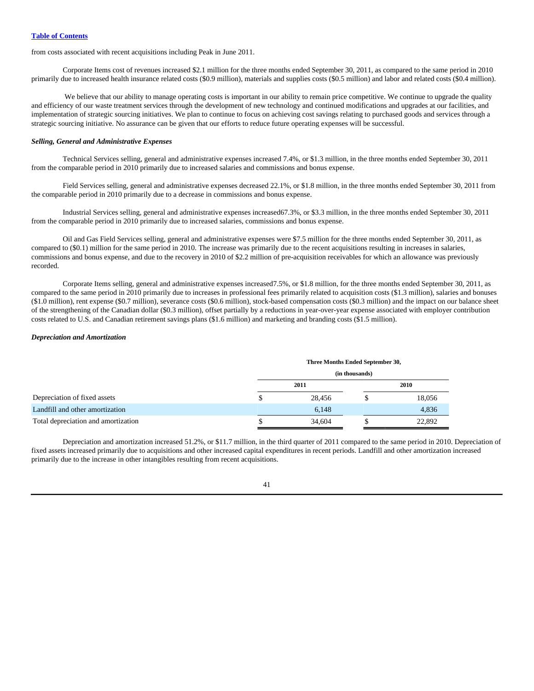from costs associated with recent acquisitions including Peak in June 2011.

Corporate Items cost of revenues increased \$2.1 million for the three months ended September 30, 2011, as compared to the same period in 2010 primarily due to increased health insurance related costs (\$0.9 million), materials and supplies costs (\$0.5 million) and labor and related costs (\$0.4 million).

We believe that our ability to manage operating costs is important in our ability to remain price competitive. We continue to upgrade the quality and efficiency of our waste treatment services through the development of new technology and continued modifications and upgrades at our facilities, and implementation of strategic sourcing initiatives. We plan to continue to focus on achieving cost savings relating to purchased goods and services through a strategic sourcing initiative. No assurance can be given that our efforts to reduce future operating expenses will be successful.

## *Selling, General and Administrative Expenses*

Technical Services selling, general and administrative expenses increased 7.4%, or \$1.3 million, in the three months ended September 30, 2011 from the comparable period in 2010 primarily due to increased salaries and commissions and bonus expense.

Field Services selling, general and administrative expenses decreased 22.1%, or \$1.8 million, in the three months ended September 30, 2011 from the comparable period in 2010 primarily due to a decrease in commissions and bonus expense.

Industrial Services selling, general and administrative expenses increased67.3%, or \$3.3 million, in the three months ended September 30, 2011 from the comparable period in 2010 primarily due to increased salaries, commissions and bonus expense.

Oil and Gas Field Services selling, general and administrative expenses were \$7.5 million for the three months ended September 30, 2011, as compared to (\$0.1) million for the same period in 2010. The increase was primarily due to the recent acquisitions resulting in increases in salaries, commissions and bonus expense, and due to the recovery in 2010 of \$2.2 million of pre-acquisition receivables for which an allowance was previously recorded.

Corporate Items selling, general and administrative expenses increased7.5%, or \$1.8 million, for the three months ended September 30, 2011, as compared to the same period in 2010 primarily due to increases in professional fees primarily related to acquisition costs (\$1.3 million), salaries and bonuses (\$1.0 million), rent expense (\$0.7 million), severance costs (\$0.6 million), stock-based compensation costs (\$0.3 million) and the impact on our balance sheet of the strengthening of the Canadian dollar (\$0.3 million), offset partially by a reductions in year-over-year expense associated with employer contribution costs related to U.S. and Canadian retirement savings plans (\$1.6 million) and marketing and branding costs (\$1.5 million).

#### *Depreciation and Amortization*

|                                     | Three Months Ended September 30, |  |        |  |  |  |
|-------------------------------------|----------------------------------|--|--------|--|--|--|
|                                     | (in thousands)                   |  |        |  |  |  |
|                                     | 2011                             |  | 2010   |  |  |  |
| Depreciation of fixed assets        | 28.456                           |  | 18,056 |  |  |  |
| Landfill and other amortization     | 6,148                            |  | 4,836  |  |  |  |
| Total depreciation and amortization | 34,604                           |  | 22,892 |  |  |  |

Depreciation and amortization increased 51.2%, or \$11.7 million, in the third quarter of 2011 compared to the same period in 2010. Depreciation of fixed assets increased primarily due to acquisitions and other increased capital expenditures in recent periods. Landfill and other amortization increased primarily due to the increase in other intangibles resulting from recent acquisitions.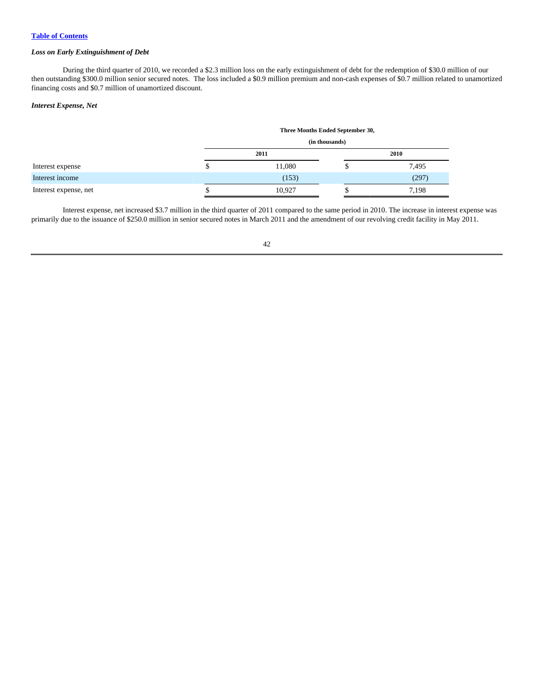## *Loss on Early Extinguishment of Debt*

During the third quarter of 2010, we recorded a \$2.3 million loss on the early extinguishment of debt for the redemption of \$30.0 million of our then outstanding \$300.0 million senior secured notes. The loss included a \$0.9 million premium and non-cash expenses of \$0.7 million related to unamortized financing costs and \$0.7 million of unamortized discount.

## *Interest Expense, Net*

|                       |   | Three Months Ended September 30, |      |       |  |  |  |  |  |
|-----------------------|---|----------------------------------|------|-------|--|--|--|--|--|
|                       |   | (in thousands)                   |      |       |  |  |  |  |  |
|                       |   | 2011                             | 2010 |       |  |  |  |  |  |
| Interest expense      | ⊕ | 11,080                           | ◡    | 7,495 |  |  |  |  |  |
| Interest income       |   | (153)                            |      | (297) |  |  |  |  |  |
| Interest expense, net |   | 10,927                           |      | 7,198 |  |  |  |  |  |

Interest expense, net increased \$3.7 million in the third quarter of 2011 compared to the same period in 2010. The increase in interest expense was primarily due to the issuance of \$250.0 million in senior secured notes in March 2011 and the amendment of our revolving credit facility in May 2011.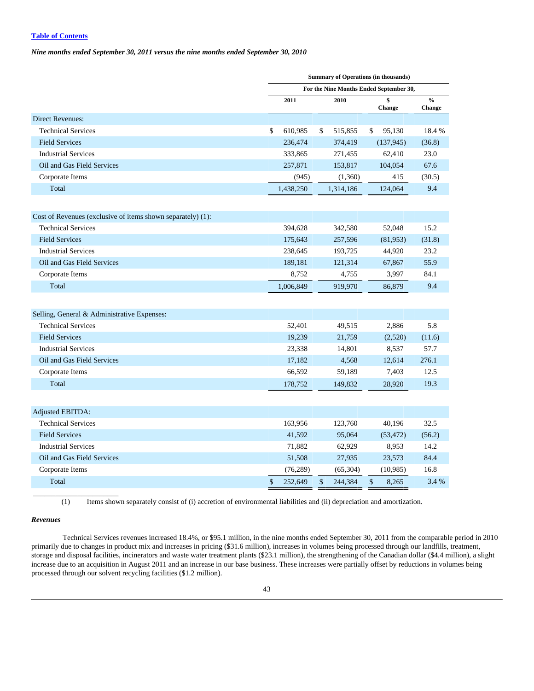*Nine months ended September 30, 2011 versus the nine months ended September 30, 2010*

|                                                             | <b>Summary of Operations (in thousands)</b> |           |              |           |              |            |                         |  |
|-------------------------------------------------------------|---------------------------------------------|-----------|--------------|-----------|--------------|------------|-------------------------|--|
|                                                             | For the Nine Months Ended September 30,     |           |              |           |              |            |                         |  |
|                                                             |                                             | 2011      | 2010         |           | \$<br>Change |            | $\frac{0}{0}$<br>Change |  |
| <b>Direct Revenues:</b>                                     |                                             |           |              |           |              |            |                         |  |
| <b>Technical Services</b>                                   | \$                                          | 610,985   | \$           | 515,855   | \$           | 95,130     | 18.4%                   |  |
| <b>Field Services</b>                                       |                                             | 236,474   |              | 374,419   |              | (137, 945) | (36.8)                  |  |
| <b>Industrial Services</b>                                  |                                             | 333,865   |              | 271,455   |              | 62,410     | 23.0                    |  |
| Oil and Gas Field Services                                  |                                             | 257,871   |              | 153,817   |              | 104,054    | 67.6                    |  |
| Corporate Items                                             |                                             | (945)     |              | (1,360)   |              | 415        | (30.5)                  |  |
| Total                                                       |                                             | 1,438,250 |              | 1,314,186 |              | 124,064    | 9.4                     |  |
| Cost of Revenues (exclusive of items shown separately) (1): |                                             |           |              |           |              |            |                         |  |
| <b>Technical Services</b>                                   |                                             | 394,628   |              | 342,580   |              | 52,048     | 15.2                    |  |
| <b>Field Services</b>                                       |                                             | 175,643   |              | 257,596   |              | (81,953)   | (31.8)                  |  |
| <b>Industrial Services</b>                                  |                                             | 238,645   |              | 193,725   |              | 44,920     | 23.2                    |  |
| Oil and Gas Field Services                                  |                                             | 189,181   |              | 121,314   |              | 67,867     | 55.9                    |  |
| Corporate Items                                             |                                             | 8,752     |              | 4,755     |              | 3,997      | 84.1                    |  |
| Total                                                       |                                             | 1,006,849 |              | 919,970   |              | 86,879     | 9.4                     |  |
| Selling, General & Administrative Expenses:                 |                                             |           |              |           |              |            |                         |  |
| <b>Technical Services</b>                                   |                                             | 52,401    |              | 49,515    |              | 2,886      | 5.8                     |  |
| <b>Field Services</b>                                       |                                             | 19,239    |              | 21,759    |              | (2,520)    | (11.6)                  |  |
| <b>Industrial Services</b>                                  |                                             | 23,338    |              | 14,801    |              | 8.537      | 57.7                    |  |
| Oil and Gas Field Services                                  |                                             | 17,182    |              | 4,568     |              | 12,614     | 276.1                   |  |
| Corporate Items                                             |                                             | 66,592    |              | 59,189    |              | 7,403      | 12.5                    |  |
| Total                                                       |                                             | 178,752   |              | 149,832   |              | 28,920     | 19.3                    |  |
| Adjusted EBITDA:                                            |                                             |           |              |           |              |            |                         |  |
| <b>Technical Services</b>                                   |                                             | 163,956   |              | 123,760   |              | 40,196     | 32.5                    |  |
| <b>Field Services</b>                                       |                                             | 41,592    |              | 95,064    |              | (53, 472)  | (56.2)                  |  |
| <b>Industrial Services</b>                                  |                                             | 71,882    |              | 62,929    |              | 8,953      | 14.2                    |  |
| Oil and Gas Field Services                                  |                                             | 51,508    |              | 27,935    |              | 23,573     | 84.4                    |  |
| Corporate Items                                             |                                             | (76, 289) |              | (65, 304) |              | (10, 985)  | 16.8                    |  |
| Total                                                       | \$                                          | 252,649   | $\mathbb{S}$ | 244,384   | \$           | 8,265      | 3.4 %                   |  |

(1) Items shown separately consist of (i) accretion of environmental liabilities and (ii) depreciation and amortization.

#### *Revenues*

Technical Services revenues increased 18.4%, or \$95.1 million, in the nine months ended September 30, 2011 from the comparable period in 2010 primarily due to changes in product mix and increases in pricing (\$31.6 million), increases in volumes being processed through our landfills, treatment, storage and disposal facilities, incinerators and waste water treatment plants (\$23.1 million), the strengthening of the Canadian dollar (\$4.4 million), a slight increase due to an acquisition in August 2011 and an increase in our base business. These increases were partially offset by reductions in volumes being processed through our solvent recycling facilities (\$1.2 million).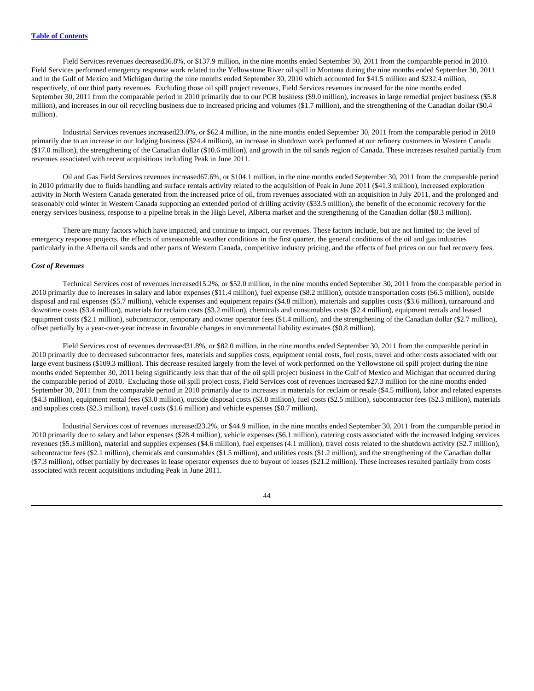Field Services revenues decreased36.8%, or \$137.9 million, in the nine months ended September 30, 2011 from the comparable period in 2010. Field Services performed emergency response work related to the Yellowstone River oil spill in Montana during the nine months ended September 30, 2011 and in the Gulf of Mexico and Michigan during the nine months ended September 30, 2010 which accounted for \$41.5 million and \$232.4 million, respectively, of our third party revenues. Excluding those oil spill project revenues, Field Services revenues increased for the nine months ended September 30, 2011 from the comparable period in 2010 primarily due to our PCB business (\$9.0 million), increases in large remedial project business (\$5.8 million), and increases in our oil recycling business due to increased pricing and volumes (\$1.7 million), and the strengthening of the Canadian dollar (\$0.4 million).

Industrial Services revenues increased23.0%, or \$62.4 million, in the nine months ended September 30, 2011 from the comparable period in 2010 primarily due to an increase in our lodging business (\$24.4 million), an increase in shutdown work performed at our refinery customers in Western Canada (\$17.0 million), the strengthening of the Canadian dollar (\$10.6 million), and growth in the oil sands region of Canada. These increases resulted partially from revenues associated with recent acquisitions including Peak in June 2011.

Oil and Gas Field Services revenues increased67.6%, or \$104.1 million, in the nine months ended September 30, 2011 from the comparable period in 2010 primarily due to fluids handling and surface rentals activity related to the acquisition of Peak in June 2011 (\$41.3 million), increased exploration activity in North Western Canada generated from the increased price of oil, from revenues associated with an acquisition in July 2011, and the prolonged and seasonably cold winter in Western Canada supporting an extended period of drilling activity (\$33.5 million), the benefit of the economic recovery for the energy services business, response to a pipeline break in the High Level, Alberta market and the strengthening of the Canadian dollar (\$8.3 million).

There are many factors which have impacted, and continue to impact, our revenues. These factors include, but are not limited to: the level of emergency response projects, the effects of unseasonable weather conditions in the first quarter, the general conditions of the oil and gas industries particularly in the Alberta oil sands and other parts of Western Canada, competitive industry pricing, and the effects of fuel prices on our fuel recovery fees.

#### *Cost of Revenues*

Technical Services cost of revenues increased15.2%, or \$52.0 million, in the nine months ended September 30, 2011 from the comparable period in 2010 primarily due to increases in salary and labor expenses (\$11.4 million), fuel expense (\$8.2 million), outside transportation costs (\$6.5 million), outside disposal and rail expenses (\$5.7 million), vehicle expenses and equipment repairs (\$4.8 million), materials and supplies costs (\$3.6 million), turnaround and downtime costs (\$3.4 million), materials for reclaim costs (\$3.2 million), chemicals and consumables costs (\$2.4 million), equipment rentals and leased equipment costs (\$2.1 million), subcontractor, temporary and owner operator fees (\$1.4 million), and the strengthening of the Canadian dollar (\$2.7 million), offset partially by a year-over-year increase in favorable changes in environmental liability estimates (\$0.8 million).

Field Services cost of revenues decreased31.8%, or \$82.0 million, in the nine months ended September 30, 2011 from the comparable period in 2010 primarily due to decreased subcontractor fees, materials and supplies costs, equipment rental costs, fuel costs, travel and other costs associated with our large event business (\$109.3 million). This decrease resulted largely from the level of work performed on the Yellowstone oil spill project during the nine months ended September 30, 2011 being significantly less than that of the oil spill project business in the Gulf of Mexico and Michigan that occurred during the comparable period of 2010. Excluding those oil spill project costs, Field Services cost of revenues increased \$27.3 million for the nine months ended September 30, 2011 from the comparable period in 2010 primarily due to increases in materials for reclaim or resale (\$4.5 million), labor and related expenses (\$4.3 million), equipment rental fees (\$3.0 million), outside disposal costs (\$3.0 million), fuel costs (\$2.5 million), subcontractor fees (\$2.3 million), materials and supplies costs (\$2.3 million), travel costs (\$1.6 million) and vehicle expenses (\$0.7 million).

Industrial Services cost of revenues increased23.2%, or \$44.9 million, in the nine months ended September 30, 2011 from the comparable period in 2010 primarily due to salary and labor expenses (\$28.4 million), vehicle expenses (\$6.1 million), catering costs associated with the increased lodging services revenues (\$5.3 million), material and supplies expenses (\$4.6 million), fuel expenses (4.1 million), travel costs related to the shutdown activity (\$2.7 million), subcontractor fees (\$2.1 million), chemicals and consumables (\$1.5 million), and utilities costs (\$1.2 million), and the strengthening of the Canadian dollar (\$7.3 million), offset partially by decreases in lease operator expenses due to buyout of leases (\$21.2 million). These increases resulted partially from costs associated with recent acquisitions including Peak in June 2011.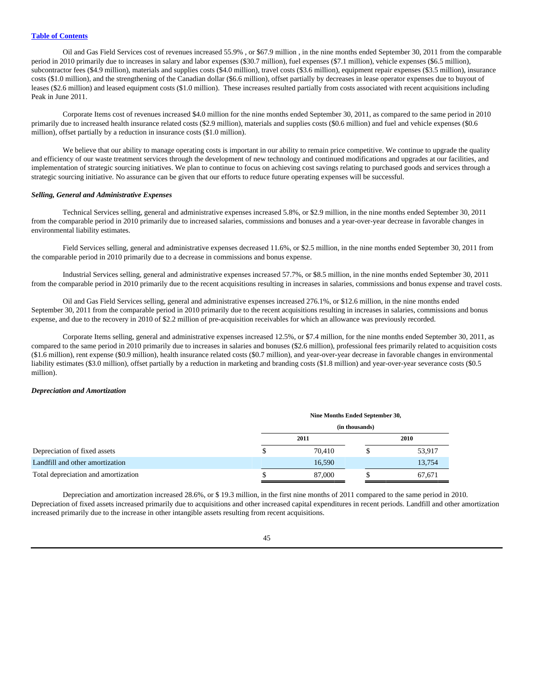Oil and Gas Field Services cost of revenues increased 55.9% , or \$67.9 million , in the nine months ended September 30, 2011 from the comparable period in 2010 primarily due to increases in salary and labor expenses (\$30.7 million), fuel expenses (\$7.1 million), vehicle expenses (\$6.5 million), subcontractor fees (\$4.9 million), materials and supplies costs (\$4.0 million), travel costs (\$3.6 million), equipment repair expenses (\$3.5 million), insurance costs (\$1.0 million), and the strengthening of the Canadian dollar (\$6.6 million), offset partially by decreases in lease operator expenses due to buyout of leases (\$2.6 million) and leased equipment costs (\$1.0 million). These increases resulted partially from costs associated with recent acquisitions including Peak in June 2011.

Corporate Items cost of revenues increased \$4.0 million for the nine months ended September 30, 2011, as compared to the same period in 2010 primarily due to increased health insurance related costs (\$2.9 million), materials and supplies costs (\$0.6 million) and fuel and vehicle expenses (\$0.6 million), offset partially by a reduction in insurance costs (\$1.0 million).

We believe that our ability to manage operating costs is important in our ability to remain price competitive. We continue to upgrade the quality and efficiency of our waste treatment services through the development of new technology and continued modifications and upgrades at our facilities, and implementation of strategic sourcing initiatives. We plan to continue to focus on achieving cost savings relating to purchased goods and services through a strategic sourcing initiative. No assurance can be given that our efforts to reduce future operating expenses will be successful.

#### *Selling, General and Administrative Expenses*

Technical Services selling, general and administrative expenses increased 5.8%, or \$2.9 million, in the nine months ended September 30, 2011 from the comparable period in 2010 primarily due to increased salaries, commissions and bonuses and a year-over-year decrease in favorable changes in environmental liability estimates.

Field Services selling, general and administrative expenses decreased 11.6%, or \$2.5 million, in the nine months ended September 30, 2011 from the comparable period in 2010 primarily due to a decrease in commissions and bonus expense.

Industrial Services selling, general and administrative expenses increased 57.7%, or \$8.5 million, in the nine months ended September 30, 2011 from the comparable period in 2010 primarily due to the recent acquisitions resulting in increases in salaries, commissions and bonus expense and travel costs.

Oil and Gas Field Services selling, general and administrative expenses increased 276.1%, or \$12.6 million, in the nine months ended September 30, 2011 from the comparable period in 2010 primarily due to the recent acquisitions resulting in increases in salaries, commissions and bonus expense, and due to the recovery in 2010 of \$2.2 million of pre-acquisition receivables for which an allowance was previously recorded.

Corporate Items selling, general and administrative expenses increased 12.5%, or \$7.4 million, for the nine months ended September 30, 2011, as compared to the same period in 2010 primarily due to increases in salaries and bonuses (\$2.6 million), professional fees primarily related to acquisition costs (\$1.6 million), rent expense (\$0.9 million), health insurance related costs (\$0.7 million), and year-over-year decrease in favorable changes in environmental liability estimates (\$3.0 million), offset partially by a reduction in marketing and branding costs (\$1.8 million) and year-over-year severance costs (\$0.5 million).

#### *Depreciation and Amortization*

|                                     | Nine Months Ended September 30, |  |        |  |  |  |
|-------------------------------------|---------------------------------|--|--------|--|--|--|
|                                     | (in thousands)                  |  |        |  |  |  |
|                                     | 2011                            |  | 2010   |  |  |  |
| Depreciation of fixed assets        | 70.410                          |  | 53,917 |  |  |  |
| Landfill and other amortization     | 16,590                          |  | 13,754 |  |  |  |
| Total depreciation and amortization | 87,000                          |  | 67,671 |  |  |  |

Depreciation and amortization increased 28.6%, or \$ 19.3 million, in the first nine months of 2011 compared to the same period in 2010. Depreciation of fixed assets increased primarily due to acquisitions and other increased capital expenditures in recent periods. Landfill and other amortization increased primarily due to the increase in other intangible assets resulting from recent acquisitions.

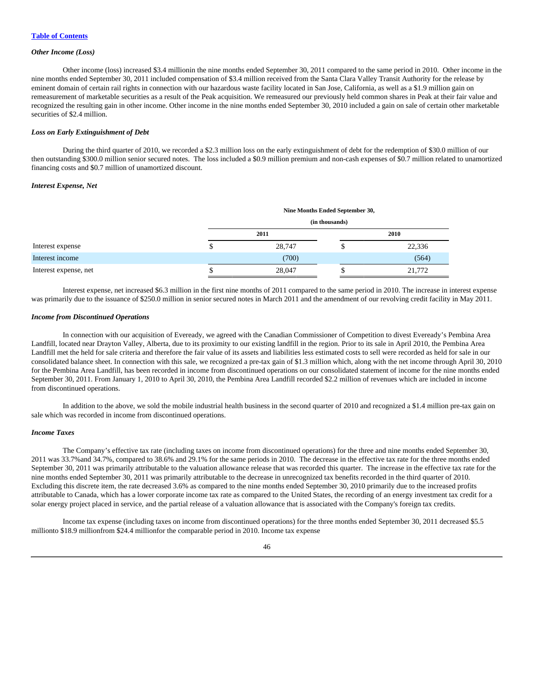#### *Other Income (Loss)*

Other income (loss) increased \$3.4 millionin the nine months ended September 30, 2011 compared to the same period in 2010. Other income in the nine months ended September 30, 2011 included compensation of \$3.4 million received from the Santa Clara Valley Transit Authority for the release by eminent domain of certain rail rights in connection with our hazardous waste facility located in San Jose, California, as well as a \$1.9 million gain on remeasurement of marketable securities as a result of the Peak acquisition. We remeasured our previously held common shares in Peak at their fair value and recognized the resulting gain in other income. Other income in the nine months ended September 30, 2010 included a gain on sale of certain other marketable securities of \$2.4 million.

#### *Loss on Early Extinguishment of Debt*

During the third quarter of 2010, we recorded a \$2.3 million loss on the early extinguishment of debt for the redemption of \$30.0 million of our then outstanding \$300.0 million senior secured notes. The loss included a \$0.9 million premium and non-cash expenses of \$0.7 million related to unamortized financing costs and \$0.7 million of unamortized discount.

#### *Interest Expense, Net*

|                       |   | Nine Months Ended September 30, |      |        |  |  |  |  |
|-----------------------|---|---------------------------------|------|--------|--|--|--|--|
|                       |   | (in thousands)                  |      |        |  |  |  |  |
|                       |   | 2011                            | 2010 |        |  |  |  |  |
| Interest expense      | Ф | 28,747                          |      | 22,336 |  |  |  |  |
| Interest income       |   | (700)                           |      | (564)  |  |  |  |  |
| Interest expense, net |   | 28,047                          |      | 21,772 |  |  |  |  |

Interest expense, net increased \$6.3 million in the first nine months of 2011 compared to the same period in 2010. The increase in interest expense was primarily due to the issuance of \$250.0 million in senior secured notes in March 2011 and the amendment of our revolving credit facility in May 2011.

#### *Income from Discontinued Operations*

In connection with our acquisition of Eveready, we agreed with the Canadian Commissioner of Competition to divest Eveready's Pembina Area Landfill, located near Drayton Valley, Alberta, due to its proximity to our existing landfill in the region. Prior to its sale in April 2010, the Pembina Area Landfill met the held for sale criteria and therefore the fair value of its assets and liabilities less estimated costs to sell were recorded as held for sale in our consolidated balance sheet. In connection with this sale, we recognized a pre-tax gain of \$1.3 million which, along with the net income through April 30, 2010 for the Pembina Area Landfill, has been recorded in income from discontinued operations on our consolidated statement of income for the nine months ended September 30, 2011. From January 1, 2010 to April 30, 2010, the Pembina Area Landfill recorded \$2.2 million of revenues which are included in income from discontinued operations.

In addition to the above, we sold the mobile industrial health business in the second quarter of 2010 and recognized a \$1.4 million pre-tax gain on sale which was recorded in income from discontinued operations.

#### *Income Taxes*

The Company's effective tax rate (including taxes on income from discontinued operations) for the three and nine months ended September 30, 2011 was 33.7%and 34.7%, compared to 38.6% and 29.1% for the same periods in 2010. The decrease in the effective tax rate for the three months ended September 30, 2011 was primarily attributable to the valuation allowance release that was recorded this quarter. The increase in the effective tax rate for the nine months ended September 30, 2011 was primarily attributable to the decrease in unrecognized tax benefits recorded in the third quarter of 2010. Excluding this discrete item, the rate decreased 3.6% as compared to the nine months ended September 30, 2010 primarily due to the increased profits attributable to Canada, which has a lower corporate income tax rate as compared to the United States, the recording of an energy investment tax credit for a solar energy project placed in service, and the partial release of a valuation allowance that is associated with the Company's foreign tax credits.

Income tax expense (including taxes on income from discontinued operations) for the three months ended September 30, 2011 decreased \$5.5 millionto \$18.9 millionfrom \$24.4 millionfor the comparable period in 2010. Income tax expense

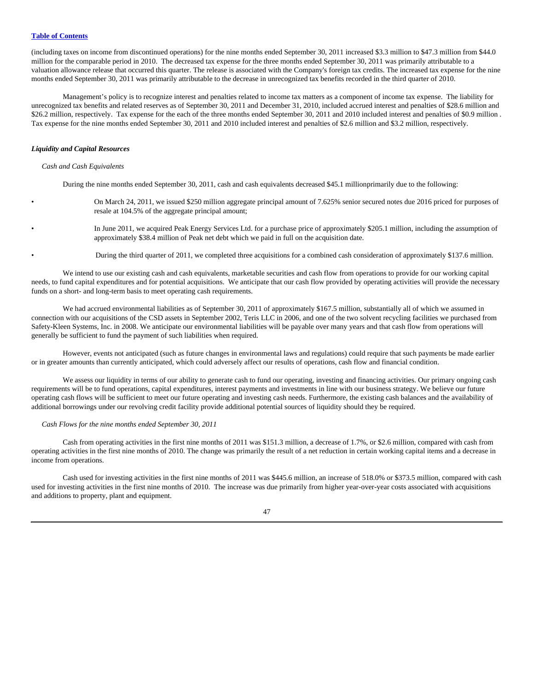(including taxes on income from discontinued operations) for the nine months ended September 30, 2011 increased \$3.3 million to \$47.3 million from \$44.0 million for the comparable period in 2010. The decreased tax expense for the three months ended September 30, 2011 was primarily attributable to a valuation allowance release that occurred this quarter. The release is associated with the Company's foreign tax credits. The increased tax expense for the nine months ended September 30, 2011 was primarily attributable to the decrease in unrecognized tax benefits recorded in the third quarter of 2010.

Management's policy is to recognize interest and penalties related to income tax matters as a component of income tax expense. The liability for unrecognized tax benefits and related reserves as of September 30, 2011 and December 31, 2010, included accrued interest and penalties of \$28.6 million and \$26.2 million, respectively. Tax expense for the each of the three months ended September 30, 2011 and 2010 included interest and penalties of \$0.9 million. Tax expense for the nine months ended September 30, 2011 and 2010 included interest and penalties of \$2.6 million and \$3.2 million, respectively.

## *Liquidity and Capital Resources*

## *Cash and Cash Equivalents*

During the nine months ended September 30, 2011, cash and cash equivalents decreased \$45.1 millionprimarily due to the following:

- On March 24, 2011, we issued \$250 million aggregate principal amount of 7.625% senior secured notes due 2016 priced for purposes of resale at 104.5% of the aggregate principal amount;
- In June 2011, we acquired Peak Energy Services Ltd. for a purchase price of approximately \$205.1 million, including the assumption of approximately \$38.4 million of Peak net debt which we paid in full on the acquisition date.
	- During the third quarter of 2011, we completed three acquisitions for a combined cash consideration of approximately \$137.6 million.

We intend to use our existing cash and cash equivalents, marketable securities and cash flow from operations to provide for our working capital needs, to fund capital expenditures and for potential acquisitions. We anticipate that our cash flow provided by operating activities will provide the necessary funds on a short- and long-term basis to meet operating cash requirements.

We had accrued environmental liabilities as of September 30, 2011 of approximately \$167.5 million, substantially all of which we assumed in connection with our acquisitions of the CSD assets in September 2002, Teris LLC in 2006, and one of the two solvent recycling facilities we purchased from Safety-Kleen Systems, Inc. in 2008. We anticipate our environmental liabilities will be payable over many years and that cash flow from operations will generally be sufficient to fund the payment of such liabilities when required.

However, events not anticipated (such as future changes in environmental laws and regulations) could require that such payments be made earlier or in greater amounts than currently anticipated, which could adversely affect our results of operations, cash flow and financial condition.

We assess our liquidity in terms of our ability to generate cash to fund our operating, investing and financing activities. Our primary ongoing cash requirements will be to fund operations, capital expenditures, interest payments and investments in line with our business strategy. We believe our future operating cash flows will be sufficient to meet our future operating and investing cash needs. Furthermore, the existing cash balances and the availability of additional borrowings under our revolving credit facility provide additional potential sources of liquidity should they be required.

#### *Cash Flows for the nine months ended September 30, 2011*

Cash from operating activities in the first nine months of 2011 was \$151.3 million, a decrease of 1.7%, or \$2.6 million, compared with cash from operating activities in the first nine months of 2010. The change was primarily the result of a net reduction in certain working capital items and a decrease in income from operations.

Cash used for investing activities in the first nine months of 2011 was \$445.6 million, an increase of 518.0% or \$373.5 million, compared with cash used for investing activities in the first nine months of 2010. The increase was due primarily from higher year-over-year costs associated with acquisitions and additions to property, plant and equipment.

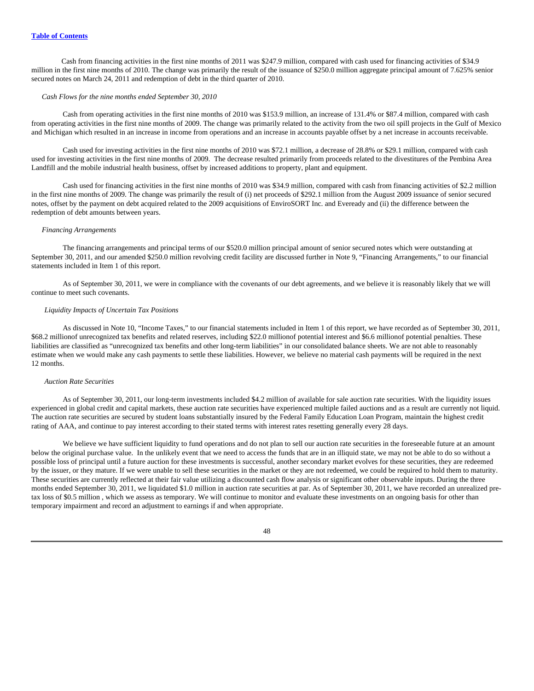Cash from financing activities in the first nine months of 2011 was \$247.9 million, compared with cash used for financing activities of \$34.9 million in the first nine months of 2010. The change was primarily the result of the issuance of \$250.0 million aggregate principal amount of 7.625% senior secured notes on March 24, 2011 and redemption of debt in the third quarter of 2010.

## *Cash Flows for the nine months ended September 30, 2010*

Cash from operating activities in the first nine months of 2010 was \$153.9 million, an increase of 131.4% or \$87.4 million, compared with cash from operating activities in the first nine months of 2009. The change was primarily related to the activity from the two oil spill projects in the Gulf of Mexico and Michigan which resulted in an increase in income from operations and an increase in accounts payable offset by a net increase in accounts receivable.

Cash used for investing activities in the first nine months of 2010 was \$72.1 million, a decrease of 28.8% or \$29.1 million, compared with cash used for investing activities in the first nine months of 2009. The decrease resulted primarily from proceeds related to the divestitures of the Pembina Area Landfill and the mobile industrial health business, offset by increased additions to property, plant and equipment.

Cash used for financing activities in the first nine months of 2010 was \$34.9 million, compared with cash from financing activities of \$2.2 million in the first nine months of 2009. The change was primarily the result of (i) net proceeds of \$292.1 million from the August 2009 issuance of senior secured notes, offset by the payment on debt acquired related to the 2009 acquisitions of EnviroSORT Inc. and Eveready and (ii) the difference between the redemption of debt amounts between years.

## *Financing Arrangements*

The financing arrangements and principal terms of our \$520.0 million principal amount of senior secured notes which were outstanding at September 30, 2011, and our amended \$250.0 million revolving credit facility are discussed further in Note 9, "Financing Arrangements," to our financial statements included in Item 1 of this report.

As of September 30, 2011, we were in compliance with the covenants of our debt agreements, and we believe it is reasonably likely that we will continue to meet such covenants.

#### *Liquidity Impacts of Uncertain Tax Positions*

As discussed in Note 10, "Income Taxes," to our financial statements included in Item 1 of this report, we have recorded as of September 30, 2011, \$68.2 millionof unrecognized tax benefits and related reserves, including \$22.0 millionof potential interest and \$6.6 millionof potential penalties. These liabilities are classified as "unrecognized tax benefits and other long-term liabilities" in our consolidated balance sheets. We are not able to reasonably estimate when we would make any cash payments to settle these liabilities. However, we believe no material cash payments will be required in the next 12 months.

#### *Auction Rate Securities*

As of September 30, 2011, our long-term investments included \$4.2 million of available for sale auction rate securities. With the liquidity issues experienced in global credit and capital markets, these auction rate securities have experienced multiple failed auctions and as a result are currently not liquid. The auction rate securities are secured by student loans substantially insured by the Federal Family Education Loan Program, maintain the highest credit rating of AAA, and continue to pay interest according to their stated terms with interest rates resetting generally every 28 days.

We believe we have sufficient liquidity to fund operations and do not plan to sell our auction rate securities in the foreseeable future at an amount below the original purchase value. In the unlikely event that we need to access the funds that are in an illiquid state, we may not be able to do so without a possible loss of principal until a future auction for these investments is successful, another secondary market evolves for these securities, they are redeemed by the issuer, or they mature. If we were unable to sell these securities in the market or they are not redeemed, we could be required to hold them to maturity. These securities are currently reflected at their fair value utilizing a discounted cash flow analysis or significant other observable inputs. During the three months ended September 30, 2011, we liquidated \$1.0 million in auction rate securities at par. As of September 30, 2011, we have recorded an unrealized pretax loss of \$0.5 million , which we assess as temporary. We will continue to monitor and evaluate these investments on an ongoing basis for other than temporary impairment and record an adjustment to earnings if and when appropriate.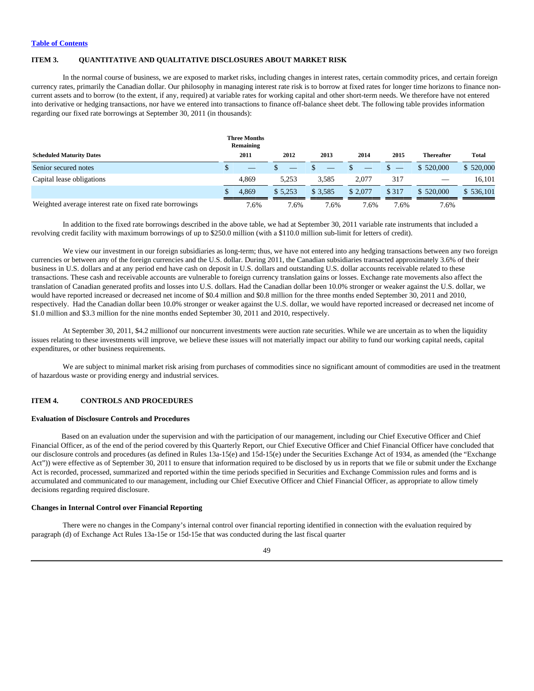## <span id="page-52-0"></span>**ITEM 3. QUANTITATIVE AND QUALITATIVE DISCLOSURES ABOUT MARKET RISK**

In the normal course of business, we are exposed to market risks, including changes in interest rates, certain commodity prices, and certain foreign currency rates, primarily the Canadian dollar. Our philosophy in managing interest rate risk is to borrow at fixed rates for longer time horizons to finance noncurrent assets and to borrow (to the extent, if any, required) at variable rates for working capital and other short-term needs. We therefore have not entered into derivative or hedging transactions, nor have we entered into transactions to finance off-balance sheet debt. The following table provides information regarding our fixed rate borrowings at September 30, 2011 (in thousands):

|                                                         | <b>Three Months</b><br>Remaining |         |         |          |        |                   |           |
|---------------------------------------------------------|----------------------------------|---------|---------|----------|--------|-------------------|-----------|
| <b>Scheduled Maturity Dates</b>                         | 2011                             | 2012    | 2013    | 2014     | 2015   | <b>Thereafter</b> | Total     |
| Senior secured notes                                    |                                  |         |         |          |        | \$520,000         | \$520,000 |
| Capital lease obligations                               | 4.869                            | 5.253   | 3.585   | 2.077    | 317    |                   | 16,101    |
|                                                         | 4.869                            | \$5.253 | \$3.585 | \$ 2,077 | \$ 317 | \$520,000         | \$536,101 |
| Weighted average interest rate on fixed rate borrowings | 7.6%                             | 1.6%    | 7.6%    | 7.6%     | 7.6%   | 7.6%              |           |

In addition to the fixed rate borrowings described in the above table, we had at September 30, 2011 variable rate instruments that included a revolving credit facility with maximum borrowings of up to \$250.0 million (with a \$110.0 million sub-limit for letters of credit).

We view our investment in our foreign subsidiaries as long-term; thus, we have not entered into any hedging transactions between any two foreign currencies or between any of the foreign currencies and the U.S. dollar. During 2011, the Canadian subsidiaries transacted approximately 3.6% of their business in U.S. dollars and at any period end have cash on deposit in U.S. dollars and outstanding U.S. dollar accounts receivable related to these transactions. These cash and receivable accounts are vulnerable to foreign currency translation gains or losses. Exchange rate movements also affect the translation of Canadian generated profits and losses into U.S. dollars. Had the Canadian dollar been 10.0% stronger or weaker against the U.S. dollar, we would have reported increased or decreased net income of \$0.4 million and \$0.8 million for the three months ended September 30, 2011 and 2010, respectively. Had the Canadian dollar been 10.0% stronger or weaker against the U.S. dollar, we would have reported increased or decreased net income of \$1.0 million and \$3.3 million for the nine months ended September 30, 2011 and 2010, respectively.

At September 30, 2011, \$4.2 millionof our noncurrent investments were auction rate securities. While we are uncertain as to when the liquidity issues relating to these investments will improve, we believe these issues will not materially impact our ability to fund our working capital needs, capital expenditures, or other business requirements.

We are subject to minimal market risk arising from purchases of commodities since no significant amount of commodities are used in the treatment of hazardous waste or providing energy and industrial services.

## **ITEM 4. CONTROLS AND PROCEDURES**

#### **Evaluation of Disclosure Controls and Procedures**

Based on an evaluation under the supervision and with the participation of our management, including our Chief Executive Officer and Chief Financial Officer, as of the end of the period covered by this Quarterly Report, our Chief Executive Officer and Chief Financial Officer have concluded that our disclosure controls and procedures (as defined in Rules 13a-15(e) and 15d-15(e) under the Securities Exchange Act of 1934, as amended (the "Exchange Act")) were effective as of September 30, 2011 to ensure that information required to be disclosed by us in reports that we file or submit under the Exchange Act is recorded, processed, summarized and reported within the time periods specified in Securities and Exchange Commission rules and forms and is accumulated and communicated to our management, including our Chief Executive Officer and Chief Financial Officer, as appropriate to allow timely decisions regarding required disclosure.

## **Changes in Internal Control over Financial Reporting**

There were no changes in the Company's internal control over financial reporting identified in connection with the evaluation required by paragraph (d) of Exchange Act Rules 13a-15e or 15d-15e that was conducted during the last fiscal quarter

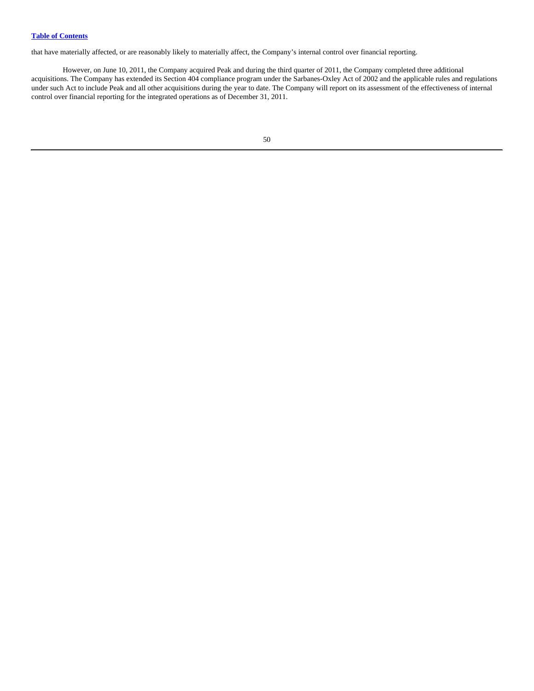that have materially affected, or are reasonably likely to materially affect, the Company's internal control over financial reporting.

However, on June 10, 2011, the Company acquired Peak and during the third quarter of 2011, the Company completed three additional acquisitions. The Company has extended its Section 404 compliance program under the Sarbanes-Oxley Act of 2002 and the applicable rules and regulations under such Act to include Peak and all other acquisitions during the year to date. The Company will report on its assessment of the effectiveness of internal control over financial reporting for the integrated operations as of December 31, 2011.

|                  | ٧                 |
|------------------|-------------------|
| ×                |                   |
| I<br>I<br>$\sim$ | ٦<br>۰.<br>$\sim$ |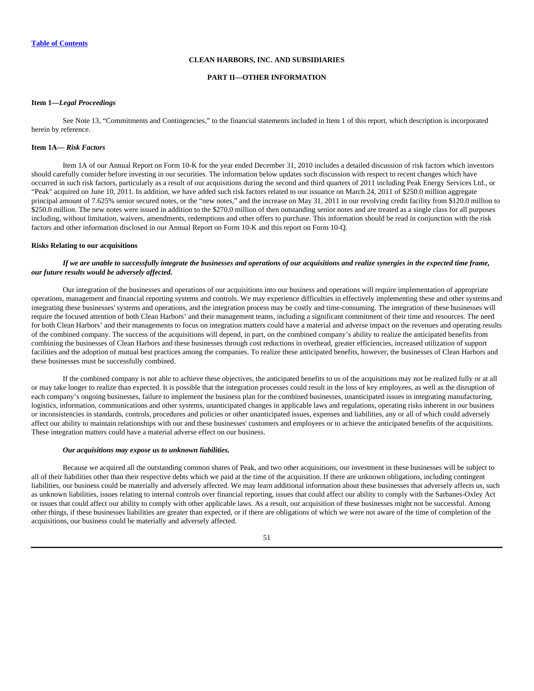## **PART II—OTHER INFORMATION**

#### <span id="page-54-0"></span>**Item 1—***Legal Proceedings*

See Note 13, "Commitments and Contingencies," to the financial statements included in Item 1 of this report, which description is incorporated herein by reference.

#### **Item 1A—** *Risk Factors*

Item 1A of our Annual Report on Form 10-K for the year ended December 31, 2010 includes a detailed discussion of risk factors which investors should carefully consider before investing in our securities. The information below updates such discussion with respect to recent changes which have occurred in such risk factors, particularly as a result of our acquisitions during the second and third quarters of 2011 including Peak Energy Services Ltd., or "Peak" acquired on June 10, 2011. In addition, we have added such risk factors related to our issuance on March 24, 2011 of \$250.0 million aggregate principal amount of 7.625% senior secured notes, or the "new notes," and the increase on May 31, 2011 in our revolving credit facility from \$120.0 million to \$250.0 million. The new notes were issued in addition to the \$270.0 million of then outstanding senior notes and are treated as a single class for all purposes including, without limitation, waivers, amendments, redemptions and other offers to purchase. This information should be read in conjunction with the risk factors and other information disclosed in our Annual Report on Form 10-K and this report on Form 10-Q.

#### **Risks Relating to our acquisitions**

*If we are unable to successfully integrate the businesses and operations of our acquisitions and realize synergies in the expected time frame, our future results would be adversely affected.*

Our integration of the businesses and operations of our acquisitions into our business and operations will require implementation of appropriate operations, management and financial reporting systems and controls. We may experience difficulties in effectively implementing these and other systems and integrating these businesses' systems and operations, and the integration process may be costly and time-consuming. The integration of these businesses will require the focused attention of both Clean Harbors' and their management teams, including a significant commitment of their time and resources. The need for both Clean Harbors' and their managements to focus on integration matters could have a material and adverse impact on the revenues and operating results of the combined company. The success of the acquisitions will depend, in part, on the combined company's ability to realize the anticipated benefits from combining the businesses of Clean Harbors and these businesses through cost reductions in overhead, greater efficiencies, increased utilization of support facilities and the adoption of mutual best practices among the companies. To realize these anticipated benefits, however, the businesses of Clean Harbors and these businesses must be successfully combined.

If the combined company is not able to achieve these objectives, the anticipated benefits to us of the acquisitions may not be realized fully or at all or may take longer to realize than expected. It is possible that the integration processes could result in the loss of key employees, as well as the disruption of each company's ongoing businesses, failure to implement the business plan for the combined businesses, unanticipated issues in integrating manufacturing, logistics, information, communications and other systems, unanticipated changes in applicable laws and regulations, operating risks inherent in our business or inconsistencies in standards, controls, procedures and policies or other unanticipated issues, expenses and liabilities, any or all of which could adversely affect our ability to maintain relationships with our and these businesses' customers and employees or to achieve the anticipated benefits of the acquisitions. These integration matters could have a material adverse effect on our business.

#### *Our acquisitions may expose us to unknown liabilities.*

Because we acquired all the outstanding common shares of Peak, and two other acquisitions, our investment in these businesses will be subject to all of their liabilities other than their respective debts which we paid at the time of the acquisition. If there are unknown obligations, including contingent liabilities, our business could be materially and adversely affected. We may learn additional information about these businesses that adversely affects us, such as unknown liabilities, issues relating to internal controls over financial reporting, issues that could affect our ability to comply with the Sarbanes-Oxley Act or issues that could affect our ability to comply with other applicable laws. As a result, our acquisition of these businesses might not be successful. Among other things, if these businesses liabilities are greater than expected, or if there are obligations of which we were not aware of the time of completion of the acquisitions, our business could be materially and adversely affected.

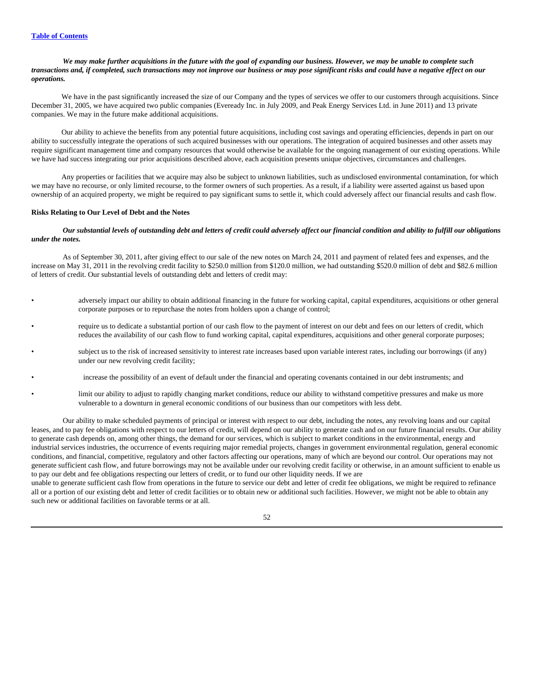## *We may make further acquisitions in the future with the goal of expanding our business. However, we may be unable to complete such transactions and, if completed, such transactions may not improve our business or may pose significant risks and could have a negative effect on our operations.*

We have in the past significantly increased the size of our Company and the types of services we offer to our customers through acquisitions. Since December 31, 2005, we have acquired two public companies (Eveready Inc. in July 2009, and Peak Energy Services Ltd. in June 2011) and 13 private companies. We may in the future make additional acquisitions.

Our ability to achieve the benefits from any potential future acquisitions, including cost savings and operating efficiencies, depends in part on our ability to successfully integrate the operations of such acquired businesses with our operations. The integration of acquired businesses and other assets may require significant management time and company resources that would otherwise be available for the ongoing management of our existing operations. While we have had success integrating our prior acquisitions described above, each acquisition presents unique objectives, circumstances and challenges.

Any properties or facilities that we acquire may also be subject to unknown liabilities, such as undisclosed environmental contamination, for which we may have no recourse, or only limited recourse, to the former owners of such properties. As a result, if a liability were asserted against us based upon ownership of an acquired property, we might be required to pay significant sums to settle it, which could adversely affect our financial results and cash flow.

## **Risks Relating to Our Level of Debt and the Notes**

## *Our substantial levels of outstanding debt and letters of credit could adversely affect our financial condition and ability to fulfill our obligations under the notes.*

As of September 30, 2011, after giving effect to our sale of the new notes on March 24, 2011 and payment of related fees and expenses, and the increase on May 31, 2011 in the revolving credit facility to \$250.0 million from \$120.0 million, we had outstanding \$520.0 million of debt and \$82.6 million of letters of credit. Our substantial levels of outstanding debt and letters of credit may:

- adversely impact our ability to obtain additional financing in the future for working capital, capital expenditures, acquisitions or other general corporate purposes or to repurchase the notes from holders upon a change of control;
- require us to dedicate a substantial portion of our cash flow to the payment of interest on our debt and fees on our letters of credit, which reduces the availability of our cash flow to fund working capital, capital expenditures, acquisitions and other general corporate purposes;
- subject us to the risk of increased sensitivity to interest rate increases based upon variable interest rates, including our borrowings (if any) under our new revolving credit facility;
- increase the possibility of an event of default under the financial and operating covenants contained in our debt instruments; and
- limit our ability to adjust to rapidly changing market conditions, reduce our ability to withstand competitive pressures and make us more vulnerable to a downturn in general economic conditions of our business than our competitors with less debt.

Our ability to make scheduled payments of principal or interest with respect to our debt, including the notes, any revolving loans and our capital leases, and to pay fee obligations with respect to our letters of credit, will depend on our ability to generate cash and on our future financial results. Our ability to generate cash depends on, among other things, the demand for our services, which is subject to market conditions in the environmental, energy and industrial services industries, the occurrence of events requiring major remedial projects, changes in government environmental regulation, general economic conditions, and financial, competitive, regulatory and other factors affecting our operations, many of which are beyond our control. Our operations may not generate sufficient cash flow, and future borrowings may not be available under our revolving credit facility or otherwise, in an amount sufficient to enable us to pay our debt and fee obligations respecting our letters of credit, or to fund our other liquidity needs. If we are

unable to generate sufficient cash flow from operations in the future to service our debt and letter of credit fee obligations, we might be required to refinance all or a portion of our existing debt and letter of credit facilities or to obtain new or additional such facilities. However, we might not be able to obtain any such new or additional facilities on favorable terms or at all.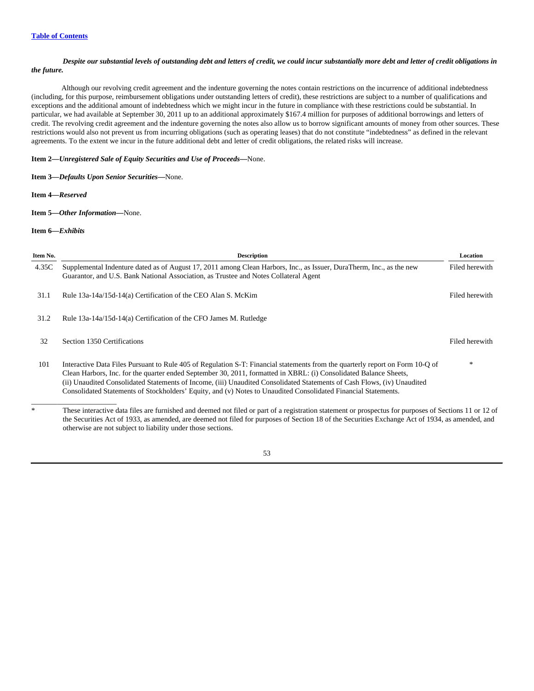## *Despite our substantial levels of outstanding debt and letters of credit, we could incur substantially more debt and letter of credit obligations in the future.*

Although our revolving credit agreement and the indenture governing the notes contain restrictions on the incurrence of additional indebtedness (including, for this purpose, reimbursement obligations under outstanding letters of credit), these restrictions are subject to a number of qualifications and exceptions and the additional amount of indebtedness which we might incur in the future in compliance with these restrictions could be substantial. In particular, we had available at September 30, 2011 up to an additional approximately \$167.4 million for purposes of additional borrowings and letters of credit. The revolving credit agreement and the indenture governing the notes also allow us to borrow significant amounts of money from other sources. These restrictions would also not prevent us from incurring obligations (such as operating leases) that do not constitute "indebtedness" as defined in the relevant agreements. To the extent we incur in the future additional debt and letter of credit obligations, the related risks will increase.

## **Item 2—***Unregistered Sale of Equity Securities and Use of Proceeds***—**None.

**Item 3—***Defaults Upon Senior Securities***—**None.

- **Item 4—***Reserved*
- **Item 5—***Other Information***—**None.

## **Item 6—***Exhibits*

| Item No. | <b>Description</b>                                                                                                                                                                                                                                                                                                                                                                                                                                                                              | Location       |
|----------|-------------------------------------------------------------------------------------------------------------------------------------------------------------------------------------------------------------------------------------------------------------------------------------------------------------------------------------------------------------------------------------------------------------------------------------------------------------------------------------------------|----------------|
| 4.35C    | Supplemental Indenture dated as of August 17, 2011 among Clean Harbors, Inc., as Issuer, DuraTherm, Inc., as the new<br>Guarantor, and U.S. Bank National Association, as Trustee and Notes Collateral Agent                                                                                                                                                                                                                                                                                    | Filed herewith |
| 31.1     | Rule 13a-14a/15d-14(a) Certification of the CEO Alan S. McKim                                                                                                                                                                                                                                                                                                                                                                                                                                   | Filed herewith |
| 31.2     | Rule 13a-14a/15d-14(a) Certification of the CFO James M. Rutledge                                                                                                                                                                                                                                                                                                                                                                                                                               |                |
| 32       | Section 1350 Certifications                                                                                                                                                                                                                                                                                                                                                                                                                                                                     | Filed herewith |
| 101      | Interactive Data Files Pursuant to Rule 405 of Regulation S-T: Financial statements from the quarterly report on Form 10-Q of<br>Clean Harbors, Inc. for the quarter ended September 30, 2011, formatted in XBRL: (i) Consolidated Balance Sheets,<br>(ii) Unaudited Consolidated Statements of Income, (iii) Unaudited Consolidated Statements of Cash Flows, (iv) Unaudited<br>Consolidated Statements of Stockholders' Equity, and (v) Notes to Unaudited Consolidated Financial Statements. | *              |

These interactive data files are furnished and deemed not filed or part of a registration statement or prospectus for purposes of Sections 11 or 12 of the Securities Act of 1933, as amended, are deemed not filed for purposes of Section 18 of the Securities Exchange Act of 1934, as amended, and otherwise are not subject to liability under those sections.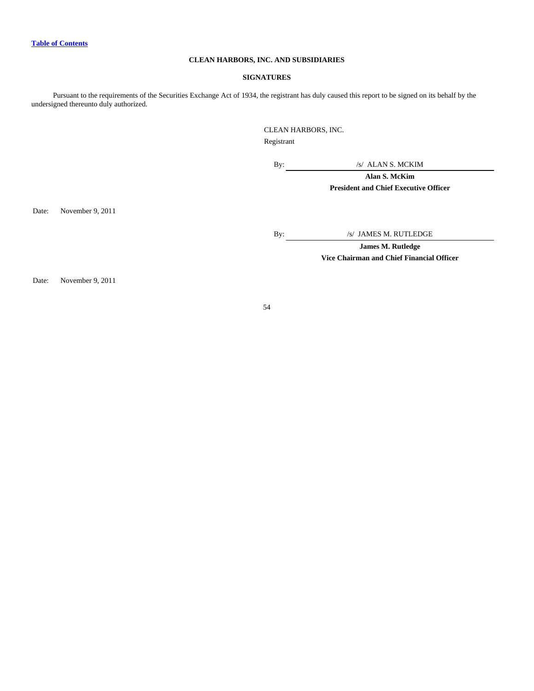## **SIGNATURES**

<span id="page-57-0"></span>Pursuant to the requirements of the Securities Exchange Act of 1934, the registrant has duly caused this report to be signed on its behalf by the undersigned thereunto duly authorized.

> CLEAN HARBORS, INC. Registrant

> > By:  $\frac{1}{s}$  ALAN S. MCKIM

**Alan S. McKim President and Chief Executive Officer**

Date: November 9, 2011

By: /s/ JAMES M. RUTLEDGE

**James M. Rutledge Vice Chairman and Chief Financial Officer**

Date: November 9, 2011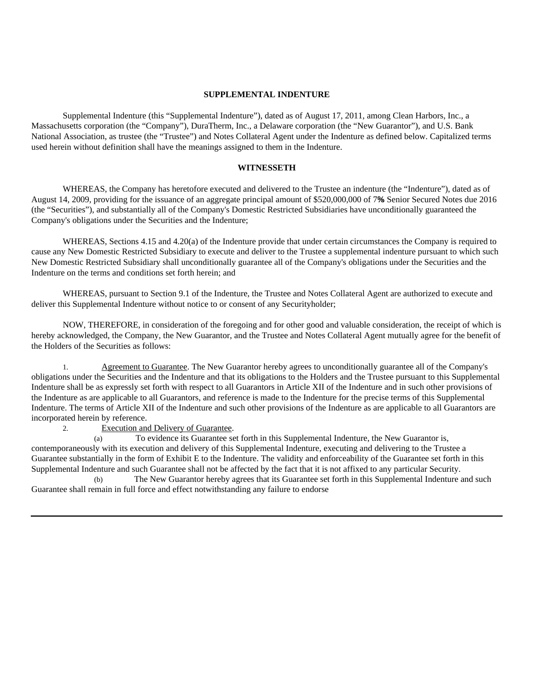## **SUPPLEMENTAL INDENTURE**

Supplemental Indenture (this "Supplemental Indenture"), dated as of August 17, 2011, among Clean Harbors, Inc., a Massachusetts corporation (the "Company"), DuraTherm, Inc., a Delaware corporation (the "New Guarantor"), and U.S. Bank National Association, as trustee (the "Trustee") and Notes Collateral Agent under the Indenture as defined below. Capitalized terms used herein without definition shall have the meanings assigned to them in the Indenture.

## **WITNESSETH**

WHEREAS, the Company has heretofore executed and delivered to the Trustee an indenture (the "Indenture"), dated as of August 14, 2009, providing for the issuance of an aggregate principal amount of \$520,000,000 of 7⅝% Senior Secured Notes due 2016 (the "Securities"), and substantially all of the Company's Domestic Restricted Subsidiaries have unconditionally guaranteed the Company's obligations under the Securities and the Indenture;

WHEREAS, Sections 4.15 and 4.20(a) of the Indenture provide that under certain circumstances the Company is required to cause any New Domestic Restricted Subsidiary to execute and deliver to the Trustee a supplemental indenture pursuant to which such New Domestic Restricted Subsidiary shall unconditionally guarantee all of the Company's obligations under the Securities and the Indenture on the terms and conditions set forth herein; and

WHEREAS, pursuant to Section 9.1 of the Indenture, the Trustee and Notes Collateral Agent are authorized to execute and deliver this Supplemental Indenture without notice to or consent of any Securityholder;

NOW, THEREFORE, in consideration of the foregoing and for other good and valuable consideration, the receipt of which is hereby acknowledged, the Company, the New Guarantor, and the Trustee and Notes Collateral Agent mutually agree for the benefit of the Holders of the Securities as follows:

1. Agreement to Guarantee. The New Guarantor hereby agrees to unconditionally guarantee all of the Company's obligations under the Securities and the Indenture and that its obligations to the Holders and the Trustee pursuant to this Supplemental Indenture shall be as expressly set forth with respect to all Guarantors in Article XII of the Indenture and in such other provisions of the Indenture as are applicable to all Guarantors, and reference is made to the Indenture for the precise terms of this Supplemental Indenture. The terms of Article XII of the Indenture and such other provisions of the Indenture as are applicable to all Guarantors are incorporated herein by reference.

# 2. Execution and Delivery of Guarantee.

(a) To evidence its Guarantee set forth in this Supplemental Indenture, the New Guarantor is, contemporaneously with its execution and delivery of this Supplemental Indenture, executing and delivering to the Trustee a Guarantee substantially in the form of Exhibit E to the Indenture. The validity and enforceability of the Guarantee set forth in this Supplemental Indenture and such Guarantee shall not be affected by the fact that it is not affixed to any particular Security.

(b) The New Guarantor hereby agrees that its Guarantee set forth in this Supplemental Indenture and such Guarantee shall remain in full force and effect notwithstanding any failure to endorse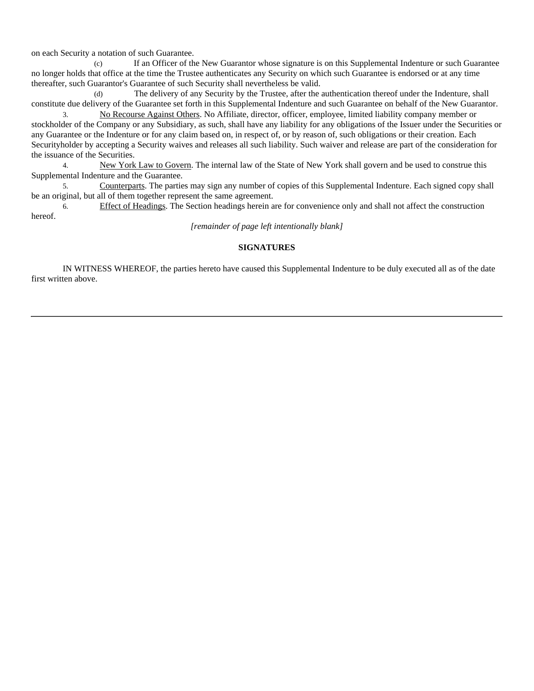on each Security a notation of such Guarantee.

(c) If an Officer of the New Guarantor whose signature is on this Supplemental Indenture or such Guarantee no longer holds that office at the time the Trustee authenticates any Security on which such Guarantee is endorsed or at any time thereafter, such Guarantor's Guarantee of such Security shall nevertheless be valid.

(d) The delivery of any Security by the Trustee, after the authentication thereof under the Indenture, shall constitute due delivery of the Guarantee set forth in this Supplemental Indenture and such Guarantee on behalf of the New Guarantor.

3. No Recourse Against Others. No Affiliate, director, officer, employee, limited liability company member or stockholder of the Company or any Subsidiary, as such, shall have any liability for any obligations of the Issuer under the Securities or any Guarantee or the Indenture or for any claim based on, in respect of, or by reason of, such obligations or their creation. Each Securityholder by accepting a Security waives and releases all such liability. Such waiver and release are part of the consideration for the issuance of the Securities.

4. New York Law to Govern. The internal law of the State of New York shall govern and be used to construe this Supplemental Indenture and the Guarantee.

5. Counterparts. The parties may sign any number of copies of this Supplemental Indenture. Each signed copy shall be an original, but all of them together represent the same agreement.

6. Effect of Headings. The Section headings herein are for convenience only and shall not affect the construction hereof.

*[remainder of page left intentionally blank]*

## **SIGNATURES**

IN WITNESS WHEREOF, the parties hereto have caused this Supplemental Indenture to be duly executed all as of the date first written above.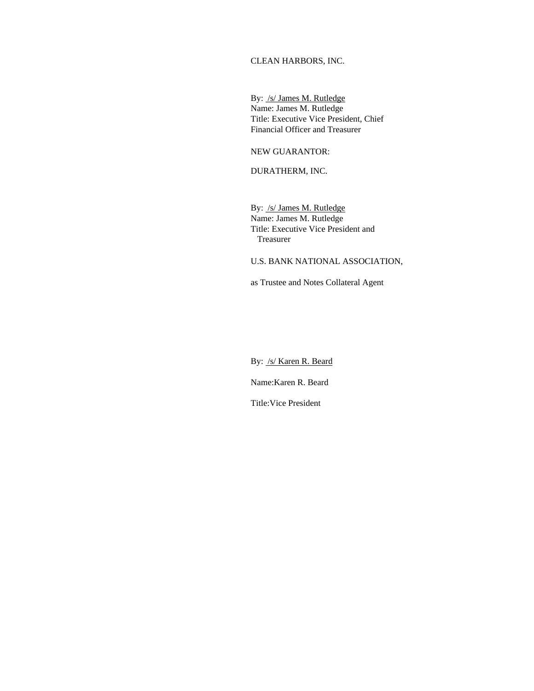## CLEAN HARBORS, INC.

By: /s/ James M. Rutledge Name: James M. Rutledge Title: Executive Vice President, Chief Financial Officer and Treasurer

NEW GUARANTOR:

DURATHERM, INC.

By: /s/ James M. Rutledge Name: James M. Rutledge Title: Executive Vice President and Treasurer

# U.S. BANK NATIONAL ASSOCIATION,

as Trustee and Notes Collateral Agent

By: /s/ Karen R. Beard Name:Karen R. Beard Title:Vice President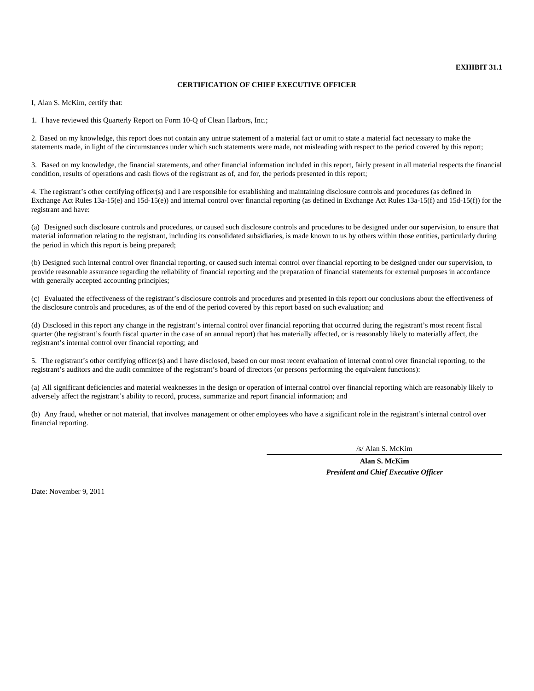## **EXHIBIT 31.1**

## **CERTIFICATION OF CHIEF EXECUTIVE OFFICER**

I, Alan S. McKim, certify that:

1. I have reviewed this Quarterly Report on Form 10-Q of Clean Harbors, Inc.;

2. Based on my knowledge, this report does not contain any untrue statement of a material fact or omit to state a material fact necessary to make the statements made, in light of the circumstances under which such statements were made, not misleading with respect to the period covered by this report;

3. Based on my knowledge, the financial statements, and other financial information included in this report, fairly present in all material respects the financial condition, results of operations and cash flows of the registrant as of, and for, the periods presented in this report;

4. The registrant's other certifying officer(s) and I are responsible for establishing and maintaining disclosure controls and procedures (as defined in Exchange Act Rules 13a-15(e) and 15d-15(e)) and internal control over financial reporting (as defined in Exchange Act Rules 13a-15(f) and 15d-15(f)) for the registrant and have:

(a) Designed such disclosure controls and procedures, or caused such disclosure controls and procedures to be designed under our supervision, to ensure that material information relating to the registrant, including its consolidated subsidiaries, is made known to us by others within those entities, particularly during the period in which this report is being prepared;

(b) Designed such internal control over financial reporting, or caused such internal control over financial reporting to be designed under our supervision, to provide reasonable assurance regarding the reliability of financial reporting and the preparation of financial statements for external purposes in accordance with generally accepted accounting principles;

(c) Evaluated the effectiveness of the registrant's disclosure controls and procedures and presented in this report our conclusions about the effectiveness of the disclosure controls and procedures, as of the end of the period covered by this report based on such evaluation; and

(d) Disclosed in this report any change in the registrant's internal control over financial reporting that occurred during the registrant's most recent fiscal quarter (the registrant's fourth fiscal quarter in the case of an annual report) that has materially affected, or is reasonably likely to materially affect, the registrant's internal control over financial reporting; and

5. The registrant's other certifying officer(s) and I have disclosed, based on our most recent evaluation of internal control over financial reporting, to the registrant's auditors and the audit committee of the registrant's board of directors (or persons performing the equivalent functions):

(a) All significant deficiencies and material weaknesses in the design or operation of internal control over financial reporting which are reasonably likely to adversely affect the registrant's ability to record, process, summarize and report financial information; and

(b) Any fraud, whether or not material, that involves management or other employees who have a significant role in the registrant's internal control over financial reporting.

/s/ Alan S. McKim

**Alan S. McKim** *President and Chief Executive Officer*

Date: November 9, 2011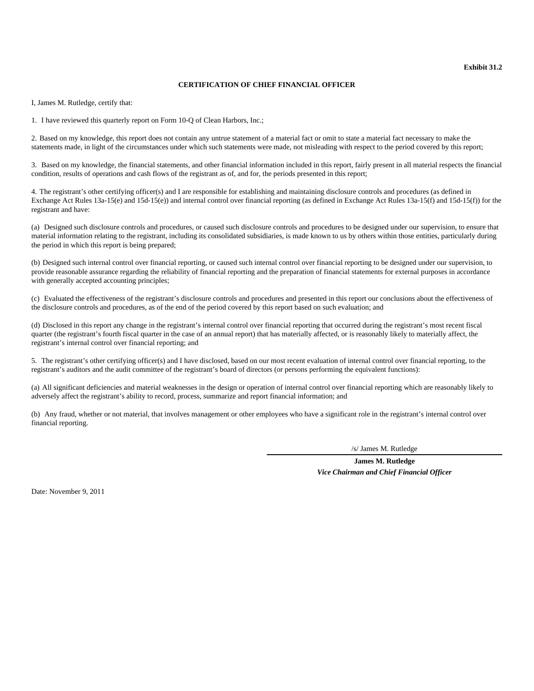## **Exhibit 31.2**

## **CERTIFICATION OF CHIEF FINANCIAL OFFICER**

I, James M. Rutledge, certify that:

1. I have reviewed this quarterly report on Form 10-Q of Clean Harbors, Inc.;

2. Based on my knowledge, this report does not contain any untrue statement of a material fact or omit to state a material fact necessary to make the statements made, in light of the circumstances under which such statements were made, not misleading with respect to the period covered by this report;

3. Based on my knowledge, the financial statements, and other financial information included in this report, fairly present in all material respects the financial condition, results of operations and cash flows of the registrant as of, and for, the periods presented in this report;

4. The registrant's other certifying officer(s) and I are responsible for establishing and maintaining disclosure controls and procedures (as defined in Exchange Act Rules 13a-15(e) and 15d-15(e)) and internal control over financial reporting (as defined in Exchange Act Rules 13a-15(f) and 15d-15(f)) for the registrant and have:

(a) Designed such disclosure controls and procedures, or caused such disclosure controls and procedures to be designed under our supervision, to ensure that material information relating to the registrant, including its consolidated subsidiaries, is made known to us by others within those entities, particularly during the period in which this report is being prepared;

(b) Designed such internal control over financial reporting, or caused such internal control over financial reporting to be designed under our supervision, to provide reasonable assurance regarding the reliability of financial reporting and the preparation of financial statements for external purposes in accordance with generally accepted accounting principles;

(c) Evaluated the effectiveness of the registrant's disclosure controls and procedures and presented in this report our conclusions about the effectiveness of the disclosure controls and procedures, as of the end of the period covered by this report based on such evaluation; and

(d) Disclosed in this report any change in the registrant's internal control over financial reporting that occurred during the registrant's most recent fiscal quarter (the registrant's fourth fiscal quarter in the case of an annual report) that has materially affected, or is reasonably likely to materially affect, the registrant's internal control over financial reporting; and

5. The registrant's other certifying officer(s) and I have disclosed, based on our most recent evaluation of internal control over financial reporting, to the registrant's auditors and the audit committee of the registrant's board of directors (or persons performing the equivalent functions):

(a) All significant deficiencies and material weaknesses in the design or operation of internal control over financial reporting which are reasonably likely to adversely affect the registrant's ability to record, process, summarize and report financial information; and

(b) Any fraud, whether or not material, that involves management or other employees who have a significant role in the registrant's internal control over financial reporting.

/s/ James M. Rutledge

**James M. Rutledge** *Vice Chairman and Chief Financial Officer*

Date: November 9, 2011